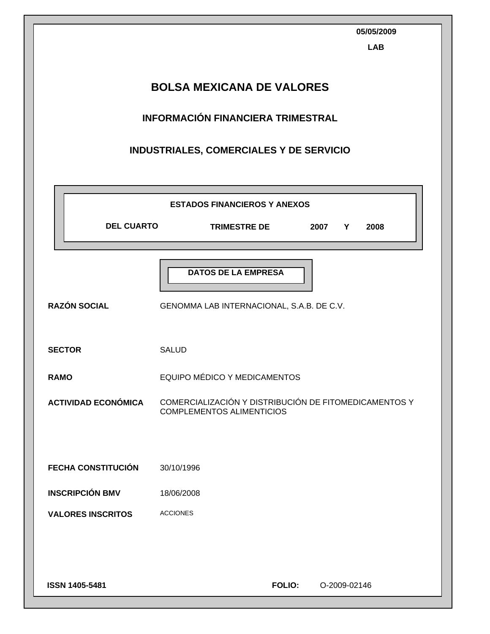| <b>LAB</b><br><b>BOLSA MEXICANA DE VALORES</b><br><b>INFORMACIÓN FINANCIERA TRIMESTRAL</b><br>INDUSTRIALES, COMERCIALES Y DE SERVICIO |                                                                                           |  |  |  |  |
|---------------------------------------------------------------------------------------------------------------------------------------|-------------------------------------------------------------------------------------------|--|--|--|--|
|                                                                                                                                       | <b>ESTADOS FINANCIEROS Y ANEXOS</b>                                                       |  |  |  |  |
| <b>DEL CUARTO</b>                                                                                                                     | <b>TRIMESTRE DE</b><br>2007 Y<br>2008                                                     |  |  |  |  |
| <b>RAZÓN SOCIAL</b>                                                                                                                   | <b>DATOS DE LA EMPRESA</b><br>GENOMMA LAB INTERNACIONAL, S.A.B. DE C.V.                   |  |  |  |  |
| <b>SECTOR</b>                                                                                                                         | <b>SALUD</b>                                                                              |  |  |  |  |
| <b>RAMO</b>                                                                                                                           | EQUIPO MÉDICO Y MEDICAMENTOS                                                              |  |  |  |  |
| <b>ACTIVIDAD ECONÓMICA</b>                                                                                                            | COMERCIALIZACIÓN Y DISTRIBUCIÓN DE FITOMEDICAMENTOS Y<br><b>COMPLEMENTOS ALIMENTICIOS</b> |  |  |  |  |
| <b>FECHA CONSTITUCIÓN</b>                                                                                                             | 30/10/1996                                                                                |  |  |  |  |
| <b>INSCRIPCIÓN BMV</b>                                                                                                                | 18/06/2008                                                                                |  |  |  |  |
| <b>VALORES INSCRITOS</b>                                                                                                              | <b>ACCIONES</b>                                                                           |  |  |  |  |
| ISSN 1405-5481                                                                                                                        | <b>FOLIO:</b><br>O-2009-02146                                                             |  |  |  |  |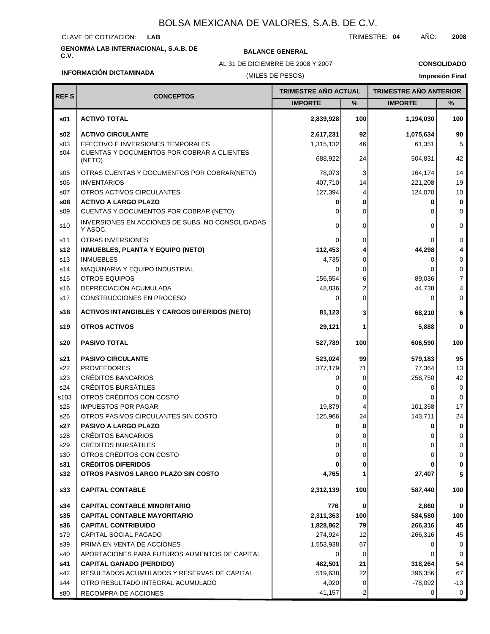CLAVE DE COTIZACIÓN: **LAB**

# **GENOMMA LAB INTERNACIONAL, S.A.B. DE C.V. BALANCE GENERAL**

AL 31 DE DICIEMBRE DE 2008 Y 2007

TRIMESTRE: **04** AÑO: **2008**

**CONSOLIDADO**

```
INFORMACIÓN DICTAMINADA
```
### (MILES DE PESOS)

| <b>REFS</b>             | <b>CONCEPTOS</b>                                            | TRIMESTRE AÑO ACTUAL |                            | <b>TRIMESTRE AÑO ANTERIOR</b> |                  |
|-------------------------|-------------------------------------------------------------|----------------------|----------------------------|-------------------------------|------------------|
|                         |                                                             | <b>IMPORTE</b>       | $\%$                       | <b>IMPORTE</b>                | $\%$             |
| s01                     | <b>ACTIVO TOTAL</b>                                         | 2,839,928            | 100                        | 1,194,030                     | 100              |
| s02                     | <b>ACTIVO CIRCULANTE</b>                                    | 2,617,231            | 92                         | 1,075,634                     | 90               |
| s <sub>03</sub>         | EFECTIVO E INVERSIONES TEMPORALES                           | 1,315,132            | 46                         | 61,351                        | 5                |
| s04                     | CUENTAS Y DOCUMENTOS POR COBRAR A CLIENTES<br>(NETO)        | 688,922              | 24                         | 504,831                       | 42               |
| s05                     | OTRAS CUENTAS Y DOCUMENTOS POR COBRAR(NETO)                 | 78.073               | 3                          | 164,174                       | 14               |
| \$06                    | <b>INVENTARIOS</b>                                          | 407,710              | 14                         | 221,208                       | 19               |
| s07                     | OTROS ACTIVOS CIRCULANTES                                   | 127,394              | 4                          | 124,070                       | 10               |
| s08                     | <b>ACTIVO A LARGO PLAZO</b>                                 |                      | 0                          | 0                             | 0                |
| s09                     | CUENTAS Y DOCUMENTOS POR COBRAR (NETO)                      |                      | $\Omega$                   | $\Omega$                      | $\mathbf 0$      |
| s10                     | INVERSIONES EN ACCIONES DE SUBS. NO CONSOLIDADAS<br>Y ASOC. | O                    | 0                          | $\Omega$                      | 0                |
| s11                     | <b>OTRAS INVERSIONES</b>                                    |                      | 0                          | 0                             | 0                |
| s12                     | <b>INMUEBLES, PLANTA Y EQUIPO (NETO)</b>                    | 112,453              | 4                          | 44,298                        | 4                |
| s13                     | <b>INMUEBLES</b>                                            | 4,735                | $\Omega$                   | 0                             | 0                |
| s14                     | MAQUINARIA Y EQUIPO INDUSTRIAL                              | $\Omega$             | $\Omega$                   | 0                             | 0                |
| s15                     | <b>OTROS EQUIPOS</b>                                        | 156,554              | 6                          | 89.036                        | $\overline{7}$   |
| s16<br>s17              | DEPRECIACIÓN ACUMULADA<br>CONSTRUCCIONES EN PROCESO         | 48,836<br>O          | $\overline{c}$<br>$\Omega$ | 44,738<br>0                   | 4<br>$\mathbf 0$ |
| s18                     | <b>ACTIVOS INTANGIBLES Y CARGOS DIFERIDOS (NETO)</b>        | 81,123               | 3                          | 68,210                        | 6                |
| s19                     | <b>OTROS ACTIVOS</b>                                        | 29,121               | 1                          | 5,888                         | 0                |
|                         |                                                             |                      |                            |                               |                  |
| s20                     | <b>PASIVO TOTAL</b>                                         | 527,789              | 100                        | 606,590                       | 100              |
| s21                     | <b>PASIVO CIRCULANTE</b>                                    | 523,024              | 99                         | 579,183                       | 95               |
| s22                     | <b>PROVEEDORES</b>                                          | 377,179              | 71                         | 77,364                        | 13               |
| s23                     | <b>CRÉDITOS BANCARIOS</b><br>CRÉDITOS BURSÁTILES            |                      | 0                          | 256,750                       | 42<br>0          |
| s24<br>s <sub>103</sub> | OTROS CRÉDITOS CON COSTO                                    |                      | 0<br>0                     | 0<br>0                        | 0                |
| s25                     | <b>IMPUESTOS POR PAGAR</b>                                  | 19,879               | 4                          | 101,358                       | 17               |
| s26                     | OTROS PASIVOS CIRCULANTES SIN COSTO                         | 125,966              | 24                         | 143,711                       | 24               |
| s27                     | PASIVO A LARGO PLAZO                                        |                      | 0                          | 0                             | 0                |
| s28                     | <b>CRÉDITOS BANCARIOS</b>                                   |                      | 0                          | 0                             | 0                |
| s29                     | <b>CREDITOS BURSATILES</b>                                  |                      | 0                          | 0                             | 0                |
| s30                     | OTROS CRÉDITOS CON COSTO                                    |                      | 0                          | 0                             | 0                |
| s31                     | <b>CRÉDITOS DIFERIDOS</b>                                   |                      | 0                          | 0                             | 0                |
| s32                     | OTROS PASIVOS LARGO PLAZO SIN COSTO                         | 4,765                | 1                          | 27,407                        | 5                |
| s33                     | <b>CAPITAL CONTABLE</b>                                     | 2,312,139            | 100                        | 587,440                       | 100              |
| s34                     | <b>CAPITAL CONTABLE MINORITARIO</b>                         | 776                  | 0                          | 2,860                         | $\mathbf 0$      |
| s35                     | <b>CAPITAL CONTABLE MAYORITARIO</b>                         | 2,311,363            | 100                        | 584,580                       | 100              |
| s36                     | <b>CAPITAL CONTRIBUIDO</b>                                  | 1,828,862            | 79                         | 266,316                       | 45               |
| s79                     | CAPITAL SOCIAL PAGADO                                       | 274,924              | 12                         | 266,316                       | 45               |
| s39                     | PRIMA EN VENTA DE ACCIONES                                  | 1,553,938            | 67                         | 0                             | 0                |
| s40                     | APORTACIONES PARA FUTUROS AUMENTOS DE CAPITAL               |                      | 0                          | 0                             | 0                |
| s41                     | <b>CAPITAL GANADO (PERDIDO)</b>                             | 482,501              | 21                         | 318,264                       | 54               |
| s42                     | RESULTADOS ACUMULADOS Y RESERVAS DE CAPITAL                 | 519,638              | 22                         | 396,356                       | 67               |
| s44                     | OTRO RESULTADO INTEGRAL ACUMULADO                           | 4,020                | 0                          | $-78,092$                     | -13              |
| s80                     | RECOMPRA DE ACCIONES                                        | $-41,157$            | $-2$                       | 0                             | 0                |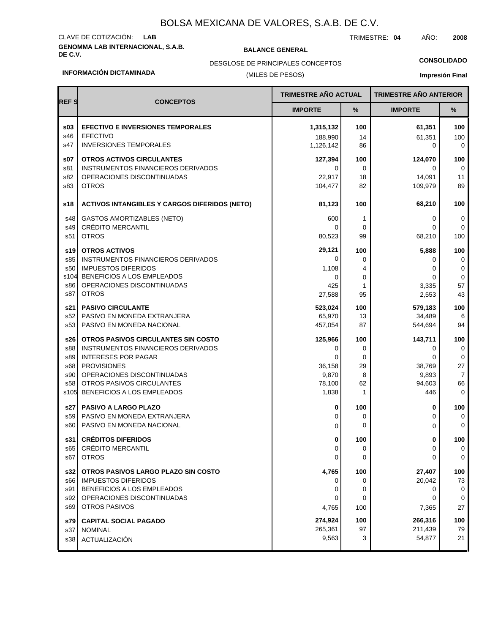# **GENOMMA LAB INTERNACIONAL, S.A.B. DE C.V. BALANCE GENERAL** CLAVE DE COTIZACIÓN: **LAB**

TRIMESTRE: **04** AÑO: **2008**

**CONSOLIDADO**

#### **INFORMACIÓN DICTAMINADA**

### (MILES DE PESOS) DESGLOSE DE PRINCIPALES CONCEPTOS

| <b>REFS</b>       | <b>TRIMESTRE AÑO ACTUAL</b><br><b>CONCEPTOS</b>                               |                    |              | <b>TRIMESTRE AÑO ANTERIOR</b> |                         |
|-------------------|-------------------------------------------------------------------------------|--------------------|--------------|-------------------------------|-------------------------|
|                   |                                                                               | <b>IMPORTE</b>     | %            | <b>IMPORTE</b>                | %                       |
| \$03              | <b>EFECTIVO E INVERSIONES TEMPORALES</b>                                      | 1,315,132          | 100          | 61,351                        | 100                     |
| s46               | <b>EFECTIVO</b>                                                               | 188,990            | 14           | 61,351                        | 100                     |
| s47               | <b>INVERSIONES TEMPORALES</b>                                                 | 1,126,142          | 86           | 0                             | $\mathbf 0$             |
| s07               | <b>OTROS ACTIVOS CIRCULANTES</b>                                              | 127,394            | 100          | 124,070                       | 100                     |
| s81               | INSTRUMENTOS FINANCIEROS DERIVADOS                                            | 0                  | 0            | 0                             | 0                       |
| s82               | OPERACIONES DISCONTINUADAS                                                    | 22,917             | 18           | 14,091                        | 11                      |
| s83               | <b>OTROS</b>                                                                  | 104.477            | 82           | 109,979                       | 89                      |
| s18               | <b>ACTIVOS INTANGIBLES Y CARGOS DIFERIDOS (NETO)</b>                          | 81,123             | 100          | 68,210                        | 100                     |
| s48<br>s49<br>s51 | <b>GASTOS AMORTIZABLES (NETO)</b><br><b>CRÉDITO MERCANTIL</b><br><b>OTROS</b> | 600<br>0<br>80,523 | 1<br>0<br>99 | 0<br>68,210                   | 0<br>0<br>100           |
| s19               | <b>OTROS ACTIVOS</b>                                                          | 29,121             | 100          | 5,888                         | 100                     |
| s85               | INSTRUMENTOS FINANCIEROS DERIVADOS                                            | 0                  | 0            | $\Omega$                      | 0                       |
| s50               | <b>IMPUESTOS DIFERIDOS</b>                                                    | 1,108              | 4            | 0                             | 0                       |
| s104              | BENEFICIOS A LOS EMPLEADOS                                                    | 0                  | 0            | 0                             | 0                       |
| s86               | OPERACIONES DISCONTINUADAS                                                    | 425                | 1            | 3,335                         | 57                      |
| s87               | <b>OTROS</b>                                                                  | 27,588             | 95           | 2,553                         | 43                      |
| s21               | <b>PASIVO CIRCULANTE</b>                                                      | 523,024            | 100          | 579,183                       | 100                     |
| s52               | PASIVO EN MONEDA EXTRANJERA                                                   | 65,970             | 13           | 34,489                        | 6                       |
| s <sub>53</sub>   | PASIVO EN MONEDA NACIONAL                                                     | 457,054            | 87           | 544,694                       | 94                      |
| s26               | OTROS PASIVOS CIRCULANTES SIN COSTO                                           | 125,966            | 100          | 143,711                       | 100                     |
| s88               | INSTRUMENTOS FINANCIEROS DERIVADOS                                            | 0                  | 0            | 0                             | 0                       |
| s89               | <b>INTERESES POR PAGAR</b>                                                    | $\Omega$           | 0            | 0                             | 0                       |
| s68               | <b>PROVISIONES</b>                                                            | 36,158             | 29           | 38,769                        | 27                      |
| s90               | OPERACIONES DISCONTINUADAS                                                    | 9,870              | 8            | 9,893                         | $\overline{7}$          |
| s58               | OTROS PASIVOS CIRCULANTES                                                     | 78,100             | 62           | 94,603                        | 66                      |
| s105              | BENEFICIOS A LOS EMPLEADOS                                                    | 1,838              | 1            | 446                           | 0                       |
| s27               | <b>PASIVO A LARGO PLAZO</b>                                                   | 0                  | 100          | 0                             | 100                     |
| s59               | PASIVO EN MONEDA EXTRANJERA                                                   | 0                  | 0            | 0                             | 0                       |
| s60               | PASIVO EN MONEDA NACIONAL                                                     | 0                  | 0            | 0                             | $\mathbf 0$             |
| s31<br>s65<br>s67 | <b>CRÉDITOS DIFERIDOS</b><br>CRÉDITO MERCANTIL<br><b>OTROS</b>                | 0<br>0             | 100<br>0     | 0<br>0                        | 100<br>0<br>$\mathbf 0$ |
| s32               | OTROS PASIVOS LARGO PLAZO SIN COSTO                                           | 4,765              | 100          | 27,407                        | 100                     |
| s66               | <b>IMPUESTOS DIFERIDOS</b>                                                    | 0                  | 0            | 20,042                        | 73                      |
| s91               | BENEFICIOS A LOS EMPLEADOS                                                    | 0                  | 0            | 0                             | 0                       |
| s92               | OPERACIONES DISCONTINUADAS                                                    | 0                  | 0            | 0                             | 0                       |
| s69               | <b>OTROS PASIVOS</b>                                                          | 4,765              | 100          | 7,365                         | 27                      |
| s79               | <b>CAPITAL SOCIAL PAGADO</b>                                                  | 274,924            | 100          | 266,316                       | 100                     |
| s37               | <b>NOMINAL</b>                                                                | 265,361            | 97           | 211,439                       | 79                      |
| s38               | ACTUALIZACIÓN                                                                 | 9,563              | 3            | 54,877                        | 21                      |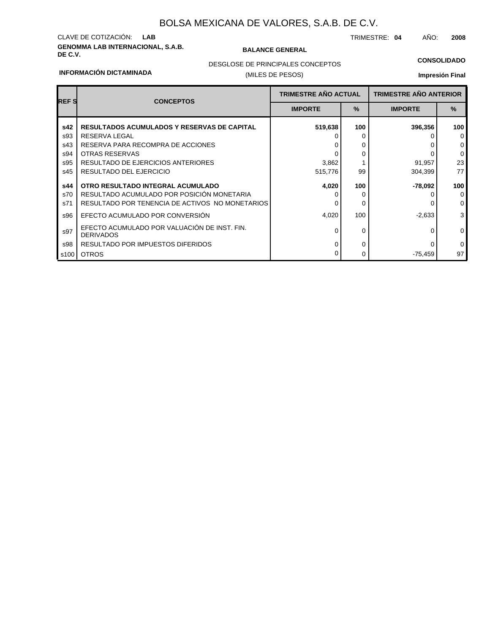# **GENOMMA LAB INTERNACIONAL, S.A.B. DE C.V. BALANCE GENERAL** CLAVE DE COTIZACIÓN: **LAB**

TRIMESTRE: **04** AÑO: **2008**

### **CONSOLIDADO**

#### **INFORMACIÓN DICTAMINADA**

### (MILES DE PESOS) DESGLOSE DE PRINCIPALES CONCEPTOS

| <b>REFS</b> | <b>CONCEPTOS</b>                                                 | <b>TRIMESTRE AÑO ACTUAL</b> |               | <b>TRIMESTRE AÑO ANTERIOR</b> |                |
|-------------|------------------------------------------------------------------|-----------------------------|---------------|-------------------------------|----------------|
|             |                                                                  | <b>IMPORTE</b>              | $\frac{9}{6}$ | <b>IMPORTE</b>                | $\frac{9}{6}$  |
| s42         | <b>RESULTADOS ACUMULADOS Y RESERVAS DE CAPITAL</b>               | 519,638                     | 100           | 396,356                       | 100            |
| s93         | <b>RESERVA LEGAL</b>                                             |                             | 0             |                               | $\mathbf 0$    |
| s43         | RESERVA PARA RECOMPRA DE ACCIONES                                |                             | 0             |                               | $\mathbf 0$    |
| s94         | <b>OTRAS RESERVAS</b>                                            |                             | 0             |                               | $\mathbf 0$    |
| s95         | RESULTADO DE EJERCICIOS ANTERIORES                               | 3,862                       |               | 91,957                        | 23             |
| s45         | RESULTADO DEL EJERCICIO                                          | 515,776                     | 99            | 304,399                       | 77             |
| s44         | OTRO RESULTADO INTEGRAL ACUMULADO                                | 4,020                       | 100           | -78,092                       | 100            |
| s70         | RESULTADO ACUMULADO POR POSICIÓN MONETARIA                       |                             | 0             |                               | $\mathbf 0$    |
| s71         | RESULTADO POR TENENCIA DE ACTIVOS NO MONETARIOS                  |                             | 0             |                               | $\mathbf 0$    |
| s96         | EFECTO ACUMULADO POR CONVERSIÓN                                  | 4,020                       | 100           | $-2,633$                      | 3 <sup>1</sup> |
| s97         | EFECTO ACUMULADO POR VALUACIÓN DE INST. FIN.<br><b>DERIVADOS</b> | <sup>0</sup>                | 0             |                               | $\mathbf 0$    |
| s98         | RESULTADO POR IMPUESTOS DIFERIDOS                                | 0                           | 0             |                               | $\mathbf 0$    |
| s100        | <b>OTROS</b>                                                     |                             | 0             | -75,459                       | 97             |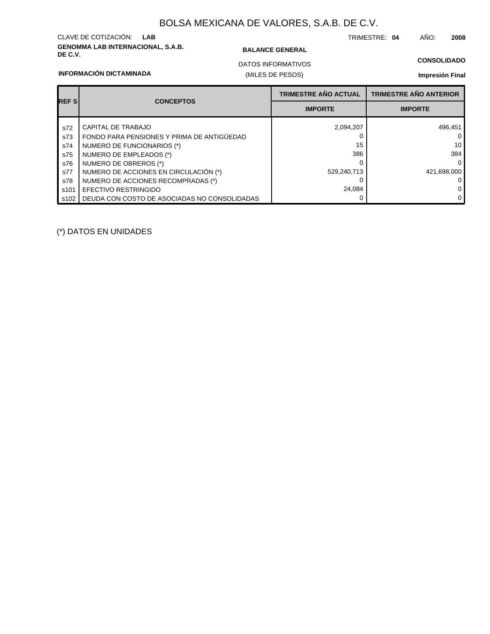# **GENOMMA LAB INTERNACIONAL, S.A.B. DE C.V. BALANCE GENERAL** CLAVE DE COTIZACIÓN: **LAB**

**INFORMACIÓN DICTAMINADA**

TRIMESTRE: **04** AÑO: **2008**

(MILES DE PESOS) DATOS INFORMATIVOS

### **CONSOLIDADO**

**Impresión Final**

|             | <b>CONCEPTOS</b>                             | <b>TRIMESTRE AÑO ACTUAL</b> | <b>TRIMESTRE AÑO ANTERIOR</b> |
|-------------|----------------------------------------------|-----------------------------|-------------------------------|
| <b>REFS</b> |                                              | <b>IMPORTE</b>              | <b>IMPORTE</b>                |
| s72         | CAPITAL DE TRABAJO                           | 2,094,207                   | 496,451                       |
| s73         | FONDO PARA PENSIONES Y PRIMA DE ANTIGÜEDAD   |                             | $\mathbf{0}$                  |
| s74         | NUMERO DE FUNCIONARIOS (*)                   | 15                          | 10                            |
| s75         | NUMERO DE EMPLEADOS (*)                      | 386                         | 384                           |
| s76         | NUMERO DE OBREROS (*)                        |                             | $\Omega$                      |
| s77         | NUMERO DE ACCIONES EN CIRCULACIÓN (*)        | 529,240,713                 | 421.698.000                   |
| s78         | NUMERO DE ACCIONES RECOMPRADAS (*)           |                             | $\mathbf{0}$                  |
| s101        | <b>EFECTIVO RESTRINGIDO</b>                  | 24.084                      | 0                             |
| s102        | DEUDA CON COSTO DE ASOCIADAS NO CONSOLIDADAS |                             | 0                             |

(\*) DATOS EN UNIDADES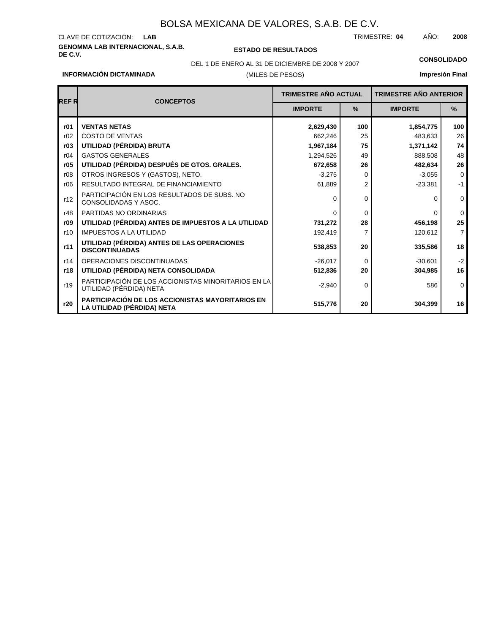# **GENOMMA LAB INTERNACIONAL, S.A.B.** CLAVE DE COTIZACIÓN:

**DE C.V. ESTADO DE RESULTADOS**

TRIMESTRE: AÑO: **LAB 04 2008**

DEL 1 DE ENERO AL 31 DE DICIEMBRE DE 2008 Y 2007 **CONSOLIDADO**

**INFORMACIÓN DICTAMINADA**

# (MILES DE PESOS)

| <b>REFR</b> | <b>CONCEPTOS</b>                                                               | <b>TRIMESTRE AÑO ACTUAL</b> |                | <b>TRIMESTRE AÑO ANTERIOR</b> |                |
|-------------|--------------------------------------------------------------------------------|-----------------------------|----------------|-------------------------------|----------------|
|             |                                                                                | <b>IMPORTE</b>              | $\%$           | <b>IMPORTE</b>                | $\%$           |
| r01         | <b>VENTAS NETAS</b>                                                            | 2,629,430                   | 100            | 1,854,775                     | 100            |
| r02         | <b>COSTO DE VENTAS</b>                                                         | 662,246                     | 25             | 483,633                       | 26             |
| r03         | UTILIDAD (PÉRDIDA) BRUTA                                                       | 1,967,184                   | 75             | 1,371,142                     | 74             |
| r04         | <b>GASTOS GENERALES</b>                                                        | 1,294,526                   | 49             | 888,508                       | 48             |
| r05         | UTILIDAD (PÉRDIDA) DESPUÉS DE GTOS. GRALES.                                    | 672,658                     | 26             | 482,634                       | 26             |
| r08         | OTROS INGRESOS Y (GASTOS), NETO.                                               | $-3,275$                    | $\Omega$       | $-3,055$                      | $\mathbf 0$    |
| r06         | RESULTADO INTEGRAL DE FINANCIAMIENTO                                           | 61,889                      | $\overline{2}$ | $-23,381$                     | $-1$           |
| r12         | PARTICIPACIÓN EN LOS RESULTADOS DE SUBS. NO<br>CONSOLIDADAS Y ASOC.            | 0                           | $\Omega$       | O                             | $\mathbf 0$    |
| r48         | PARTIDAS NO ORDINARIAS                                                         | O                           | $\Omega$       | $\Omega$                      | $\mathbf 0$    |
| r09         | UTILIDAD (PÉRDIDA) ANTES DE IMPUESTOS A LA UTILIDAD                            | 731,272                     | 28             | 456,198                       | 25             |
| r10         | <b>IMPUESTOS A LA UTILIDAD</b>                                                 | 192,419                     | 7              | 120,612                       | $\overline{7}$ |
| r11         | UTILIDAD (PÉRDIDA) ANTES DE LAS OPERACIONES<br><b>DISCONTINUADAS</b>           | 538,853                     | 20             | 335,586                       | 18             |
| r14         | OPERACIONES DISCONTINUADAS                                                     | $-26,017$                   | $\Omega$       | $-30,601$                     | $-2$           |
| r18         | UTILIDAD (PÉRDIDA) NETA CONSOLIDADA                                            | 512,836                     | 20             | 304,985                       | 16             |
| r19         | PARTICIPACIÓN DE LOS ACCIONISTAS MINORITARIOS EN LA<br>UTILIDAD (PÉRDIDA) NETA | $-2,940$                    | $\Omega$       | 586                           | $\mathbf 0$    |
| r20         | PARTICIPACIÓN DE LOS ACCIONISTAS MAYORITARIOS EN<br>LA UTILIDAD (PÉRDIDA) NETA | 515,776                     | 20             | 304,399                       | 16             |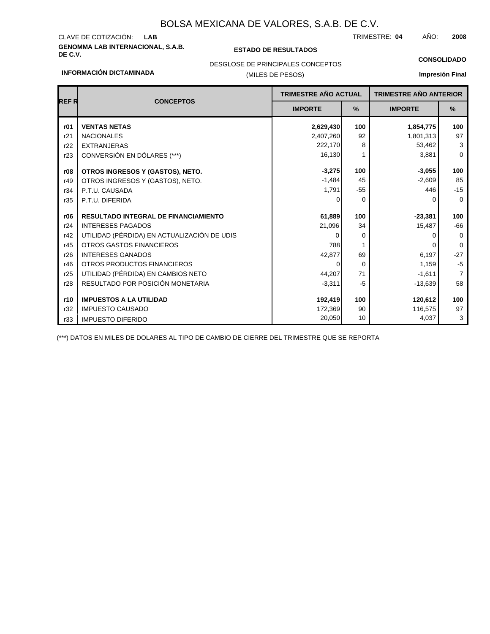# **GENOMMA LAB INTERNACIONAL, S.A.B. DE C.V. ESTADO DE RESULTADOS** CLAVE DE COTIZACIÓN:

TRIMESTRE: AÑO: **LAB 04 2008**

#### **CONSOLIDADO**

#### **INFORMACIÓN DICTAMINADA**

# (MILES DE PESOS) DESGLOSE DE PRINCIPALES CONCEPTOS

### **Impresión Final**

| <b>REFR</b> | <b>CONCEPTOS</b>                            | <b>TRIMESTRE AÑO ACTUAL</b> |          | <b>TRIMESTRE AÑO ANTERIOR</b> |                |
|-------------|---------------------------------------------|-----------------------------|----------|-------------------------------|----------------|
|             |                                             | <b>IMPORTE</b>              | %        | <b>IMPORTE</b>                | %              |
| r01         | <b>VENTAS NETAS</b>                         | 2,629,430                   | 100      | 1,854,775                     | 100            |
| r21         | <b>NACIONALES</b>                           | 2,407,260                   | 92       | 1,801,313                     | 97             |
| r22         | <b>EXTRANJERAS</b>                          | 222,170                     | 8        | 53,462                        | 3              |
| r23         | CONVERSIÓN EN DÓLARES (***)                 | 16,130                      |          | 3,881                         | $\mathbf 0$    |
| r08         | OTROS INGRESOS Y (GASTOS), NETO.            | $-3,275$                    | 100      | $-3,055$                      | 100            |
| r49         | OTROS INGRESOS Y (GASTOS), NETO.            | $-1,484$                    | 45       | $-2,609$                      | 85             |
| r34         | P.T.U. CAUSADA                              | 1,791                       | $-55$    | 446                           | $-15$          |
| r35         | P.T.U. DIFERIDA                             | ∩                           | $\Omega$ | O                             | $\Omega$       |
| r06         | <b>RESULTADO INTEGRAL DE FINANCIAMIENTO</b> | 61,889                      | 100      | $-23,381$                     | 100            |
| r24         | <b>INTERESES PAGADOS</b>                    | 21,096                      | 34       | 15,487                        | $-66$          |
| r42         | UTILIDAD (PÉRDIDA) EN ACTUALIZACIÓN DE UDIS | 0                           | $\Omega$ |                               | $\Omega$       |
| r45         | <b>OTROS GASTOS FINANCIEROS</b>             | 788                         |          |                               | $\Omega$       |
| r26         | <b>INTERESES GANADOS</b>                    | 42,877                      | 69       | 6,197                         | $-27$          |
| r46         | OTROS PRODUCTOS FINANCIEROS                 | 0                           | 0        | 1,159                         | $-5$           |
| r25         | UTILIDAD (PÉRDIDA) EN CAMBIOS NETO          | 44,207                      | 71       | $-1,611$                      | $\overline{7}$ |
| r28         | RESULTADO POR POSICIÓN MONETARIA            | $-3,311$                    | $-5$     | $-13,639$                     | 58             |
| r10         | <b>IMPUESTOS A LA UTILIDAD</b>              | 192,419                     | 100      | 120,612                       | 100            |
| r32         | <b>IMPUESTO CAUSADO</b>                     | 172,369                     | 90       | 116,575                       | 97             |
| r33         | <b>IMPUESTO DIFERIDO</b>                    | 20,050                      | 10       | 4,037                         | 3              |

(\*\*\*) DATOS EN MILES DE DOLARES AL TIPO DE CAMBIO DE CIERRE DEL TRIMESTRE QUE SE REPORTA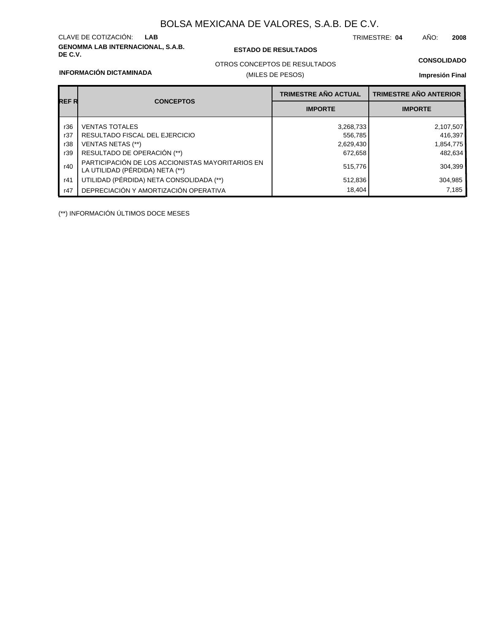# **GENOMMA LAB INTERNACIONAL, S.A.B.** CLAVE DE COTIZACIÓN:

### **DE C.V. ESTADO DE RESULTADOS**

TRIMESTRE: AÑO: **LAB 04 2008**

### **CONSOLIDADO**

#### **INFORMACIÓN DICTAMINADA**

## OTROS CONCEPTOS DE RESULTADOS

### (MILES DE PESOS)

### **Impresión Final**

| <b>REFR</b> |                                                                                     | <b>TRIMESTRE AÑO ACTUAL</b> | <b>TRIMESTRE AÑO ANTERIOR</b> |
|-------------|-------------------------------------------------------------------------------------|-----------------------------|-------------------------------|
|             | <b>CONCEPTOS</b>                                                                    | <b>IMPORTE</b>              | <b>IMPORTE</b>                |
| r36         | <b>VENTAS TOTALES</b>                                                               | 3,268,733                   | 2,107,507                     |
| r37         | RESULTADO FISCAL DEL EJERCICIO                                                      | 556,785                     | 416,397                       |
| r38         | VENTAS NETAS (**)                                                                   | 2,629,430                   | 1,854,775                     |
| r39         | RESULTADO DE OPERACIÓN (**)                                                         | 672,658                     | 482,634                       |
| r40         | PARTICIPACIÓN DE LOS ACCIONISTAS MAYORITARIOS EN<br>LA UTILIDAD (PÉRDIDA) NETA (**) | 515,776                     | 304,399                       |
| r41         | UTILIDAD (PÉRDIDA) NETA CONSOLIDADA (**)                                            | 512,836                     | 304,985                       |
| r47         | DEPRECIACIÓN Y AMORTIZACIÓN OPERATIVA                                               | 18,404                      | 7.185                         |

(\*\*) INFORMACIÓN ÚLTIMOS DOCE MESES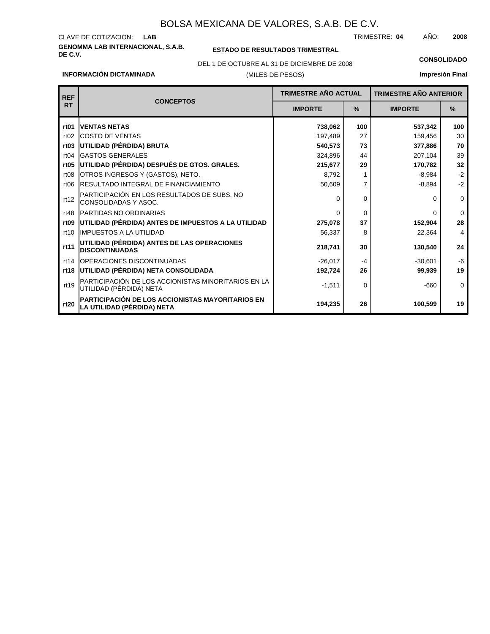### **GENOMMA LAB INTERNACIONAL, S.A.B.** CLAVE DE COTIZACIÓN: TRIMESTRE: AÑO: **LAB 04 2008**

**INFORMACIÓN DICTAMINADA**

### **ESTADO DE RESULTADOS TRIMESTRAL**

(MILES DE PESOS) DEL 1 DE OCTUBRE AL 31 DE DICIEMBRE DE 2008 **CONSOLIDADO**

| <b>REF</b>       |                                                                                | <b>TRIMESTRE AÑO ACTUAL</b> |          | <b>TRIMESTRE AÑO ANTERIOR</b> |               |
|------------------|--------------------------------------------------------------------------------|-----------------------------|----------|-------------------------------|---------------|
| <b>RT</b>        | <b>CONCEPTOS</b>                                                               | <b>IMPORTE</b>              | $\%$     | <b>IMPORTE</b>                | $\frac{9}{6}$ |
| rt <sub>01</sub> | <b>IVENTAS NETAS</b>                                                           | 738,062                     | 100      | 537,342                       | 100           |
| rt02             | <b>ICOSTO DE VENTAS</b>                                                        | 197,489                     | 27       | 159,456                       | 30            |
| rt <sub>03</sub> | UTILIDAD (PÉRDIDA) BRUTA                                                       | 540,573                     | 73       | 377,886                       | 70            |
| rt04             | <b>GASTOS GENERALES</b>                                                        | 324,896                     | 44       | 207,104                       | 39            |
| rt <sub>05</sub> | UTILIDAD (PÉRDIDA) DESPUÉS DE GTOS. GRALES.                                    | 215,677                     | 29       | 170,782                       | 32            |
| rt08             | OTROS INGRESOS Y (GASTOS), NETO.                                               | 8,792                       |          | $-8,984$                      | $-2$          |
| rt06             | <b>IRESULTADO INTEGRAL DE FINANCIAMIENTO</b>                                   | 50,609                      | 7        | $-8,894$                      | $-2$          |
| rt12             | PARTICIPACIÓN EN LOS RESULTADOS DE SUBS. NO<br>CONSOLIDADAS Y ASOC.            | 0                           | $\Omega$ | 0                             | $\Omega$      |
| rt48             | <b>PARTIDAS NO ORDINARIAS</b>                                                  | $\Omega$                    | $\Omega$ | <sup>0</sup>                  | $\Omega$      |
| rt <sub>09</sub> | UTILIDAD (PÉRDIDA) ANTES DE IMPUESTOS A LA UTILIDAD                            | 275,078                     | 37       | 152,904                       | 28            |
| rt10             | <b>IMPUESTOS A LA UTILIDAD</b>                                                 | 56,337                      | 8        | 22,364                        | 4             |
| rt11             | UTILIDAD (PÉRDIDA) ANTES DE LAS OPERACIONES<br><b>DISCONTINUADAS</b>           | 218.741                     | 30       | 130,540                       | 24            |
| rt14             | <b>IOPERACIONES DISCONTINUADAS</b>                                             | $-26.017$                   | $-4$     | $-30,601$                     | $-6$          |
| rt18             | UTILIDAD (PÉRDIDA) NETA CONSOLIDADA                                            | 192,724                     | 26       | 99,939                        | 19            |
| rt19             | PARTICIPACIÓN DE LOS ACCIONISTAS MINORITARIOS EN LA<br>UTILIDAD (PÉRDIDA) NETA | $-1,511$                    | $\Omega$ | $-660$                        | $\Omega$      |
| rt20             | PARTICIPACIÓN DE LOS ACCIONISTAS MAYORITARIOS EN<br>LA UTILIDAD (PÉRDIDA) NETA | 194,235                     | 26       | 100,599                       | 19            |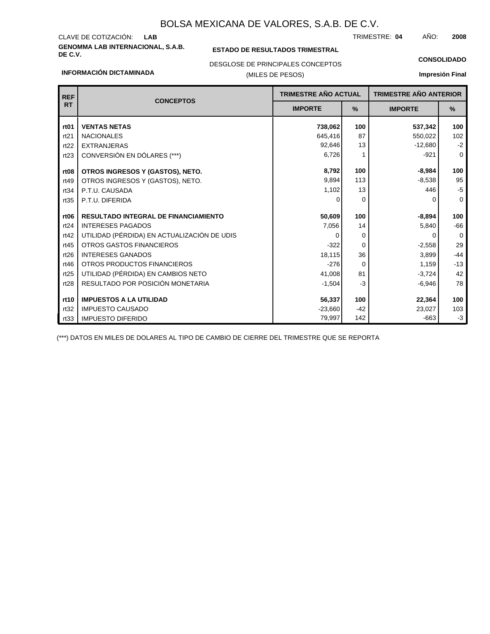# **GENOMMA LAB INTERNACIONAL, S.A.B.** CLAVE DE COTIZACIÓN:

**INFORMACIÓN DICTAMINADA**

### **ESTADO DE RESULTADOS TRIMESTRAL**

TRIMESTRE: AÑO: **LAB 04 2008**

### DESGLOSE DE PRINCIPALES CONCEPTOS

### (MILES DE PESOS)

### **CONSOLIDADO**

**Impresión Final**

| <b>REF</b>       |                                             | <b>TRIMESTRE AÑO ACTUAL</b><br><b>CONCEPTOS</b> |          | <b>TRIMESTRE AÑO ANTERIOR</b> |          |
|------------------|---------------------------------------------|-------------------------------------------------|----------|-------------------------------|----------|
| <b>RT</b>        |                                             | <b>IMPORTE</b>                                  | $\%$     | <b>IMPORTE</b>                | %        |
| rt <sub>01</sub> | <b>VENTAS NETAS</b>                         | 738,062                                         | 100      | 537,342                       | 100      |
| rt21             | <b>NACIONALES</b>                           | 645,416                                         | 87       | 550,022                       | 102      |
| rt22             | <b>EXTRANJERAS</b>                          | 92,646                                          | 13       | $-12,680$                     | $-2$     |
| rt23             | CONVERSIÓN EN DÓLARES (***)                 | 6,726                                           |          | $-921$                        | 0        |
| rt <sub>08</sub> | OTROS INGRESOS Y (GASTOS), NETO.            | 8,792                                           | 100      | $-8,984$                      | 100      |
| rt49             | OTROS INGRESOS Y (GASTOS), NETO.            | 9,894                                           | 113      | $-8,538$                      | 95       |
| rt34             | P.T.U. CAUSADA                              | 1,102                                           | 13       | 446                           | $-5$     |
| rt35             | P.T.U. DIFERIDA                             | 0                                               | 0        | <sup>0</sup>                  | $\Omega$ |
|                  |                                             |                                                 |          |                               |          |
| rt <sub>06</sub> | <b>RESULTADO INTEGRAL DE FINANCIAMIENTO</b> | 50,609                                          | 100      | $-8,894$                      | 100      |
| rt24             | <b>INTERESES PAGADOS</b>                    | 7,056                                           | 14       | 5,840                         | $-66$    |
| rt42             | UTILIDAD (PÉRDIDA) EN ACTUALIZACIÓN DE UDIS | 0                                               | 0        | 0                             | $\Omega$ |
| rt45             | <b>OTROS GASTOS FINANCIEROS</b>             | $-322$                                          | $\Omega$ | $-2,558$                      | 29       |
| rt26             | <b>INTERESES GANADOS</b>                    | 18,115                                          | 36       | 3,899                         | $-44$    |
| rt46             | OTROS PRODUCTOS FINANCIEROS                 | $-276$                                          | $\Omega$ | 1,159                         | $-13$    |
| rt25             | UTILIDAD (PÉRDIDA) EN CAMBIOS NETO          | 41,008                                          | 81       | $-3,724$                      | 42       |
| rt28             | RESULTADO POR POSICIÓN MONETARIA            | $-1,504$                                        | -3       | $-6,946$                      | 78       |
| rt10             | <b>IMPUESTOS A LA UTILIDAD</b>              | 56,337                                          | 100      | 22,364                        | 100      |
| rt32             | <b>IMPUESTO CAUSADO</b>                     |                                                 | $-42$    |                               |          |
|                  |                                             | $-23,660$                                       | 142      | 23,027<br>$-663$              | 103      |
| rt33             | <b>IMPUESTO DIFERIDO</b>                    | 79,997                                          |          |                               | $-3$     |

(\*\*\*) DATOS EN MILES DE DOLARES AL TIPO DE CAMBIO DE CIERRE DEL TRIMESTRE QUE SE REPORTA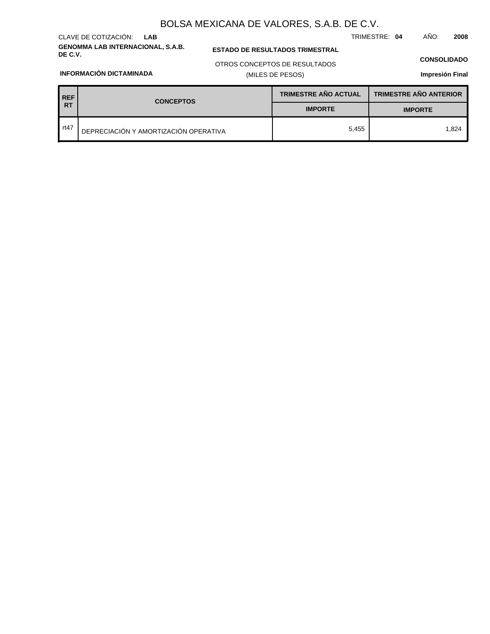# **GENOMMA LAB INTERNACIONAL, S.A.B.** CLAVE DE COTIZACIÓN: **LAB**

### **ESTADO DE RESULTADOS TRIMESTRAL**

TRIMESTRE: **04** AÑO: **2008**

(MILES DE PESOS) OTROS CONCEPTOS DE RESULTADOS

### **CONSOLIDADO**

**Impresión Final**

### **INFORMACIÓN DICTAMINADA**

| REF             | <b>CONCEPTOS</b>                      | <b>TRIMESTRE AÑO ACTUAL</b> | <b>TRIMESTRE AÑO ANTERIOR</b> |  |
|-----------------|---------------------------------------|-----------------------------|-------------------------------|--|
| <b>RT</b>       |                                       | <b>IMPORTE</b>              | <b>IMPORTE</b>                |  |
| $\sqrt{1 + 47}$ | DEPRECIACIÓN Y AMORTIZACIÓN OPERATIVA | 5.455                       | 1.824                         |  |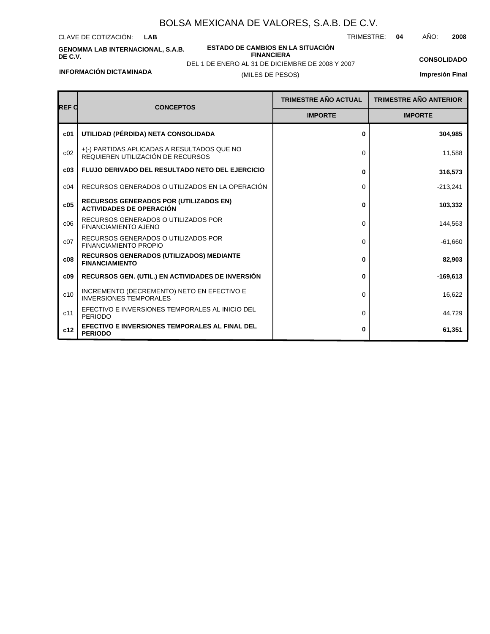CLAVE DE COTIZACIÓN: **LAB**

**GENOMMA LAB INTERNACIONAL, S.A.B. DE C.V.**

**ESTADO DE CAMBIOS EN LA SITUACIÓN FINANCIERA**

TRIMESTRE: **04** AÑO: **2008**

**CONSOLIDADO**

**INFORMACIÓN DICTAMINADA**

(MILES DE PESOS) DEL 1 DE ENERO AL 31 DE DICIEMBRE DE 2008 Y 2007

| <b>REF C</b>    | <b>CONCEPTOS</b>                                                                 | <b>TRIMESTRE AÑO ACTUAL</b> | <b>TRIMESTRE AÑO ANTERIOR</b> |
|-----------------|----------------------------------------------------------------------------------|-----------------------------|-------------------------------|
|                 |                                                                                  | <b>IMPORTE</b>              | <b>IMPORTE</b>                |
| c <sub>01</sub> | UTILIDAD (PÉRDIDA) NETA CONSOLIDADA                                              | 0                           | 304,985                       |
| c02             | +(-) PARTIDAS APLICADAS A RESULTADOS QUE NO<br>REQUIEREN UTILIZACIÓN DE RECURSOS | 0                           | 11,588                        |
| c03             | <b>FLUJO DERIVADO DEL RESULTADO NETO DEL EJERCICIO</b>                           | 0                           | 316,573                       |
| c04             | RECURSOS GENERADOS O UTILIZADOS EN LA OPERACIÓN                                  | 0                           | $-213,241$                    |
| c05             | <b>RECURSOS GENERADOS POR (UTILIZADOS EN)</b><br><b>ACTIVIDADES DE OPERACIÓN</b> | 0                           | 103,332                       |
| C <sub>06</sub> | RECURSOS GENERADOS O UTILIZADOS POR<br><b>FINANCIAMIENTO AJENO</b>               | 0                           | 144,563                       |
| c07             | RECURSOS GENERADOS O UTILIZADOS POR<br><b>FINANCIAMIENTO PROPIO</b>              | $\Omega$                    | $-61,660$                     |
| c08             | RECURSOS GENERADOS (UTILIZADOS) MEDIANTE<br><b>FINANCIAMIENTO</b>                | 0                           | 82,903                        |
| c09             | <b>RECURSOS GEN. (UTIL.) EN ACTIVIDADES DE INVERSIÓN</b>                         | 0                           | $-169,613$                    |
| c10             | INCREMENTO (DECREMENTO) NETO EN EFECTIVO E<br><b>INVERSIONES TEMPORALES</b>      | 0                           | 16,622                        |
| c11             | EFECTIVO E INVERSIONES TEMPORALES AL INICIO DEL<br><b>PERIODO</b>                | 0                           | 44,729                        |
| c12             | EFECTIVO E INVERSIONES TEMPORALES AL FINAL DEL<br><b>PERIODO</b>                 | 0                           | 61,351                        |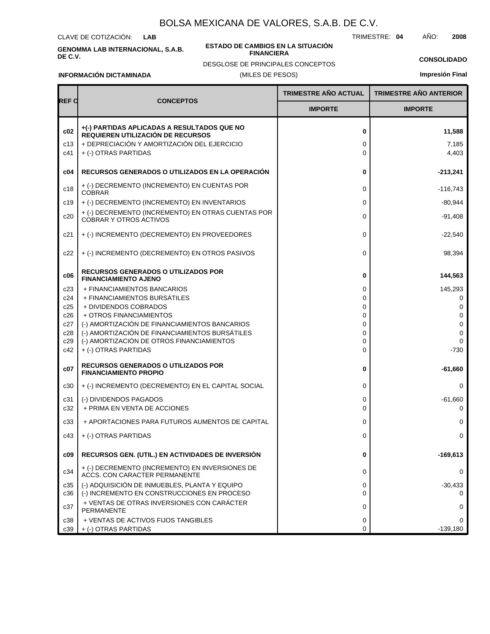CLAVE DE COTIZACIÓN: **LAB**

**GENOMMA LAB INTERNACIONAL, S.A.B. DE C.V.**

#### **ESTADO DE CAMBIOS EN LA SITUACIÓN FINANCIERA**

TRIMESTRE: **04** AÑO: **2008**

**CONSOLIDADO**

**INFORMACIÓN DICTAMINADA**

### (MILES DE PESOS) DESGLOSE DE PRINCIPALES CONCEPTOS

|                   |                                                                                                                                                         | <b>TRIMESTRE AÑO ACTUAL</b> | <b>TRIMESTRE AÑO ANTERIOR</b> |
|-------------------|---------------------------------------------------------------------------------------------------------------------------------------------------------|-----------------------------|-------------------------------|
| REF C             | <b>CONCEPTOS</b>                                                                                                                                        | <b>IMPORTE</b>              | <b>IMPORTE</b>                |
| c02<br>c13<br>c41 | +(-) PARTIDAS APLICADAS A RESULTADOS QUE NO<br>REQUIEREN UTILIZACIÓN DE RECURSOS<br>+ DEPRECIACIÓN Y AMORTIZACIÓN DEL EJERCICIO<br>+ (-) OTRAS PARTIDAS | 0<br>0<br>$\Omega$          | 11,588<br>7,185<br>4,403      |
| c04               | RECURSOS GENERADOS O UTILIZADOS EN LA OPERACIÓN                                                                                                         | 0                           | $-213,241$                    |
| c18               | + (-) DECREMENTO (INCREMENTO) EN CUENTAS POR<br><b>COBRAR</b>                                                                                           | $\mathbf 0$                 | $-116,743$                    |
| c19               | + (-) DECREMENTO (INCREMENTO) EN INVENTARIOS                                                                                                            | $\mathbf 0$                 | $-80,944$                     |
| c20               | + (-) DECREMENTO (INCREMENTO) EN OTRAS CUENTAS POR<br><b>COBRAR Y OTROS ACTIVOS</b>                                                                     | $\mathbf 0$                 | $-91,408$                     |
| c21               | + (-) INCREMENTO (DECREMENTO) EN PROVEEDORES                                                                                                            | $\mathbf 0$                 | $-22,540$                     |
| c22               | + (-) INCREMENTO (DECREMENTO) EN OTROS PASIVOS                                                                                                          | $\mathbf 0$                 | 98,394                        |
| c06               | <b>RECURSOS GENERADOS O UTILIZADOS POR</b><br><b>FINANCIAMIENTO AJENO</b>                                                                               | 0                           | 144,563                       |
| c23               | + FINANCIAMIENTOS BANCARIOS                                                                                                                             | 0                           | 145,293                       |
| c24               | + FINANCIAMIENTOS BURSÁTILES<br>+ DIVIDENDOS COBRADOS                                                                                                   | 0<br>0                      | 0<br>$\Omega$                 |
| c25<br>c26        | + OTROS FINANCIAMIENTOS                                                                                                                                 | 0                           | $\mathbf 0$                   |
| c27               | (-) AMORTIZACIÓN DE FINANCIAMIENTOS BANCARIOS                                                                                                           | 0                           | 0                             |
| c28               | (-) AMORTIZACIÓN DE FINANCIAMIENTOS BURSÁTILES                                                                                                          | 0                           | 0                             |
| c29<br>c42        | (-) AMORTIZACIÓN DE OTROS FINANCIAMIENTOS<br>+ (-) OTRAS PARTIDAS                                                                                       | 0<br>$\Omega$               | $\Omega$<br>$-730$            |
| c07               | <b>RECURSOS GENERADOS O UTILIZADOS POR</b><br><b>FINANCIAMIENTO PROPIO</b>                                                                              | 0                           | $-61,660$                     |
| c30               | + (-) INCREMENTO (DECREMENTO) EN EL CAPITAL SOCIAL                                                                                                      | $\mathbf 0$                 | 0                             |
| c31               | (-) DIVIDENDOS PAGADOS                                                                                                                                  | 0                           | $-61,660$                     |
| c32               | + PRIMA EN VENTA DE ACCIONES                                                                                                                            | $\Omega$                    | 0                             |
| c33               | + APORTACIONES PARA FUTUROS AUMENTOS DE CAPITAL                                                                                                         | 0                           | 0                             |
| c43               | + (-) OTRAS PARTIDAS                                                                                                                                    | 0                           | 0                             |
| c09               | RECURSOS GEN. (UTIL.) EN ACTIVIDADES DE INVERSIÓN                                                                                                       | 0                           | $-169,613$                    |
| c34               | + (-) DECREMENTO (INCREMENTO) EN INVERSIONES DE<br>ACCS. CON CARACTER PERMANENTE                                                                        | 0                           | 0                             |
| c35<br>c36        | (-) ADQUISICIÓN DE INMUEBLES, PLANTA Y EQUIPO<br>(-) INCREMENTO EN CONSTRUCCIONES EN PROCESO                                                            | 0<br>$\mathbf 0$            | $-30,433$<br>0                |
| c37               | + VENTAS DE OTRAS INVERSIONES CON CARÁCTER<br>PERMANENTE                                                                                                | 0                           | 0                             |
| c38               | + VENTAS DE ACTIVOS FIJOS TANGIBLES                                                                                                                     | 0                           | 0                             |
| c39               | + (-) OTRAS PARTIDAS                                                                                                                                    | 0                           | $-139.180$                    |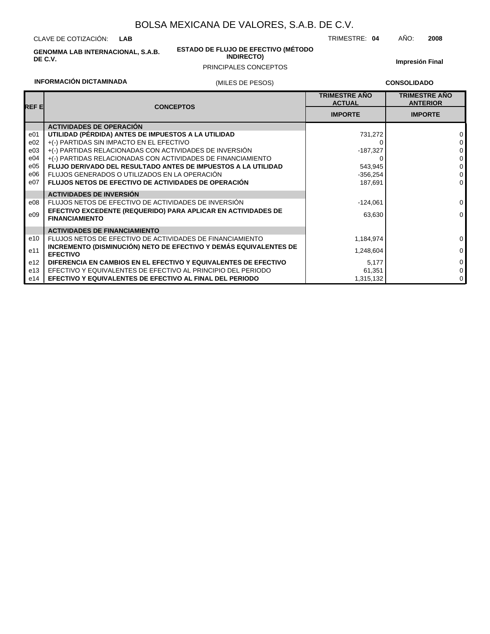CLAVE DE COTIZACIÓN: **LAB**

**GENOMMA LAB INTERNACIONAL, S.A.B. DE C.V.**

#### **ESTADO DE FLUJO DE EFECTIVO (MÉTODO INDIRECTO)**

PRINCIPALES CONCEPTOS

**Impresión Final**

### **INFORMACIÓN DICTAMINADA**

### (MILES DE PESOS)

**CONSOLIDADO**

TRIMESTRE: **04** AÑO: **2008**

| REF EI          | <b>CONCEPTOS</b>                                                                       | <b>TRIMESTRE AÑO</b><br><b>ACTUAL</b> | <b>TRIMESTRE ANO</b><br><b>ANTERIOR</b> |
|-----------------|----------------------------------------------------------------------------------------|---------------------------------------|-----------------------------------------|
|                 |                                                                                        | <b>IMPORTE</b>                        | <b>IMPORTE</b>                          |
|                 | <b>ACTIVIDADES DE OPERACIÓN</b>                                                        |                                       |                                         |
| e01             | UTILIDAD (PÉRDIDA) ANTES DE IMPUESTOS A LA UTILIDAD                                    | 731,272                               | $\Omega$                                |
| e02             | +(-) PARTIDAS SIN IMPACTO EN EL EFECTIVO                                               |                                       | 0                                       |
| e03             | +(-) PARTIDAS RELACIONADAS CON ACTIVIDADES DE INVERSIÓN                                | $-187,327$                            | 0                                       |
| e04             | +(-) PARTIDAS RELACIONADAS CON ACTIVIDADES DE FINANCIAMIENTO                           |                                       | 0                                       |
| e05             | <b>FLUJO DERIVADO DEL RESULTADO ANTES DE IMPUESTOS A LA UTILIDAD</b>                   | 543,945                               | $\mathbf 0$                             |
| e06             | FLUJOS GENERADOS O UTILIZADOS EN LA OPERACIÓN                                          | $-356,254$                            | 0                                       |
| e07             | <b>FLUJOS NETOS DE EFECTIVO DE ACTIVIDADES DE OPERACIÓN</b>                            | 187,691                               | $\mathbf 0$                             |
|                 | <b>ACTIVIDADES DE INVERSIÓN</b>                                                        |                                       |                                         |
| e08             | FLUJOS NETOS DE EFECTIVO DE ACTIVIDADES DE INVERSIÓN                                   | $-124,061$                            | $\mathbf 0$                             |
| e09             | EFECTIVO EXCEDENTE (REQUERIDO) PARA APLICAR EN ACTIVIDADES DE<br><b>FINANCIAMIENTO</b> | 63,630                                | $\mathbf 0$                             |
|                 | <b>ACTIVIDADES DE FINANCIAMIENTO</b>                                                   |                                       |                                         |
| e10             | FLUJOS NETOS DE EFECTIVO DE ACTIVIDADES DE FINANCIAMIENTO                              | 1,184,974                             | $\Omega$                                |
| e11             | INCREMENTO (DISMINUCIÓN) NETO DE EFECTIVO Y DEMÁS EQUIVALENTES DE<br><b>EFECTIVO</b>   | 1,248,604                             | $\Omega$                                |
| e <sub>12</sub> | DIFERENCIA EN CAMBIOS EN EL EFECTIVO Y EQUIVALENTES DE EFECTIVO                        | 5,177                                 | $\mathbf 0$                             |
| e13             | EFECTIVO Y EQUIVALENTES DE EFECTIVO AL PRINCIPIO DEL PERIODO                           | 61,351                                | $\mathbf 0$                             |
| e14             | EFECTIVO Y EQUIVALENTES DE EFECTIVO AL FINAL DEL PERIODO                               | 1,315,132                             | 0                                       |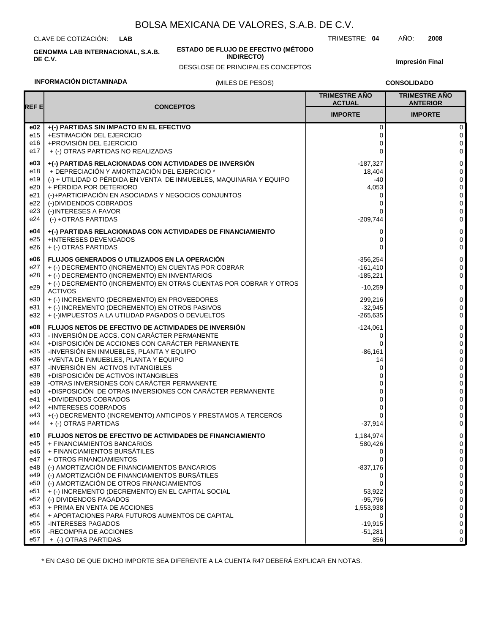CLAVE DE COTIZACIÓN: **LAB**

**GENOMMA LAB INTERNACIONAL, S.A.B. DE C.V.**

#### **ESTADO DE FLUJO DE EFECTIVO (MÉTODO INDIRECTO)**

DESGLOSE DE PRINCIPALES CONCEPTOS

**Impresión Final**

### **INFORMACIÓN DICTAMINADA**

### (MILES DE PESOS)

**CONSOLIDADO**

|                                               |                                                                                                                                                                                                                                                                                                                                                                                                          | <b>TRIMESTRE AÑO</b><br><b>ACTUAL</b>                                                     | <b>TRIMESTRE AÑO</b><br><b>ANTERIOR</b>   |
|-----------------------------------------------|----------------------------------------------------------------------------------------------------------------------------------------------------------------------------------------------------------------------------------------------------------------------------------------------------------------------------------------------------------------------------------------------------------|-------------------------------------------------------------------------------------------|-------------------------------------------|
| REF E                                         | <b>CONCEPTOS</b>                                                                                                                                                                                                                                                                                                                                                                                         | <b>IMPORTE</b>                                                                            | <b>IMPORTE</b>                            |
| e02                                           | +(-) PARTIDAS SIN IMPACTO EN EL EFECTIVO                                                                                                                                                                                                                                                                                                                                                                 | $\mathbf 0$                                                                               | 0                                         |
| e15                                           | +ESTIMACIÓN DEL EJERCICIO                                                                                                                                                                                                                                                                                                                                                                                | 0                                                                                         | 0                                         |
| e16                                           | +PROVISIÓN DEL EJERCICIO                                                                                                                                                                                                                                                                                                                                                                                 | 0                                                                                         | 0                                         |
| e17                                           | + (-) OTRAS PARTIDAS NO REALIZADAS                                                                                                                                                                                                                                                                                                                                                                       | $\Omega$                                                                                  | $\mathbf 0$                               |
| e03                                           | +(-) PARTIDAS RELACIONADAS CON ACTIVIDADES DE INVERSIÓN                                                                                                                                                                                                                                                                                                                                                  | $-187,327$                                                                                | 0                                         |
| e18                                           | + DEPRECIACIÓN Y AMORTIZACIÓN DEL EJERCICIO *                                                                                                                                                                                                                                                                                                                                                            | 18,404                                                                                    | 0                                         |
| e19                                           | (-) + UTILIDAD O PÉRDIDA EN VENTA DE INMUEBLES, MAQUINARIA Y EQUIPO                                                                                                                                                                                                                                                                                                                                      | -40                                                                                       | 0                                         |
| e20                                           | + PÉRDIDA POR DETERIORO                                                                                                                                                                                                                                                                                                                                                                                  | 4,053                                                                                     | 0                                         |
| e21                                           | (-)+PARTICIPACIÓN EN ASOCIADAS Y NEGOCIOS CONJUNTOS                                                                                                                                                                                                                                                                                                                                                      | 0                                                                                         | 0                                         |
| e22                                           | (-)DIVIDENDOS COBRADOS                                                                                                                                                                                                                                                                                                                                                                                   | 0                                                                                         | 0                                         |
| e23                                           | (-)INTERESES A FAVOR                                                                                                                                                                                                                                                                                                                                                                                     | 0                                                                                         | 0                                         |
| e24                                           | (-) +OTRAS PARTIDAS                                                                                                                                                                                                                                                                                                                                                                                      | $-209,744$                                                                                | 0                                         |
| e04                                           | +(-) PARTIDAS RELACIONADAS CON ACTIVIDADES DE FINANCIAMIENTO                                                                                                                                                                                                                                                                                                                                             | 0                                                                                         | 0                                         |
| e25                                           | +INTERESES DEVENGADOS                                                                                                                                                                                                                                                                                                                                                                                    | 0                                                                                         | 0                                         |
| e26                                           | + (-) OTRAS PARTIDAS                                                                                                                                                                                                                                                                                                                                                                                     | $\Omega$                                                                                  | $\mathbf 0$                               |
| e06<br>e27<br>e28<br>e29<br>e30<br>e31<br>e32 | <b>FLUJOS GENERADOS O UTILIZADOS EN LA OPERACIÓN</b><br>+ (-) DECREMENTO (INCREMENTO) EN CUENTAS POR COBRAR<br>+ (-) DECREMENTO (INCREMENTO) EN INVENTARIOS<br>+ (-) DECREMENTO (INCREMENTO) EN OTRAS CUENTAS POR COBRAR Y OTROS<br><b>ACTIVOS</b><br>+ (-) INCREMENTO (DECREMENTO) EN PROVEEDORES<br>+ (-) INCREMENTO (DECREMENTO) EN OTROS PASIVOS<br>+ (-)IMPUESTOS A LA UTILIDAD PAGADOS O DEVUELTOS | $-356.254$<br>$-161,410$<br>$-185,221$<br>$-10,259$<br>299,216<br>$-32,945$<br>$-265,635$ | 0<br>0<br>0<br>$\mathbf 0$<br>0<br>0<br>0 |
| e08                                           | FLUJOS NETOS DE EFECTIVO DE ACTIVIDADES DE INVERSIÓN                                                                                                                                                                                                                                                                                                                                                     | $-124,061$                                                                                | 0                                         |
| e33                                           | - INVERSIÓN DE ACCS. CON CARÁCTER PERMANENTE                                                                                                                                                                                                                                                                                                                                                             | 0                                                                                         | 0                                         |
| e34                                           | +DISPOSICIÓN DE ACCIONES CON CARÁCTER PERMANENTE                                                                                                                                                                                                                                                                                                                                                         | $\Omega$                                                                                  | 0                                         |
| e35                                           | -INVERSIÓN EN INMUEBLES, PLANTA Y EQUIPO                                                                                                                                                                                                                                                                                                                                                                 | $-86,161$                                                                                 | 0                                         |
| e36                                           | +VENTA DE INMUEBLES, PLANTA Y EQUIPO                                                                                                                                                                                                                                                                                                                                                                     | 14                                                                                        | 0                                         |
| e37                                           | -INVERSIÓN EN ACTIVOS INTANGIBLES                                                                                                                                                                                                                                                                                                                                                                        | 0                                                                                         | 0                                         |
| e38                                           | +DISPOSICIÓN DE ACTIVOS INTANGIBLES                                                                                                                                                                                                                                                                                                                                                                      | 0                                                                                         | 0                                         |
| e39                                           | -OTRAS INVERSIONES CON CARÁCTER PERMANENTE                                                                                                                                                                                                                                                                                                                                                               | 0                                                                                         | 0                                         |
| e40                                           | +DISPOSICIÓN DE OTRAS INVERSIONES CON CARÁCTER PERMANENTE                                                                                                                                                                                                                                                                                                                                                | 0                                                                                         | 0                                         |
| e41                                           | +DIVIDENDOS COBRADOS                                                                                                                                                                                                                                                                                                                                                                                     | 0                                                                                         | 0                                         |
| e42                                           | <b>+INTERESES COBRADOS</b>                                                                                                                                                                                                                                                                                                                                                                               | 0                                                                                         | 0                                         |
| e43                                           | +(-) DECREMENTO (INCREMENTO) ANTICIPOS Y PRESTAMOS A TERCEROS                                                                                                                                                                                                                                                                                                                                            | $\Omega$                                                                                  | 0                                         |
| e44                                           | + (-) OTRAS PARTIDAS                                                                                                                                                                                                                                                                                                                                                                                     | $-37,914$                                                                                 | 0                                         |
| e10                                           | <b>FLUJOS NETOS DE EFECTIVO DE ACTIVIDADES DE FINANCIAMIENTO</b>                                                                                                                                                                                                                                                                                                                                         | 1,184,974                                                                                 | 0                                         |
| e45                                           | + FINANCIAMIENTOS BANCARIOS                                                                                                                                                                                                                                                                                                                                                                              | 580,426                                                                                   | 0                                         |
| e46                                           | + FINANCIAMIENTOS BURSATILES                                                                                                                                                                                                                                                                                                                                                                             | 0                                                                                         | 0                                         |
| e47                                           | + OTROS FINANCIAMIENTOS                                                                                                                                                                                                                                                                                                                                                                                  | 0                                                                                         | 0                                         |
| e48                                           | (-) AMORTIZACIÓN DE FINANCIAMIENTOS BANCARIOS                                                                                                                                                                                                                                                                                                                                                            | $-837,176$                                                                                | 0                                         |
| e49                                           | (-) AMORTIZACIÓN DE FINANCIAMIENTOS BURSÁTILES                                                                                                                                                                                                                                                                                                                                                           | 0                                                                                         | 0                                         |
| e50                                           | (-) AMORTIZACIÓN DE OTROS FINANCIAMIENTOS                                                                                                                                                                                                                                                                                                                                                                | $\Omega$                                                                                  | 0                                         |
| e51                                           | + (-) INCREMENTO (DECREMENTO) EN EL CAPITAL SOCIAL                                                                                                                                                                                                                                                                                                                                                       | 53,922                                                                                    | 0                                         |
| e52                                           | (-) DIVIDENDOS PAGADOS                                                                                                                                                                                                                                                                                                                                                                                   | $-95,796$                                                                                 | 0                                         |
| e <sub>53</sub>                               | + PRIMA EN VENTA DE ACCIONES                                                                                                                                                                                                                                                                                                                                                                             | 1,553,938                                                                                 | 0                                         |
| e54                                           | + APORTACIONES PARA FUTUROS AUMENTOS DE CAPITAL                                                                                                                                                                                                                                                                                                                                                          | 0                                                                                         | 0                                         |
| e55                                           | <b>INTERESES PAGADOS</b>                                                                                                                                                                                                                                                                                                                                                                                 | $-19,915$                                                                                 | 0                                         |
| e56                                           | -RECOMPRA DE ACCIONES                                                                                                                                                                                                                                                                                                                                                                                    | $-51,281$                                                                                 | 0                                         |
| e57                                           | + (-) OTRAS PARTIDAS                                                                                                                                                                                                                                                                                                                                                                                     | 856                                                                                       | 0                                         |

\* EN CASO DE QUE DICHO IMPORTE SEA DIFERENTE A LA CUENTA R47 DEBERÁ EXPLICAR EN NOTAS.

TRIMESTRE: **04** AÑO: **2008**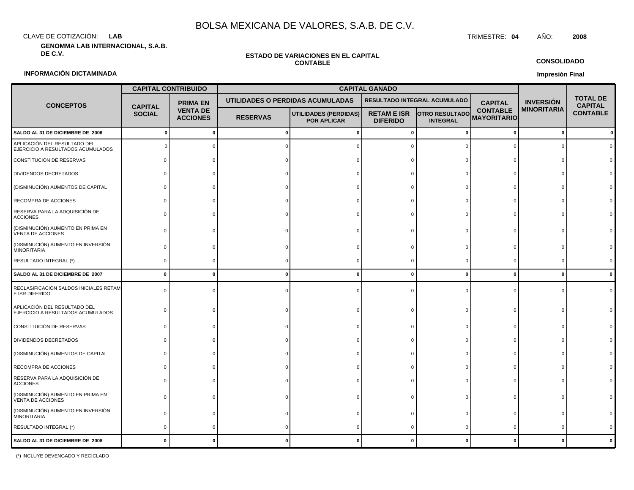CLAVE DE COTIZACIÓN: TRIMESTRE: **04** AÑO: **2008 LAB**

**GENOMMA LAB INTERNACIONAL, S.A.B.**

#### **ESTADO DE VARIACIONES EN EL CAPITAL CONTABLE**

### **INFORMACIÓN DICTAMINADA**

|                                                                   | <b>CAPITAL CONTRIBUIDO</b>      |                                    |                                  |                                                    | <b>CAPITAL GANADO</b>                 |                                          |                                       |                    |                                   |
|-------------------------------------------------------------------|---------------------------------|------------------------------------|----------------------------------|----------------------------------------------------|---------------------------------------|------------------------------------------|---------------------------------------|--------------------|-----------------------------------|
| <b>CONCEPTOS</b>                                                  |                                 | <b>PRIMA EN</b>                    | UTILIDADES O PERDIDAS ACUMULADAS |                                                    | RESULTADO INTEGRAL ACUMULADO          |                                          | <b>CAPITAL</b>                        | <b>INVERSIÓN</b>   | <b>TOTAL DE</b><br><b>CAPITAL</b> |
|                                                                   | <b>CAPITAL</b><br><b>SOCIAL</b> | <b>VENTA DE</b><br><b>ACCIONES</b> | <b>RESERVAS</b>                  | <b>UTILIDADES (PERDIDAS)</b><br><b>POR APLICAR</b> | <b>RETAM E ISR</b><br><b>DIFERIDO</b> | <b>OTRO RESULTADO</b><br><b>INTEGRAL</b> | <b>CONTABLE</b><br><b>MAYORITARIO</b> | <b>MINORITARIA</b> | <b>CONTABLE</b>                   |
| SALDO AL 31 DE DICIEMBRE DE 2006                                  | - 0                             | $\mathbf 0$                        | ŋ                                | n                                                  |                                       | $\Omega$                                 | $\mathbf{0}$                          | $\mathbf 0$        |                                   |
| APLICACIÓN DEL RESULTADO DEL<br>EJERCICIO A RESULTADOS ACUMULADOS |                                 |                                    |                                  |                                                    |                                       |                                          |                                       |                    |                                   |
| CONSTITUCIÓN DE RESERVAS                                          |                                 |                                    |                                  |                                                    |                                       |                                          |                                       |                    |                                   |
| DIVIDENDOS DECRETADOS                                             |                                 |                                    |                                  |                                                    |                                       |                                          |                                       |                    |                                   |
| (DISMINUCIÓN) AUMENTOS DE CAPITAL                                 |                                 |                                    |                                  |                                                    |                                       |                                          |                                       |                    |                                   |
| RECOMPRA DE ACCIONES                                              |                                 |                                    |                                  |                                                    |                                       |                                          |                                       |                    |                                   |
| RESERVA PARA LA ADQUISICIÓN DE<br><b>ACCIONES</b>                 |                                 |                                    |                                  |                                                    |                                       |                                          |                                       |                    |                                   |
| (DISMINUCIÓN) AUMENTO EN PRIMA EN<br>VENTA DE ACCIONES            |                                 |                                    |                                  |                                                    |                                       |                                          |                                       |                    |                                   |
| (DISMINUCIÓN) AUMENTO EN INVERSIÓN<br><b>MINORITARIA</b>          |                                 |                                    |                                  |                                                    |                                       |                                          |                                       |                    |                                   |
| RESULTADO INTEGRAL (*)                                            |                                 |                                    |                                  |                                                    |                                       |                                          |                                       |                    |                                   |
| SALDO AL 31 DE DICIEMBRE DE 2007                                  | $\bf{0}$                        | $\Omega$                           | O                                |                                                    | $\Omega$                              | $\Omega$                                 | $\mathbf 0$                           | $\mathbf{0}$       |                                   |
| RECLASIFICACIÓN SALDOS INICIALES RETAM<br>E ISR DIFERIDO          |                                 |                                    |                                  |                                                    |                                       |                                          |                                       |                    |                                   |
| APLICACIÓN DEL RESULTADO DEL<br>EJERCICIO A RESULTADOS ACUMULADOS |                                 |                                    |                                  |                                                    |                                       |                                          |                                       |                    |                                   |
| CONSTITUCIÓN DE RESERVAS                                          |                                 |                                    |                                  |                                                    |                                       |                                          |                                       |                    |                                   |
| DIVIDENDOS DECRETADOS                                             |                                 |                                    |                                  |                                                    |                                       |                                          |                                       |                    |                                   |
| (DISMINUCIÓN) AUMENTOS DE CAPITAL                                 |                                 |                                    |                                  |                                                    |                                       |                                          |                                       |                    |                                   |
| RECOMPRA DE ACCIONES                                              |                                 |                                    |                                  |                                                    |                                       |                                          |                                       |                    |                                   |
| RESERVA PARA LA ADQUISICIÓN DE<br><b>ACCIONES</b>                 |                                 |                                    |                                  |                                                    |                                       |                                          |                                       |                    |                                   |
| (DISMINUCIÓN) AUMENTO EN PRIMA EN<br><b>JENTA DE ACCIONIES</b>    | $\Omega$                        |                                    |                                  |                                                    |                                       |                                          |                                       |                    |                                   |

**CONSOLIDADO**

 

**Impresión Final**

(\*) INCLUYE DEVENGADO Y RECICLADO

**SALDO AL 31 DE DICIEMBRE DE 2008 0**

  $\Omega$   $\Omega$ 

**0**

  $\Omega$ 

 $\overline{0}$ 

**0**

  $\Omega$    $\Omega$ 

**0**

  $\Omega$    $\Omega$ 

**0**

  $\Omega$ 

(DISMINUCIÓN) AUMENTO EN INVERSIÓN

VENTA DE ACCIONES

RESULTADO INTEGRAL (\*)

**MINORITARIA**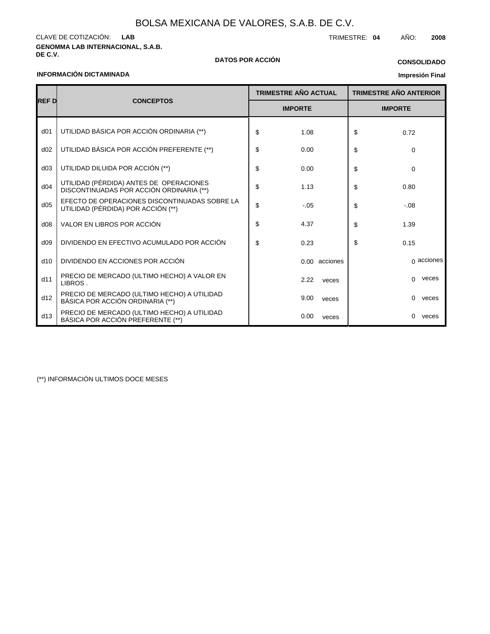**GENOMMA LAB INTERNACIONAL, S.A.B.** CLAVE DE COTIZACIÓN: TRIMESTRE: **04** AÑO: **2008 LAB**

**DE C.V. DATOS POR ACCIÓN**

### **CONSOLIDADO**

### **INFORMACIÓN DICTAMINADA**

### **Impresión Final**

|                 |                                                                                     |    | <b>TRIMESTRE AÑO ACTUAL</b> | <b>TRIMESTRE AÑO ANTERIOR</b> |                   |  |
|-----------------|-------------------------------------------------------------------------------------|----|-----------------------------|-------------------------------|-------------------|--|
| <b>REF D</b>    | <b>CONCEPTOS</b>                                                                    |    | <b>IMPORTE</b>              |                               | <b>IMPORTE</b>    |  |
| d <sub>01</sub> | UTILIDAD BÁSICA POR ACCIÓN ORDINARIA (**)                                           | \$ | 1.08                        | \$                            | 0.72              |  |
| d02             | UTILIDAD BÁSICA POR ACCIÓN PREFERENTE (**)                                          | \$ | 0.00                        | \$                            | 0                 |  |
| d03             | UTILIDAD DILUIDA POR ACCIÓN (**)                                                    | \$ | 0.00                        | \$                            | $\Omega$          |  |
| d04             | UTILIDAD (PÉRDIDA) ANTES DE OPERACIONES<br>DISCONTINUADAS POR ACCIÓN ORDINARIA (**) | \$ | 1.13                        | \$                            | 0.80              |  |
| d05             | EFECTO DE OPERACIONES DISCONTINUADAS SOBRE LA<br>UTILIDAD (PÉRDIDA) POR ACCIÓN (**) | \$ | $-.05$                      | \$                            | $-0.08$           |  |
| d08             | VALOR EN LIBROS POR ACCIÓN                                                          | \$ | 4.37                        | \$                            | 1.39              |  |
| d09             | DIVIDENDO EN EFECTIVO ACUMULADO POR ACCIÓN                                          | \$ | 0.23                        | \$                            | 0.15              |  |
| d10             | DIVIDENDO EN ACCIONES POR ACCIÓN                                                    |    | 0.00 acciones               |                               | $\alpha$ acciones |  |
| d11             | PRECIO DE MERCADO (ULTIMO HECHO) A VALOR EN<br>LIBROS.                              |    | 2.22<br>veces               |                               | veces<br>0        |  |
| d12             | PRECIO DE MERCADO (ULTIMO HECHO) A UTILIDAD<br>BÁSICA POR ACCIÓN ORDINARIA (**)     |    | 9.00<br>veces               |                               | 0<br>veces        |  |
| d13             | PRECIO DE MERCADO (ULTIMO HECHO) A UTILIDAD<br>BÁSICA POR ACCIÓN PREFERENTE (**)    |    | 0.00<br>veces               |                               | $\Omega$<br>veces |  |

(\*\*) INFORMACIÓN ULTIMOS DOCE MESES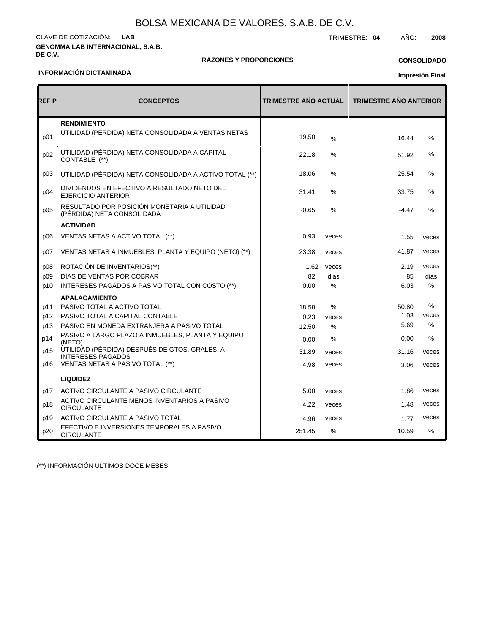#### **GENOMMA LAB INTERNACIONAL, S.A.B. DE C.V.** CLAVE DE COTIZACIÓN: TRIMESTRE: **04** AÑO: **2008 LAB**

### **RAZONES Y PROPORCIONES**

# **CONSOLIDADO**

### **INFORMACIÓN DICTAMINADA**

ă

# **Impresión Final**

1.48 veces

1.77 10.59 veces %

| REF P | <b>CONCEPTOS</b>                                                          | TRIMESTRE AÑO ACTUAL |               | <b>TRIMESTRE AÑO ANTERIOR</b> |               |
|-------|---------------------------------------------------------------------------|----------------------|---------------|-------------------------------|---------------|
|       | <b>RENDIMIENTO</b>                                                        |                      |               |                               |               |
| p01   | UTILIDAD (PÉRDIDA) NETA CONSOLIDADA A VENTAS NETAS                        | 19.50                | $\frac{0}{0}$ | 16.44                         | %             |
| p02   | UTILIDAD (PÉRDIDA) NETA CONSOLIDADA A CAPITAL<br>CONTABLE (**)            | 22.18                | $\%$          | 51.92                         | $\%$          |
| p03   | UTILIDAD (PÉRDIDA) NETA CONSOLIDADA A ACTIVO TOTAL (**)                   | 18.06                | $\%$          | 25.54                         | %             |
| p04   | DIVIDENDOS EN EFECTIVO A RESULTADO NETO DEL<br><b>EJERCICIO ANTERIOR</b>  | 31.41                | $\frac{0}{0}$ | 33.75                         | $\frac{0}{0}$ |
| p05   | RESULTADO POR POSICIÓN MONETARIA A UTILIDAD<br>(PÉRDIDA) NETA CONSOLIDADA | $-0.65$              | $\frac{9}{6}$ | $-4.47$                       | $\%$          |
|       | <b>ACTIVIDAD</b>                                                          |                      |               |                               |               |
| p06   | VENTAS NETAS A ACTIVO TOTAL (**)                                          | 0.93                 | veces         | 1.55                          | veces         |
| p07   | VENTAS NETAS A INMUEBLES, PLANTA Y EQUIPO (NETO) (**)                     | 23.38                | veces         | 41.87                         | veces         |
| p08   | ROTACIÓN DE INVENTARIOS(**)                                               | 1.62                 | veces         | 2.19                          | veces         |
| p09   | DÍAS DE VENTAS POR COBRAR                                                 | 82                   | dias          | 85                            | dias          |
| p10   | INTERESES PAGADOS A PASIVO TOTAL CON COSTO (**)                           | 0.00                 | $\%$          | 6.03                          | $\frac{0}{0}$ |
|       | <b>APALACAMIENTO</b>                                                      |                      |               |                               |               |
| p11   | PASIVO TOTAL A ACTIVO TOTAL                                               | 18.58                | $\%$          | 50.80                         | $\%$          |
| p12   | PASIVO TOTAL A CAPITAL CONTABLE                                           | 0.23                 | veces         | 1.03                          | veces         |
| p13   | PASIVO EN MONEDA EXTRANJERA A PASIVO TOTAL                                | 12.50                | $\%$          | 5.69                          | %             |
| p14   | PASIVO A LARGO PLAZO A INMUEBLES, PLANTA Y EQUIPO<br>(NETO)               | 0.00                 | %             | 0.00                          | $\%$          |
| p15   | UTILIDAD (PÉRDIDA) DESPUÉS DE GTOS. GRALES. A<br><b>INTERESES PAGADOS</b> | 31.89                | veces         | 31.16                         | veces         |
| p16   | VENTAS NETAS A PASIVO TOTAL (**)                                          | 4.98                 | veces         | 3.06                          | veces         |
|       | <b>LIQUIDEZ</b>                                                           |                      |               |                               |               |
| p17   | ACTIVO CIRCULANTE A PASIVO CIRCULANTE                                     | 5.00                 | veces         | 1.86                          | veces         |

veces veces %

4.22 4.96 251.45

(\*\*) INFORMACIÓN ULTIMOS DOCE MESES

CIRCULANTE

CIRCULANTE

ACTIVO CIRCULANTE MENOS INVENTARIOS A PASIVO

EFECTIVO E INVERSIONES TEMPORALES A PASIVO

ACTIVO CIRCULANTE A PASIVO TOTAL

p18 p19 p20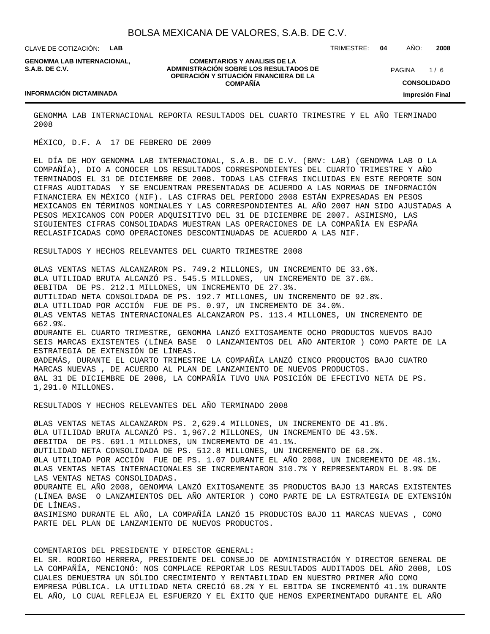CLAVE DE COTIZACIÓN: **LAB**

**GENOMMA LAB INTERNACIONAL, S.A.B. DE C.V.**

**COMENTARIOS Y ANALISIS DE LA ADMINISTRACIÓN SOBRE LOS RESULTADOS DE OPERACIÓN Y SITUACIÓN FINANCIERA DE LA COMPAÑÍA**

 $1/6$ **CONSOLIDADO Impresión Final PAGINA** 

#### **INFORMACIÓN DICTAMINADA**

GENOMMA LAB INTERNACIONAL REPORTA RESULTADOS DEL CUARTO TRIMESTRE Y EL AÑO TERMINADO 2008

MÉXICO, D.F. A 17 DE FEBRERO DE 2009

EL DÍA DE HOY GENOMMA LAB INTERNACIONAL, S.A.B. DE C.V. (BMV: LAB) (GENOMMA LAB O LA COMPAÑÍA), DIO A CONOCER LOS RESULTADOS CORRESPONDIENTES DEL CUARTO TRIMESTRE Y AÑO TERMINADOS EL 31 DE DICIEMBRE DE 2008. TODAS LAS CIFRAS INCLUIDAS EN ESTE REPORTE SON CIFRAS AUDITADAS Y SE ENCUENTRAN PRESENTADAS DE ACUERDO A LAS NORMAS DE INFORMACIÓN FINANCIERA EN MÉXICO (NIF). LAS CIFRAS DEL PERÍODO 2008 ESTÁN EXPRESADAS EN PESOS MEXICANOS EN TÉRMINOS NOMINALES Y LAS CORRESPONDIENTES AL AÑO 2007 HAN SIDO AJUSTADAS A PESOS MEXICANOS CON PODER ADQUISITIVO DEL 31 DE DICIEMBRE DE 2007. ASIMISMO, LAS SIGUIENTES CIFRAS CONSOLIDADAS MUESTRAN LAS OPERACIONES DE LA COMPAÑÍA EN ESPAÑA RECLASIFICADAS COMO OPERACIONES DESCONTINUADAS DE ACUERDO A LAS NIF.

RESULTADOS Y HECHOS RELEVANTES DEL CUARTO TRIMESTRE 2008

Ø LAS VENTAS NETAS ALCANZARON PS. 749.2 MILLONES, UN INCREMENTO DE 33.6%. Ø LA UTILIDAD BRUTA ALCANZÓ PS. 545.5 MILLONES, UN INCREMENTO DE 37.6%. Ø EBITDA DE PS. 212.1 MILLONES, UN INCREMENTO DE 27.3%. Ø UTILIDAD NETA CONSOLIDADA DE PS. 192.7 MILLONES, UN INCREMENTO DE 92.8%. Ø LA UTILIDAD POR ACCIÓN FUE DE PS. 0.97, UN INCREMENTO DE 34.0%. Ø LAS VENTAS NETAS INTERNACIONALES ALCANZARON PS. 113.4 MILLONES, UN INCREMENTO DE 662.9%. Ø DURANTE EL CUARTO TRIMESTRE, GENOMMA LANZÓ EXITOSAMENTE OCHO PRODUCTOS NUEVOS BAJO SEIS MARCAS EXISTENTES (LÍNEA BASE O LANZAMIENTOS DEL AÑO ANTERIOR ) COMO PARTE DE LA ESTRATEGIA DE EXTENSIÓN DE LÍNEAS. Ø ADEMÁS, DURANTE EL CUARTO TRIMESTRE LA COMPAÑÍA LANZÓ CINCO PRODUCTOS BAJO CUATRO MARCAS NUEVAS , DE ACUERDO AL PLAN DE LANZAMIENTO DE NUEVOS PRODUCTOS. Ø AL 31 DE DICIEMBRE DE 2008, LA COMPAÑÍA TUVO UNA POSICIÓN DE EFECTIVO NETA DE PS. 1,291.0 MILLONES.

RESULTADOS Y HECHOS RELEVANTES DEL AÑO TERMINADO 2008

Ø LAS VENTAS NETAS ALCANZARON PS. 2,629.4 MILLONES, UN INCREMENTO DE 41.8%. Ø LA UTILIDAD BRUTA ALCANZÓ PS. 1,967.2 MILLONES, UN INCREMENTO DE 43.5%. Ø EBITDA DE PS. 691.1 MILLONES, UN INCREMENTO DE 41.1%. Ø UTILIDAD NETA CONSOLIDADA DE PS. 512.8 MILLONES, UN INCREMENTO DE 68.2%. Ø LA UTILIDAD POR ACCIÓN FUE DE PS. 1.07 DURANTE EL AÑO 2008, UN INCREMENTO DE 48.1%. Ø LAS VENTAS NETAS INTERNACIONALES SE INCREMENTARON 310.7% Y REPRESENTARON EL 8.9% DE LAS VENTAS NETAS CONSOLIDADAS. Ø DURANTE EL AÑO 2008, GENOMMA LANZÓ EXITOSAMENTE 35 PRODUCTOS BAJO 13 MARCAS EXISTENTES (LÍNEA BASE O LANZAMIENTOS DEL AÑO ANTERIOR ) COMO PARTE DE LA ESTRATEGIA DE EXTENSIÓN DE LÍNEAS. Ø ASIMISMO DURANTE EL AÑO, LA COMPAÑÍA LANZÓ 15 PRODUCTOS BAJO 11 MARCAS NUEVAS , COMO PARTE DEL PLAN DE LANZAMIENTO DE NUEVOS PRODUCTOS.

### COMENTARIOS DEL PRESIDENTE Y DIRECTOR GENERAL:

EL SR. RODRIGO HERRERA, PRESIDENTE DEL CONSEJO DE ADMINISTRACIÓN Y DIRECTOR GENERAL DE LA COMPAÑÍA, MENCIONÓ: NOS COMPLACE REPORTAR LOS RESULTADOS AUDITADOS DEL AÑO 2008, LOS CUALES DEMUESTRA UN SÓLIDO CRECIMIENTO Y RENTABILIDAD EN NUESTRO PRIMER AÑO COMO EMPRESA PÚBLICA. LA UTILIDAD NETA CRECIÓ 68.2% Y EL EBITDA SE INCREMENTÓ 41.1% DURANTE EL AÑO, LO CUAL REFLEJA EL ESFUERZO Y EL ÉXITO QUE HEMOS EXPERIMENTADO DURANTE EL AÑO

TRIMESTRE: **04** AÑO: **2008**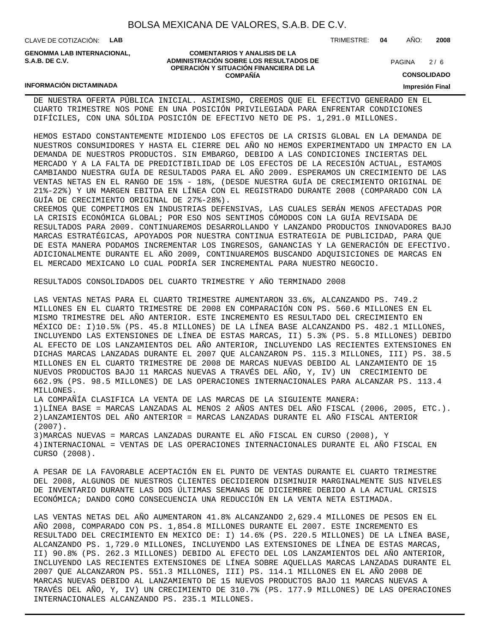CLAVE DE COTIZACIÓN: **LAB**

**INFORMACIÓN DICTAMINADA**

**GENOMMA LAB INTERNACIONAL, S.A.B. DE C.V.**

**COMENTARIOS Y ANALISIS DE LA ADMINISTRACIÓN SOBRE LOS RESULTADOS DE OPERACIÓN Y SITUACIÓN FINANCIERA DE LA COMPAÑÍA**

 $2/6$ **PAGINA** 

TRIMESTRE: **04** AÑO: **2008**

**CONSOLIDADO**

#### **Impresión Final**

DE NUESTRA OFERTA PÚBLICA INICIAL. ASIMISMO, CREEMOS QUE EL EFECTIVO GENERADO EN EL CUARTO TRIMESTRE NOS PONE EN UNA POSICIÓN PRIVILEGIADA PARA ENFRENTAR CONDICIONES DIFÍCILES, CON UNA SÓLIDA POSICIÓN DE EFECTIVO NETO DE PS. 1,291.0 MILLONES.

HEMOS ESTADO CONSTANTEMENTE MIDIENDO LOS EFECTOS DE LA CRISIS GLOBAL EN LA DEMANDA DE NUESTROS CONSUMIDORES Y HASTA EL CIERRE DEL AÑO NO HEMOS EXPERIMENTADO UN IMPACTO EN LA DEMANDA DE NUESTROS PRODUCTOS. SIN EMBARGO, DEBIDO A LAS CONDICIONES INCIERTAS DEL MERCADO Y A LA FALTA DE PREDICTIBILIDAD DE LOS EFECTOS DE LA RECESIÓN ACTUAL, ESTAMOS CAMBIANDO NUESTRA GUÍA DE RESULTADOS PARA EL AÑO 2009. ESPERAMOS UN CRECIMIENTO DE LAS VENTAS NETAS EN EL RANGO DE 15% - 18%, (DESDE NUESTRA GUÍA DE CRECIMIENTO ORIGINAL DE 21%-22%) Y UN MARGEN EBITDA EN LÍNEA CON EL REGISTRADO DURANTE 2008 (COMPARADO CON LA GUÍA DE CRECIMIENTO ORIGINAL DE 27%-28%).

CREEMOS QUE COMPETIMOS EN INDUSTRIAS DEFENSIVAS, LAS CUALES SERÁN MENOS AFECTADAS POR LA CRISIS ECONÓMICA GLOBAL; POR ESO NOS SENTIMOS CÓMODOS CON LA GUÍA REVISADA DE RESULTADOS PARA 2009. CONTINUAREMOS DESARROLLANDO Y LANZANDO PRODUCTOS INNOVADORES BAJO MARCAS ESTRATÉGICAS, APOYADOS POR NUESTRA CONTINUA ESTRATEGIA DE PUBLICIDAD, PARA QUE DE ESTA MANERA PODAMOS INCREMENTAR LOS INGRESOS, GANANCIAS Y LA GENERACIÓN DE EFECTIVO. ADICIONALMENTE DURANTE EL AÑO 2009, CONTINUAREMOS BUSCANDO ADQUISICIONES DE MARCAS EN EL MERCADO MEXICANO LO CUAL PODRÍA SER INCREMENTAL PARA NUESTRO NEGOCIO.

RESULTADOS CONSOLIDADOS DEL CUARTO TRIMESTRE Y AÑO TERMINADO 2008

LAS VENTAS NETAS PARA EL CUARTO TRIMESTRE AUMENTARON 33.6%, ALCANZANDO PS. 749.2 MILLONES EN EL CUARTO TRIMESTRE DE 2008 EN COMPARACIÓN CON PS. 560.6 MILLONES EN EL MISMO TRIMESTRE DEL AÑO ANTERIOR. ESTE INCREMENTO ES RESULTADO DEL CRECIMIENTO EN MÉXICO DE: I)10.5% (PS. 45.8 MILLONES) DE LA LÍNEA BASE ALCANZANDO PS. 482.1 MILLONES, INCLUYENDO LAS EXTENSIONES DE LÍNEA DE ESTAS MARCAS, II) 5.3% (PS. 5.8 MILLONES) DEBIDO AL EFECTO DE LOS LANZAMIENTOS DEL AÑO ANTERIOR, INCLUYENDO LAS RECIENTES EXTENSIONES EN DICHAS MARCAS LANZADAS DURANTE EL 2007 QUE ALCANZARON PS. 115.3 MILLONES, III) PS. 38.5 MILLONES EN EL CUARTO TRIMESTRE DE 2008 DE MARCAS NUEVAS DEBIDO AL LANZAMIENTO DE 15 NUEVOS PRODUCTOS BAJO 11 MARCAS NUEVAS A TRAVÉS DEL AÑO, Y, IV) UN CRECIMIENTO DE 662.9% (PS. 98.5 MILLONES) DE LAS OPERACIONES INTERNACIONALES PARA ALCANZAR PS. 113.4 MILLONES.

LA COMPAÑÍA CLASIFICA LA VENTA DE LAS MARCAS DE LA SIGUIENTE MANERA:

1) LÍNEA BASE = MARCAS LANZADAS AL MENOS 2 AÑOS ANTES DEL AÑO FISCAL (2006, 2005, ETC.). 2) LANZAMIENTOS DEL AÑO ANTERIOR = MARCAS LANZADAS DURANTE EL AÑO FISCAL ANTERIOR (2007).

3) MARCAS NUEVAS = MARCAS LANZADAS DURANTE EL AÑO FISCAL EN CURSO (2008), Y

4) INTERNACIONAL = VENTAS DE LAS OPERACIONES INTERNACIONALES DURANTE EL AÑO FISCAL EN CURSO (2008).

A PESAR DE LA FAVORABLE ACEPTACIÓN EN EL PUNTO DE VENTAS DURANTE EL CUARTO TRIMESTRE DEL 2008, ALGUNOS DE NUESTROS CLIENTES DECIDIERON DISMINUIR MARGINALMENTE SUS NIVELES DE INVENTARIO DURANTE LAS DOS ÚLTIMAS SEMANAS DE DICIEMBRE DEBIDO A LA ACTUAL CRISIS ECONÓMICA; DANDO COMO CONSECUENCIA UNA REDUCCIÓN EN LA VENTA NETA ESTIMADA.

LAS VENTAS NETAS DEL AÑO AUMENTARON 41.8% ALCANZANDO 2,629.4 MILLONES DE PESOS EN EL AÑO 2008, COMPARADO CON PS. 1,854.8 MILLONES DURANTE EL 2007. ESTE INCREMENTO ES RESULTADO DEL CRECIMIENTO EN MEXICO DE: I) 14.6% (PS. 220.5 MILLONES) DE LA LÍNEA BASE, ALCANZANDO PS. 1,729.0 MILLONES, INCLUYENDO LAS EXTENSIONES DE LÍNEA DE ESTAS MARCAS, II) 90.8% (PS. 262.3 MILLONES) DEBIDO AL EFECTO DEL LOS LANZAMIENTOS DEL AÑO ANTERIOR, INCLUYENDO LAS RECIENTES EXTENSIONES DE LÍNEA SOBRE AQUELLAS MARCAS LANZADAS DURANTE EL 2007 QUE ALCANZARON PS. 551.3 MILLONES, III) PS. 114.1 MILLONES EN EL AÑO 2008 DE MARCAS NUEVAS DEBIDO AL LANZAMIENTO DE 15 NUEVOS PRODUCTOS BAJO 11 MARCAS NUEVAS A TRAVÉS DEL AÑO, Y, IV) UN CRECIMIENTO DE 310.7% (PS. 177.9 MILLONES) DE LAS OPERACIONES INTERNACIONALES ALCANZANDO PS. 235.1 MILLONES.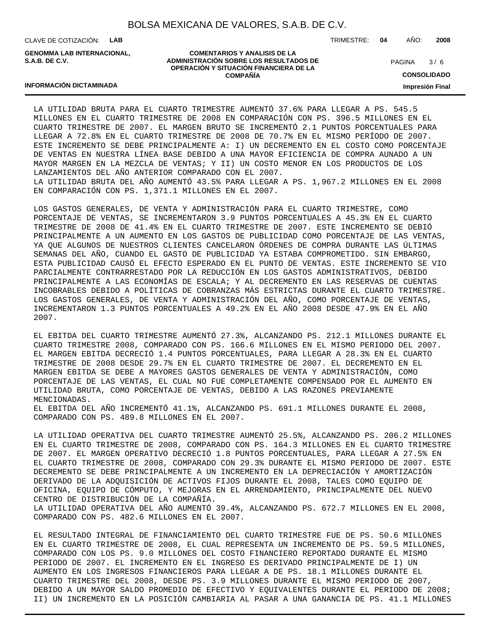CLAVE DE COTIZACIÓN: **LAB**

**INFORMACIÓN DICTAMINADA**

**GENOMMA LAB INTERNACIONAL, S.A.B. DE C.V.**

#### **COMENTARIOS Y ANALISIS DE LA ADMINISTRACIÓN SOBRE LOS RESULTADOS DE OPERACIÓN Y SITUACIÓN FINANCIERA DE LA COMPAÑÍA**

TRIMESTRE: **04** AÑO: **2008**

 $3/6$ **PAGINA** 

**CONSOLIDADO**

**Impresión Final**

### LA UTILIDAD BRUTA PARA EL CUARTO TRIMESTRE AUMENTÓ 37.6% PARA LLEGAR A PS. 545.5 MILLONES EN EL CUARTO TRIMESTRE DE 2008 EN COMPARACIÓN CON PS. 396.5 MILLONES EN EL CUARTO TRIMESTRE DE 2007. EL MARGEN BRUTO SE INCREMENTÓ 2.1 PUNTOS PORCENTUALES PARA LLEGAR A 72.8% EN EL CUARTO TRIMESTRE DE 2008 DE 70.7% EN EL MISMO PERÍODO DE 2007. ESTE INCREMENTO SE DEBE PRINCIPALMENTE A: I) UN DECREMENTO EN EL COSTO COMO PORCENTAJE DE VENTAS EN NUESTRA LÍNEA BASE DEBIDO A UNA MAYOR EFICIENCIA DE COMPRA AUNADO A UN MAYOR MARGEN EN LA MEZCLA DE VENTAS; Y II) UN COSTO MENOR EN LOS PRODUCTOS DE LOS LANZAMIENTOS DEL AÑO ANTERIOR COMPARADO CON EL 2007. LA UTILIDAD BRUTA DEL AÑO AUMENTÓ 43.5% PARA LLEGAR A PS. 1,967.2 MILLONES EN EL 2008 EN COMPARACIÓN CON PS. 1,371.1 MILLONES EN EL 2007.

LOS GASTOS GENERALES, DE VENTA Y ADMINISTRACIÓN PARA EL CUARTO TRIMESTRE, COMO PORCENTAJE DE VENTAS, SE INCREMENTARON 3.9 PUNTOS PORCENTUALES A 45.3% EN EL CUARTO TRIMESTRE DE 2008 DE 41.4% EN EL CUARTO TRIMESTRE DE 2007. ESTE INCREMENTO SE DEBIÓ PRINCIPALMENTE A UN AUMENTO EN LOS GASTOS DE PUBLICIDAD COMO PORCENTAJE DE LAS VENTAS, YA QUE ALGUNOS DE NUESTROS CLIENTES CANCELARON ÓRDENES DE COMPRA DURANTE LAS ÚLTIMAS SEMANAS DEL AÑO, CUANDO EL GASTO DE PUBLICIDAD YA ESTABA COMPROMETIDO. SIN EMBARGO, ESTA PUBLICIDAD CAUSÓ EL EFECTO ESPERADO EN EL PUNTO DE VENTAS. ESTE INCREMENTO SE VIO PARCIALMENTE CONTRARRESTADO POR LA REDUCCIÓN EN LOS GASTOS ADMINISTRATIVOS, DEBIDO PRINCIPALMENTE A LAS ECONOMÍAS DE ESCALA; Y AL DECREMENTO EN LAS RESERVAS DE CUENTAS INCOBRABLES DEBIDO A POLÍTICAS DE COBRANZAS MÁS ESTRICTAS DURANTE EL CUARTO TRIMESTRE. LOS GASTOS GENERALES, DE VENTA Y ADMINISTRACIÓN DEL AÑO, COMO PORCENTAJE DE VENTAS, INCREMENTARON 1.3 PUNTOS PORCENTUALES A 49.2% EN EL AÑO 2008 DESDE 47.9% EN EL AÑO 2007.

EL EBITDA DEL CUARTO TRIMESTRE AUMENTÓ 27.3%, ALCANZANDO PS. 212.1 MILLONES DURANTE EL CUARTO TRIMESTRE 2008, COMPARADO CON PS. 166.6 MILLONES EN EL MISMO PERIODO DEL 2007. EL MARGEN EBITDA DECRECIÓ 1.4 PUNTOS PORCENTUALES, PARA LLEGAR A 28.3% EN EL CUARTO TRIMESTRE DE 2008 DESDE 29.7% EN EL CUARTO TRIMESTRE DE 2007. EL DECREMENTO EN EL MARGEN EBITDA SE DEBE A MAYORES GASTOS GENERALES DE VENTA Y ADMINISTRACIÓN, COMO PORCENTAJE DE LAS VENTAS, EL CUAL NO FUE COMPLETAMENTE COMPENSADO POR EL AUMENTO EN UTILIDAD BRUTA, COMO PORCENTAJE DE VENTAS, DEBIDO A LAS RAZONES PREVIAMENTE MENCIONADAS.

EL EBITDA DEL AÑO INCREMENTÓ 41.1%, ALCANZANDO PS. 691.1 MILLONES DURANTE EL 2008, COMPARADO CON PS. 489.8 MILLONES EN EL 2007.

LA UTILIDAD OPERATIVA DEL CUARTO TRIMESTRE AUMENTÓ 25.5%, ALCANZANDO PS. 206.2 MILLONES EN EL CUARTO TRIMESTRE DE 2008, COMPARADO CON PS. 164.3 MILLONES EN EL CUARTO TRIMESTRE DE 2007. EL MARGEN OPERATIVO DECRECIÓ 1.8 PUNTOS PORCENTUALES, PARA LLEGAR A 27.5% EN EL CUARTO TRIMESTRE DE 2008, COMPARADO CON 29.3% DURANTE EL MISMO PERIODO DE 2007. ESTE DECREMENTO SE DEBE PRINCIPALMENTE A UN INCREMENTO EN LA DEPRECIACIÓN Y AMORTIZACIÓN DERIVADO DE LA ADQUISICIÓN DE ACTIVOS FIJOS DURANTE EL 2008, TALES COMO EQUIPO DE OFICINA, EQUIPO DE CÓMPUTO, Y MEJORAS EN EL ARRENDAMIENTO, PRINCIPALMENTE DEL NUEVO CENTRO DE DISTRIBUCIÓN DE LA COMPAÑÍA. LA UTILIDAD OPERATIVA DEL AÑO AUMENTÓ 39.4%, ALCANZANDO PS. 672.7 MILLONES EN EL 2008, COMPARADO CON PS. 482.6 MILLONES EN EL 2007.

EL RESULTADO INTEGRAL DE FINANCIAMIENTO DEL CUARTO TRIMESTRE FUE DE PS. 50.6 MILLONES EN EL CUARTO TRIMESTRE DE 2008, EL CUAL REPRESENTA UN INCREMENTO DE PS. 59.5 MILLONES, COMPARADO CON LOS PS. 9.0 MILLONES DEL COSTO FINANCIERO REPORTADO DURANTE EL MISMO PERIODO DE 2007. EL INCREMENTO EN EL INGRESO ES DERIVADO PRINCIPALMENTE DE I) UN AUMENTO EN LOS INGRESOS FINANCIEROS PARA LLEGAR A DE PS. 18.1 MILLONES DURANTE EL CUARTO TRIMESTRE DEL 2008, DESDE PS. 3.9 MILLONES DURANTE EL MISMO PERIODO DE 2007, DEBIDO A UN MAYOR SALDO PROMEDIO DE EFECTIVO Y EQUIVALENTES DURANTE EL PERIODO DE 2008; II) UN INCREMENTO EN LA POSICIÓN CAMBIARIA AL PASAR A UNA GANANCIA DE PS. 41.1 MILLONES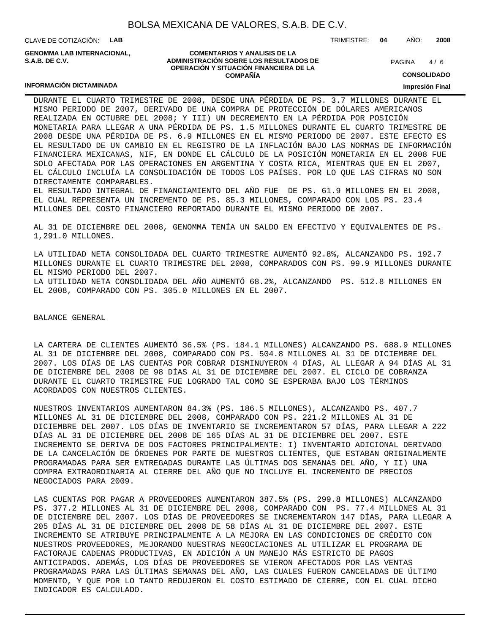CLAVE DE COTIZACIÓN: **LAB**

**INFORMACIÓN DICTAMINADA**

**GENOMMA LAB INTERNACIONAL, S.A.B. DE C.V.**

#### **COMENTARIOS Y ANALISIS DE LA ADMINISTRACIÓN SOBRE LOS RESULTADOS DE OPERACIÓN Y SITUACIÓN FINANCIERA DE LA COMPAÑÍA**

 $4/6$ **PAGINA** 

TRIMESTRE: **04** AÑO: **2008**

**CONSOLIDADO**

#### **Impresión Final**

DURANTE EL CUARTO TRIMESTRE DE 2008, DESDE UNA PÉRDIDA DE PS. 3.7 MILLONES DURANTE EL MISMO PERIODO DE 2007, DERIVADO DE UNA COMPRA DE PROTECCIÓN DE DÓLARES AMERICANOS REALIZADA EN OCTUBRE DEL 2008; Y III) UN DECREMENTO EN LA PÉRDIDA POR POSICIÓN MONETARIA PARA LLEGAR A UNA PÉRDIDA DE PS. 1.5 MILLONES DURANTE EL CUARTO TRIMESTRE DE 2008 DESDE UNA PÉRDIDA DE PS. 6.9 MILLONES EN EL MISMO PERIODO DE 2007. ESTE EFECTO ES EL RESULTADO DE UN CAMBIO EN EL REGISTRO DE LA INFLACIÓN BAJO LAS NORMAS DE INFORMACIÓN FINANCIERA MEXICANAS, NIF, EN DONDE EL CÁLCULO DE LA POSICIÓN MONETARIA EN EL 2008 FUE SOLO AFECTADA POR LAS OPERACIONES EN ARGENTINA Y COSTA RICA, MIENTRAS QUE EN EL 2007, EL CÁLCULO INCLUÍA LA CONSOLIDACIÓN DE TODOS LOS PAÍSES. POR LO QUE LAS CIFRAS NO SON DIRECTAMENTE COMPARABLES.

EL RESULTADO INTEGRAL DE FINANCIAMIENTO DEL AÑO FUE DE PS. 61.9 MILLONES EN EL 2008, EL CUAL REPRESENTA UN INCREMENTO DE PS. 85.3 MILLONES, COMPARADO CON LOS PS. 23.4 MILLONES DEL COSTO FINANCIERO REPORTADO DURANTE EL MISMO PERIODO DE 2007.

AL 31 DE DICIEMBRE DEL 2008, GENOMMA TENÍA UN SALDO EN EFECTIVO Y EQUIVALENTES DE PS. 1,291.0 MILLONES.

LA UTILIDAD NETA CONSOLIDADA DEL CUARTO TRIMESTRE AUMENTÓ 92.8%, ALCANZANDO PS. 192.7 MILLONES DURANTE EL CUARTO TRIMESTRE DEL 2008, COMPARADOS CON PS. 99.9 MILLONES DURANTE EL MISMO PERIODO DEL 2007. LA UTILIDAD NETA CONSOLIDADA DEL AÑO AUMENTÓ 68.2%, ALCANZANDO PS. 512.8 MILLONES EN EL 2008, COMPARADO CON PS. 305.0 MILLONES EN EL 2007.

BALANCE GENERAL

LA CARTERA DE CLIENTES AUMENTÓ 36.5% (PS. 184.1 MILLONES) ALCANZANDO PS. 688.9 MILLONES AL 31 DE DICIEMBRE DEL 2008, COMPARADO CON PS. 504.8 MILLONES AL 31 DE DICIEMBRE DEL 2007. LOS DÍAS DE LAS CUENTAS POR COBRAR DISMINUYERON 4 DÍAS, AL LLEGAR A 94 DÍAS AL 31 DE DICIEMBRE DEL 2008 DE 98 DÍAS AL 31 DE DICIEMBRE DEL 2007. EL CICLO DE COBRANZA DURANTE EL CUARTO TRIMESTRE FUE LOGRADO TAL COMO SE ESPERABA BAJO LOS TÉRMINOS ACORDADOS CON NUESTROS CLIENTES.

NUESTROS INVENTARIOS AUMENTARON 84.3% (PS. 186.5 MILLONES), ALCANZANDO PS. 407.7 MILLONES AL 31 DE DICIEMBRE DEL 2008, COMPARADO CON PS. 221.2 MILLONES AL 31 DE DICIEMBRE DEL 2007. LOS DÍAS DE INVENTARIO SE INCREMENTARON 57 DÍAS, PARA LLEGAR A 222 DÍAS AL 31 DE DICIEMBRE DEL 2008 DE 165 DÍAS AL 31 DE DICIEMBRE DEL 2007. ESTE INCREMENTO SE DERIVA DE DOS FACTORES PRINCIPALMENTE: I) INVENTARIO ADICIONAL DERIVADO DE LA CANCELACIÓN DE ÓRDENES POR PARTE DE NUESTROS CLIENTES, QUE ESTABAN ORIGINALMENTE PROGRAMADAS PARA SER ENTREGADAS DURANTE LAS ÚLTIMAS DOS SEMANAS DEL AÑO, Y II) UNA COMPRA EXTRAORDINARIA AL CIERRE DEL AÑO QUE NO INCLUYE EL INCREMENTO DE PRECIOS NEGOCIADOS PARA 2009.

LAS CUENTAS POR PAGAR A PROVEEDORES AUMENTARON 387.5% (PS. 299.8 MILLONES) ALCANZANDO PS. 377.2 MILLONES AL 31 DE DICIEMBRE DEL 2008, COMPARADO CON PS. 77.4 MILLONES AL 31 DE DICIEMBRE DEL 2007. LOS DÍAS DE PROVEEDORES SE INCREMENTARON 147 DÍAS, PARA LLEGAR A 205 DÍAS AL 31 DE DICIEMBRE DEL 2008 DE 58 DÍAS AL 31 DE DICIEMBRE DEL 2007. ESTE INCREMENTO SE ATRIBUYE PRINCIPALMENTE A LA MEJORA EN LAS CONDICIONES DE CRÉDITO CON NUESTROS PROVEEDORES, MEJORANDO NUESTRAS NEGOCIACIONES AL UTILIZAR EL PROGRAMA DE FACTORAJE CADENAS PRODUCTIVAS, EN ADICIÓN A UN MANEJO MÁS ESTRICTO DE PAGOS ANTICIPADOS. ADEMÁS, LOS DÍAS DE PROVEEDORES SE VIERON AFECTADOS POR LAS VENTAS PROGRAMADAS PARA LAS ÚLTIMAS SEMANAS DEL AÑO, LAS CUALES FUERON CANCELADAS DE ÚLTIMO MOMENTO, Y QUE POR LO TANTO REDUJERON EL COSTO ESTIMADO DE CIERRE, CON EL CUAL DICHO INDICADOR ES CALCULADO.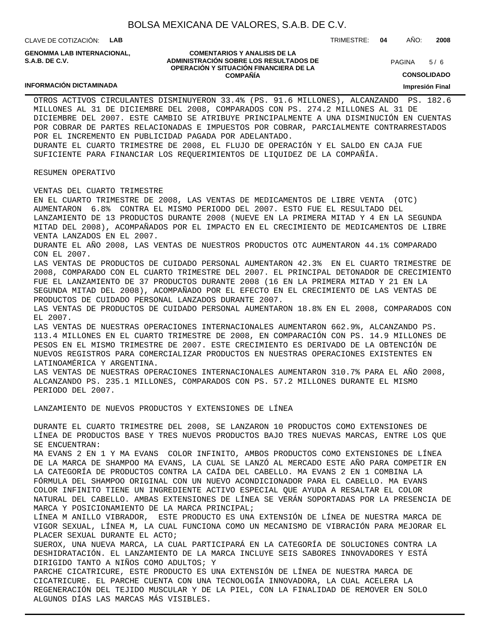CLAVE DE COTIZACIÓN: **LAB**

**INFORMACIÓN DICTAMINADA**

**GENOMMA LAB INTERNACIONAL, S.A.B. DE C.V.**

#### **COMENTARIOS Y ANALISIS DE LA ADMINISTRACIÓN SOBRE LOS RESULTADOS DE OPERACIÓN Y SITUACIÓN FINANCIERA DE LA COMPAÑÍA**

 $5/6$ **PAGINA** 

**CONSOLIDADO**

**Impresión Final**

OTROS ACTIVOS CIRCULANTES DISMINUYERON 33.4% (PS. 91.6 MILLONES), ALCANZANDO PS. 182.6 MILLONES AL 31 DE DICIEMBRE DEL 2008, COMPARADOS CON PS. 274.2 MILLONES AL 31 DE DICIEMBRE DEL 2007. ESTE CAMBIO SE ATRIBUYE PRINCIPALMENTE A UNA DISMINUCIÓN EN CUENTAS POR COBRAR DE PARTES RELACIONADAS E IMPUESTOS POR COBRAR, PARCIALMENTE CONTRARRESTADOS POR EL INCREMENTO EN PUBLICIDAD PAGADA POR ADELANTADO. DURANTE EL CUARTO TRIMESTRE DE 2008, EL FLUJO DE OPERACIÓN Y EL SALDO EN CAJA FUE SUFICIENTE PARA FINANCIAR LOS REQUERIMIENTOS DE LIQUIDEZ DE LA COMPAÑÍA.

#### RESUMEN OPERATIVO

VENTAS DEL CUARTO TRIMESTRE

EN EL CUARTO TRIMESTRE DE 2008, LAS VENTAS DE MEDICAMENTOS DE LIBRE VENTA (OTC) AUMENTARON 6.8% CONTRA EL MISMO PERIODO DEL 2007. ESTO FUE EL RESULTADO DEL LANZAMIENTO DE 13 PRODUCTOS DURANTE 2008 (NUEVE EN LA PRIMERA MITAD Y 4 EN LA SEGUNDA MITAD DEL 2008), ACOMPAÑADOS POR EL IMPACTO EN EL CRECIMIENTO DE MEDICAMENTOS DE LIBRE VENTA LANZADOS EN EL 2007. DURANTE EL AÑO 2008, LAS VENTAS DE NUESTROS PRODUCTOS OTC AUMENTARON 44.1% COMPARADO CON EL 2007. LAS VENTAS DE PRODUCTOS DE CUIDADO PERSONAL AUMENTARON 42.3% EN EL CUARTO TRIMESTRE DE 2008, COMPARADO CON EL CUARTO TRIMESTRE DEL 2007. EL PRINCIPAL DETONADOR DE CRECIMIENTO FUE EL LANZAMIENTO DE 37 PRODUCTOS DURANTE 2008 (16 EN LA PRIMERA MITAD Y 21 EN LA SEGUNDA MITAD DEL 2008), ACOMPAÑADO POR EL EFECTO EN EL CRECIMIENTO DE LAS VENTAS DE PRODUCTOS DE CUIDADO PERSONAL LANZADOS DURANTE 2007. LAS VENTAS DE PRODUCTOS DE CUIDADO PERSONAL AUMENTARON 18.8% EN EL 2008, COMPARADOS CON EL 2007. LAS VENTAS DE NUESTRAS OPERACIONES INTERNACIONALES AUMENTARON 662.9%, ALCANZANDO PS. 113.4 MILLONES EN EL CUARTO TRIMESTRE DE 2008, EN COMPARACIÓN CON PS. 14.9 MILLONES DE PESOS EN EL MISMO TRIMESTRE DE 2007. ESTE CRECIMIENTO ES DERIVADO DE LA OBTENCIÓN DE NUEVOS REGISTROS PARA COMERCIALIZAR PRODUCTOS EN NUESTRAS OPERACIONES EXISTENTES EN LATINOAMÉRICA Y ARGENTINA. LAS VENTAS DE NUESTRAS OPERACIONES INTERNACIONALES AUMENTARON 310.7% PARA EL AÑO 2008, ALCANZANDO PS. 235.1 MILLONES, COMPARADOS CON PS. 57.2 MILLONES DURANTE EL MISMO PERIODO DEL 2007. LANZAMIENTO DE NUEVOS PRODUCTOS Y EXTENSIONES DE LÍNEA DURANTE EL CUARTO TRIMESTRE DEL 2008, SE LANZARON 10 PRODUCTOS COMO EXTENSIONES DE LÍNEA DE PRODUCTOS BASE Y TRES NUEVOS PRODUCTOS BAJO TRES NUEVAS MARCAS, ENTRE LOS QUE SE ENCUENTRAN: MA EVANS 2 EN 1 Y MA EVANS COLOR INFINITO, AMBOS PRODUCTOS COMO EXTENSIONES DE LÍNEA DE LA MARCA DE SHAMPOO MA EVANS, LA CUAL SE LANZÓ AL MERCADO ESTE AÑO PARA COMPETIR EN

LA CATEGORÍA DE PRODUCTOS CONTRA LA CAÍDA DEL CABELLO. MA EVANS 2 EN 1 COMBINA LA FÓRMULA DEL SHAMPOO ORIGINAL CON UN NUEVO ACONDICIONADOR PARA EL CABELLO. MA EVANS COLOR INFINITO TIENE UN INGREDIENTE ACTIVO ESPECIAL QUE AYUDA A RESALTAR EL COLOR NATURAL DEL CABELLO. AMBAS EXTENSIONES DE LÍNEA SE VERÁN SOPORTADAS POR LA PRESENCIA DE MARCA Y POSICIONAMIENTO DE LA MARCA PRINCIPAL;

LÍNEA M ANILLO VIBRADOR, ESTE PRODUCTO ES UNA EXTENSIÓN DE LÍNEA DE NUESTRA MARCA DE VIGOR SEXUAL, LÍNEA M, LA CUAL FUNCIONA COMO UN MECANISMO DE VIBRACIÓN PARA MEJORAR EL PLACER SEXUAL DURANTE EL ACTO;

SUEROX, UNA NUEVA MARCA, LA CUAL PARTICIPARÁ EN LA CATEGORÍA DE SOLUCIONES CONTRA LA DESHIDRATACIÓN. EL LANZAMIENTO DE LA MARCA INCLUYE SEIS SABORES INNOVADORES Y ESTÁ DIRIGIDO TANTO A NIÑOS COMO ADULTOS; Y

PARCHE CICATRICURE, ESTE PRODUCTO ES UNA EXTENSIÓN DE LÍNEA DE NUESTRA MARCA DE CICATRICURE. EL PARCHE CUENTA CON UNA TECNOLOGÍA INNOVADORA, LA CUAL ACELERA LA REGENERACIÓN DEL TEJIDO MUSCULAR Y DE LA PIEL, CON LA FINALIDAD DE REMOVER EN SOLO ALGUNOS DÍAS LAS MARCAS MÁS VISIBLES.

TRIMESTRE: **04** AÑO: **2008**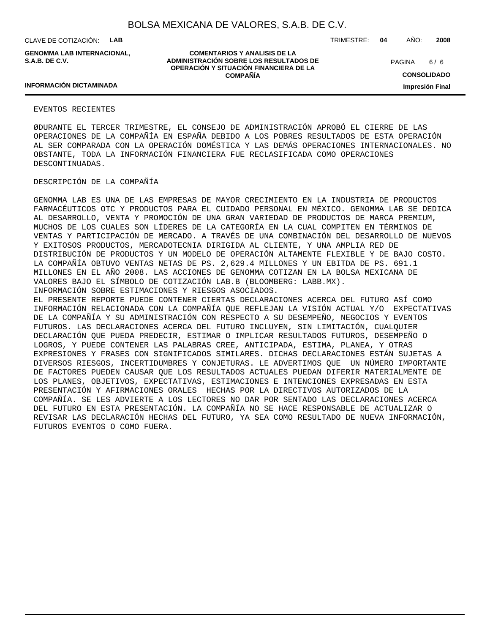CLAVE DE COTIZACIÓN: **LAB**

**GENOMMA LAB INTERNACIONAL, S.A.B. DE C.V.**

TRIMESTRE: **04** AÑO: **2008**

 $6/6$ **PAGINA** 

**INFORMACIÓN DICTAMINADA**

#### **COMENTARIOS Y ANALISIS DE LA ADMINISTRACIÓN SOBRE LOS RESULTADOS DE OPERACIÓN Y SITUACIÓN FINANCIERA DE LA COMPAÑÍA**

**CONSOLIDADO Impresión Final**

#### EVENTOS RECIENTES

Ø DURANTE EL TERCER TRIMESTRE, EL CONSEJO DE ADMINISTRACIÓN APROBÓ EL CIERRE DE LAS OPERACIONES DE LA COMPAÑÍA EN ESPAÑA DEBIDO A LOS POBRES RESULTADOS DE ESTA OPERACIÓN AL SER COMPARADA CON LA OPERACIÓN DOMÉSTICA Y LAS DEMÁS OPERACIONES INTERNACIONALES. NO OBSTANTE, TODA LA INFORMACIÓN FINANCIERA FUE RECLASIFICADA COMO OPERACIONES DESCONTINUADAS.

#### DESCRIPCIÓN DE LA COMPAÑÍA

GENOMMA LAB ES UNA DE LAS EMPRESAS DE MAYOR CRECIMIENTO EN LA INDUSTRIA DE PRODUCTOS FARMACÉUTICOS OTC Y PRODUCTOS PARA EL CUIDADO PERSONAL EN MÉXICO. GENOMMA LAB SE DEDICA AL DESARROLLO, VENTA Y PROMOCIÓN DE UNA GRAN VARIEDAD DE PRODUCTOS DE MARCA PREMIUM, MUCHOS DE LOS CUALES SON LÍDERES DE LA CATEGORÍA EN LA CUAL COMPITEN EN TÉRMINOS DE VENTAS Y PARTICIPACIÓN DE MERCADO. A TRAVÉS DE UNA COMBINACIÓN DEL DESARROLLO DE NUEVOS Y EXITOSOS PRODUCTOS, MERCADOTECNIA DIRIGIDA AL CLIENTE, Y UNA AMPLIA RED DE DISTRIBUCIÓN DE PRODUCTOS Y UN MODELO DE OPERACIÓN ALTAMENTE FLEXIBLE Y DE BAJO COSTO. LA COMPAÑÍA OBTUVO VENTAS NETAS DE PS. 2,629.4 MILLONES Y UN EBITDA DE PS. 691.1 MILLONES EN EL AÑO 2008. LAS ACCIONES DE GENOMMA COTIZAN EN LA BOLSA MEXICANA DE VALORES BAJO EL SÍMBOLO DE COTIZACIÓN LAB.B (BLOOMBERG: LABB.MX). INFORMACIÓN SOBRE ESTIMACIONES Y RIESGOS ASOCIADOS.

EL PRESENTE REPORTE PUEDE CONTENER CIERTAS DECLARACIONES ACERCA DEL FUTURO ASÍ COMO INFORMACIÓN RELACIONADA CON LA COMPAÑÍA QUE REFLEJAN LA VISIÓN ACTUAL Y/O EXPECTATIVAS DE LA COMPAÑÍA Y SU ADMINISTRACIÓN CON RESPECTO A SU DESEMPEÑO, NEGOCIOS Y EVENTOS FUTUROS. LAS DECLARACIONES ACERCA DEL FUTURO INCLUYEN, SIN LIMITACIÓN, CUALQUIER DECLARACIÓN QUE PUEDA PREDECIR, ESTIMAR O IMPLICAR RESULTADOS FUTUROS, DESEMPEÑO O LOGROS, Y PUEDE CONTENER LAS PALABRAS CREE, ANTICIPADA, ESTIMA, PLANEA, Y OTRAS EXPRESIONES Y FRASES CON SIGNIFICADOS SIMILARES. DICHAS DECLARACIONES ESTÁN SUJETAS A DIVERSOS RIESGOS, INCERTIDUMBRES Y CONJETURAS. LE ADVERTIMOS QUE UN NÚMERO IMPORTANTE DE FACTORES PUEDEN CAUSAR QUE LOS RESULTADOS ACTUALES PUEDAN DIFERIR MATERIALMENTE DE LOS PLANES, OBJETIVOS, EXPECTATIVAS, ESTIMACIONES E INTENCIONES EXPRESADAS EN ESTA PRESENTACIÓN Y AFIRMACIONES ORALES HECHAS POR LA DIRECTIVOS AUTORIZADOS DE LA COMPAÑÍA. SE LES ADVIERTE A LOS LECTORES NO DAR POR SENTADO LAS DECLARACIONES ACERCA DEL FUTURO EN ESTA PRESENTACIÓN. LA COMPAÑÍA NO SE HACE RESPONSABLE DE ACTUALIZAR O REVISAR LAS DECLARACIÓN HECHAS DEL FUTURO, YA SEA COMO RESULTADO DE NUEVA INFORMACIÓN, FUTUROS EVENTOS O COMO FUERA.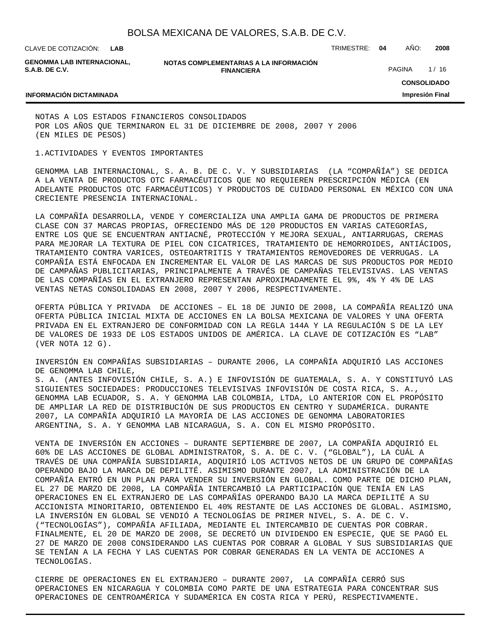CLAVE DE COTIZACIÓN: TRIMESTRE: **04** AÑO: **2008 LAB**

**GENOMMA LAB INTERNACIONAL, S.A.B. DE C.V.**

**NOTAS COMPLEMENTARIAS A LA INFORMACIÓN FINANCIERA**

PAGINA 1/16

### **INFORMACIÓN DICTAMINADA**

**CONSOLIDADO Impresión Final**

NOTAS A LOS ESTADOS FINANCIEROS CONSOLIDADOS POR LOS AÑOS QUE TERMINARON EL 31 DE DICIEMBRE DE 2008, 2007 Y 2006 (EN MILES DE PESOS)

1. ACTIVIDADES Y EVENTOS IMPORTANTES

GENOMMA LAB INTERNACIONAL, S. A. B. DE C. V. Y SUBSIDIARIAS (LA "COMPAÑÍA") SE DEDICA A LA VENTA DE PRODUCTOS OTC FARMACÉUTICOS QUE NO REQUIEREN PRESCRIPCIÓN MÉDICA (EN ADELANTE PRODUCTOS OTC FARMACÉUTICOS) Y PRODUCTOS DE CUIDADO PERSONAL EN MÉXICO CON UNA CRECIENTE PRESENCIA INTERNACIONAL.

LA COMPAÑÍA DESARROLLA, VENDE Y COMERCIALIZA UNA AMPLIA GAMA DE PRODUCTOS DE PRIMERA CLASE CON 37 MARCAS PROPIAS, OFRECIENDO MÁS DE 120 PRODUCTOS EN VARIAS CATEGORÍAS, ENTRE LOS QUE SE ENCUENTRAN ANTIACNÉ, PROTECCIÓN Y MEJORA SEXUAL, ANTIARRUGAS, CREMAS PARA MEJORAR LA TEXTURA DE PIEL CON CICATRICES, TRATAMIENTO DE HEMORROIDES, ANTIÁCIDOS, TRATAMIENTO CONTRA VARICES, OSTEOARTRITIS Y TRATAMIENTOS REMOVEDORES DE VERRUGAS. LA COMPAÑÍA ESTÁ ENFOCADA EN INCREMENTAR EL VALOR DE LAS MARCAS DE SUS PRODUCTOS POR MEDIO DE CAMPAÑAS PUBLICITARIAS, PRINCIPALMENTE A TRAVÉS DE CAMPAÑAS TELEVISIVAS. LAS VENTAS DE LAS COMPAÑÍAS EN EL EXTRANJERO REPRESENTAN APROXIMADAMENTE EL 9%, 4% Y 4% DE LAS VENTAS NETAS CONSOLIDADAS EN 2008, 2007 Y 2006, RESPECTIVAMENTE.

OFERTA PÚBLICA Y PRIVADA DE ACCIONES – EL 18 DE JUNIO DE 2008, LA COMPAÑÍA REALIZÓ UNA OFERTA PÚBLICA INICIAL MIXTA DE ACCIONES EN LA BOLSA MEXICANA DE VALORES Y UNA OFERTA PRIVADA EN EL EXTRANJERO DE CONFORMIDAD CON LA REGLA 144A Y LA REGULACIÓN S DE LA LEY DE VALORES DE 1933 DE LOS ESTADOS UNIDOS DE AMÉRICA. LA CLAVE DE COTIZACIÓN ES "LAB" (VER NOTA 12 G).

INVERSIÓN EN COMPAÑÍAS SUBSIDIARIAS – DURANTE 2006, LA COMPAÑÍA ADQUIRIÓ LAS ACCIONES DE GENOMMA LAB CHILE, S. A. (ANTES INFOVISIÓN CHILE, S. A.) E INFOVISIÓN DE GUATEMALA, S. A. Y CONSTITUYÓ LAS SIGUIENTES SOCIEDADES: PRODUCCIONES TELEVISIVAS INFOVISIÓN DE COSTA RICA, S. A., GENOMMA LAB ECUADOR, S. A. Y GENOMMA LAB COLOMBIA, LTDA, LO ANTERIOR CON EL PROPÓSITO DE AMPLIAR LA RED DE DISTRIBUCIÓN DE SUS PRODUCTOS EN CENTRO Y SUDAMÉRICA. DURANTE 2007, LA COMPAÑÍA ADQUIRIÓ LA MAYORÍA DE LAS ACCIONES DE GENOMMA LABORATORIES ARGENTINA, S. A. Y GENOMMA LAB NICARAGUA, S. A. CON EL MISMO PROPÓSITO.

VENTA DE INVERSIÓN EN ACCIONES – DURANTE SEPTIEMBRE DE 2007, LA COMPAÑÍA ADQUIRIÓ EL 60% DE LAS ACCIONES DE GLOBAL ADMINISTRATOR, S. A. DE C. V. ("GLOBAL"), LA CUÁL A TRAVÉS DE UNA COMPAÑÍA SUBSIDIARIA, ADQUIRIÓ LOS ACTIVOS NETOS DE UN GRUPO DE COMPAÑÍAS OPERANDO BAJO LA MARCA DE DEPILITÉ. ASIMISMO DURANTE 2007, LA ADMINISTRACIÓN DE LA COMPAÑÍA ENTRÓ EN UN PLAN PARA VENDER SU INVERSIÓN EN GLOBAL. COMO PARTE DE DICHO PLAN, EL 27 DE MARZO DE 2008, LA COMPAÑÍA INTERCAMBIÓ LA PARTICIPACIÓN QUE TENÍA EN LAS OPERACIONES EN EL EXTRANJERO DE LAS COMPAÑÍAS OPERANDO BAJO LA MARCA DEPILITÉ A SU ACCIONISTA MINORITARIO, OBTENIENDO EL 40% RESTANTE DE LAS ACCIONES DE GLOBAL. ASIMISMO, LA INVERSIÓN EN GLOBAL SE VENDIÓ A TECNOLOGÍAS DE PRIMER NIVEL, S. A. DE C. V. ("TECNOLOGÍAS"), COMPAÑÍA AFILIADA, MEDIANTE EL INTERCAMBIO DE CUENTAS POR COBRAR. FINALMENTE, EL 20 DE MARZO DE 2008, SE DECRETÓ UN DIVIDENDO EN ESPECIE, QUE SE PAGÓ EL 27 DE MARZO DE 2008 CONSIDERANDO LAS CUENTAS POR COBRAR A GLOBAL Y SUS SUBSIDIARIAS QUE SE TENÍAN A LA FECHA Y LAS CUENTAS POR COBRAR GENERADAS EN LA VENTA DE ACCIONES A TECNOLOGÍAS.

CIERRE DE OPERACIONES EN EL EXTRANJERO – DURANTE 2007, LA COMPAÑÍA CERRÓ SUS OPERACIONES EN NICARAGUA Y COLOMBIA COMO PARTE DE UNA ESTRATEGIA PARA CONCENTRAR SUS OPERACIONES DE CENTROAMÉRICA Y SUDAMÉRICA EN COSTA RICA Y PERÚ, RESPECTIVAMENTE.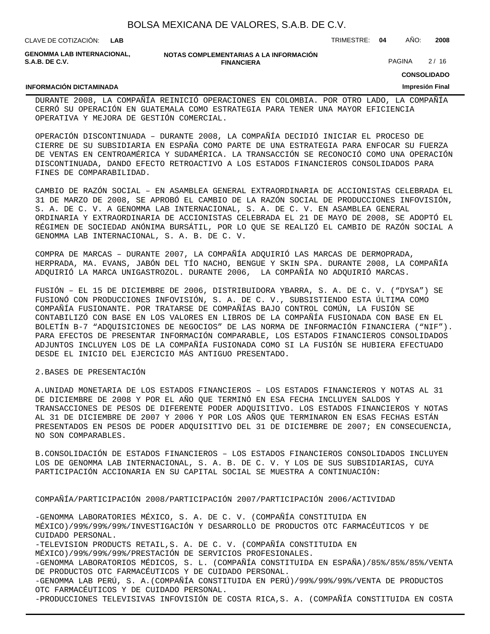| BOLSA MEXICANA DE VALORES, S.A.B. DE C.V. |  |  |  |
|-------------------------------------------|--|--|--|
|-------------------------------------------|--|--|--|

| CLAVE DE COTIZACION: | LAB |
|----------------------|-----|
|----------------------|-----|

**GENOMMA LAB INTERNACIONAL, S.A.B. DE C.V.**

**NOTAS COMPLEMENTARIAS A LA INFORMACIÓN FINANCIERA**

PAGINA 2/16

CLAVE DE COTIZACIÓN: TRIMESTRE: **04** AÑO: **2008**

**CONSOLIDADO Impresión Final**

#### **INFORMACIÓN DICTAMINADA**

DURANTE 2008, LA COMPAÑÍA REINICIÓ OPERACIONES EN COLOMBIA. POR OTRO LADO, LA COMPAÑÍA CERRÓ SU OPERACIÓN EN GUATEMALA COMO ESTRATEGIA PARA TENER UNA MAYOR EFICIENCIA OPERATIVA Y MEJORA DE GESTIÓN COMERCIAL.

OPERACIÓN DISCONTINUADA – DURANTE 2008, LA COMPAÑÍA DECIDIÓ INICIAR EL PROCESO DE CIERRE DE SU SUBSIDIARIA EN ESPAÑA COMO PARTE DE UNA ESTRATEGIA PARA ENFOCAR SU FUERZA DE VENTAS EN CENTROAMÉRICA Y SUDAMÉRICA. LA TRANSACCIÓN SE RECONOCIÓ COMO UNA OPERACIÓN DISCONTINUADA, DANDO EFECTO RETROACTIVO A LOS ESTADOS FINANCIEROS CONSOLIDADOS PARA FINES DE COMPARABILIDAD.

CAMBIO DE RAZÓN SOCIAL – EN ASAMBLEA GENERAL EXTRAORDINARIA DE ACCIONISTAS CELEBRADA EL 31 DE MARZO DE 2008, SE APROBÓ EL CAMBIO DE LA RAZÓN SOCIAL DE PRODUCCIONES INFOVISIÓN, S. A. DE C. V. A GENOMMA LAB INTERNACIONAL, S. A. DE C. V. EN ASAMBLEA GENERAL ORDINARIA Y EXTRAORDINARIA DE ACCIONISTAS CELEBRADA EL 21 DE MAYO DE 2008, SE ADOPTÓ EL RÉGIMEN DE SOCIEDAD ANÓNIMA BURSÁTIL, POR LO QUE SE REALIZÓ EL CAMBIO DE RAZÓN SOCIAL A GENOMMA LAB INTERNACIONAL, S. A. B. DE C. V.

COMPRA DE MARCAS – DURANTE 2007, LA COMPAÑÍA ADQUIRIÓ LAS MARCAS DE DERMOPRADA, HERPRADA, MA. EVANS, JABÓN DEL TÍO NACHO, BENGUE Y SKIN SPA. DURANTE 2008, LA COMPAÑÍA ADQUIRIÓ LA MARCA UNIGASTROZOL. DURANTE 2006, LA COMPAÑÍA NO ADQUIRIÓ MARCAS.

FUSIÓN – EL 15 DE DICIEMBRE DE 2006, DISTRIBUIDORA YBARRA, S. A. DE C. V. ("DYSA") SE FUSIONÓ CON PRODUCCIONES INFOVISIÓN, S. A. DE C. V., SUBSISTIENDO ESTA ÚLTIMA COMO COMPAÑÍA FUSIONANTE. POR TRATARSE DE COMPAÑÍAS BAJO CONTROL COMÚN, LA FUSIÓN SE CONTABILIZÓ CON BASE EN LOS VALORES EN LIBROS DE LA COMPAÑÍA FUSIONADA CON BASE EN EL BOLETÍN B-7 "ADQUISICIONES DE NEGOCIOS" DE LAS NORMA DE INFORMACIÓN FINANCIERA ("NIF"). PARA EFECTOS DE PRESENTAR INFORMACIÓN COMPARABLE, LOS ESTADOS FINANCIEROS CONSOLIDADOS ADJUNTOS INCLUYEN LOS DE LA COMPAÑÍA FUSIONADA COMO SI LA FUSIÓN SE HUBIERA EFECTUADO DESDE EL INICIO DEL EJERCICIO MÁS ANTIGUO PRESENTADO.

#### 2. BASES DE PRESENTACIÓN

A. UNIDAD MONETARIA DE LOS ESTADOS FINANCIEROS – LOS ESTADOS FINANCIEROS Y NOTAS AL 31 DE DICIEMBRE DE 2008 Y POR EL AÑO QUE TERMINÓ EN ESA FECHA INCLUYEN SALDOS Y TRANSACCIONES DE PESOS DE DIFERENTE PODER ADQUISITIVO. LOS ESTADOS FINANCIEROS Y NOTAS AL 31 DE DICIEMBRE DE 2007 Y 2006 Y POR LOS AÑOS QUE TERMINARON EN ESAS FECHAS ESTÁN PRESENTADOS EN PESOS DE PODER ADQUISITIVO DEL 31 DE DICIEMBRE DE 2007; EN CONSECUENCIA, NO SON COMPARABLES.

B. CONSOLIDACIÓN DE ESTADOS FINANCIEROS - LOS ESTADOS FINANCIEROS CONSOLIDADOS INCLUYEN LOS DE GENOMMA LAB INTERNACIONAL, S. A. B. DE C. V. Y LOS DE SUS SUBSIDIARIAS, CUYA PARTICIPACIÓN ACCIONARIA EN SU CAPITAL SOCIAL SE MUESTRA A CONTINUACIÓN:

#### COMPAÑÍA/PARTICIPACIÓN 2008/PARTICIPACIÓN 2007/PARTICIPACIÓN 2006/ACTIVIDAD

-GENOMMA LABORATORIES MÉXICO, S. A. DE C. V. (COMPAÑÍA CONSTITUIDA EN MÉXICO)/99%/99%/99%/INVESTIGACIÓN Y DESARROLLO DE PRODUCTOS OTC FARMACÉUTICOS Y DE CUIDADO PERSONAL. -TELEVISION PRODUCTS RETAIL,S. A. DE C. V. (COMPAÑÍA CONSTITUIDA EN MÉXICO)/99%/99%/99%/PRESTACIÓN DE SERVICIOS PROFESIONALES. -GENOMMA LABORATORIOS MÉDICOS, S. L. (COMPAÑÍA CONSTITUIDA EN ESPAÑA)/85%/85%/85%/VENTA DE PRODUCTOS OTC FARMACÉUTICOS Y DE CUIDADO PERSONAL. -GENOMMA LAB PERÚ, S. A.(COMPAÑÍA CONSTITUIDA EN PERÚ)/99%/99%/99%/VENTA DE PRODUCTOS OTC FARMACÉUTICOS Y DE CUIDADO PERSONAL. -PRODUCCIONES TELEVISIVAS INFOVISIÓN DE COSTA RICA,S. A. (COMPAÑÍA CONSTITUIDA EN COSTA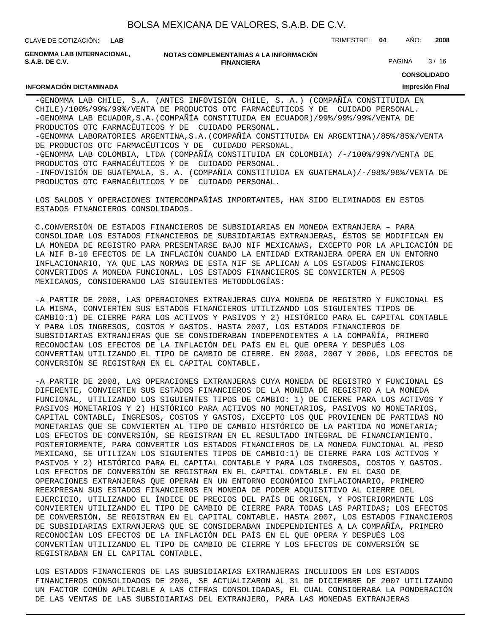**LAB**

CLAVE DE COTIZACIÓN: TRIMESTRE: **04** AÑO: **2008**

**GENOMMA LAB INTERNACIONAL, S.A.B. DE C.V.**

**INFORMACIÓN DICTAMINADA**

**NOTAS COMPLEMENTARIAS A LA INFORMACIÓN FINANCIERA**

PAGINA 3/16

**CONSOLIDADO**

#### **Impresión Final**

-GENOMMA LAB CHILE, S.A. (ANTES INFOVISIÓN CHILE, S. A.) (COMPAÑÍA CONSTITUIDA EN CHILE)/100%/99%/99%/VENTA DE PRODUCTOS OTC FARMACÉUTICOS Y DE CUIDADO PERSONAL. -GENOMMA LAB ECUADOR,S.A.(COMPAÑÍA CONSTITUIDA EN ECUADOR)/99%/99%/99%/VENTA DE PRODUCTOS OTC FARMACÉUTICOS Y DE CUIDADO PERSONAL. -GENOMMA LABORATORIES ARGENTINA,S.A.(COMPAÑÍA CONSTITUIDA EN ARGENTINA)/85%/85%/VENTA DE PRODUCTOS OTC FARMACÉUTICOS Y DE CUIDADO PERSONAL. -GENOMMA LAB COLOMBIA, LTDA (COMPAÑÍA CONSTITUIDA EN COLOMBIA) /-/100%/99%/VENTA DE PRODUCTOS OTC FARMACÉUTICOS Y DE CUIDADO PERSONAL. -INFOVISIÓN DE GUATEMALA, S. A. (COMPAÑIA CONSTITUIDA EN GUATEMALA)/-/98%/98%/VENTA DE PRODUCTOS OTC FARMACÉUTICOS Y DE CUIDADO PERSONAL.

LOS SALDOS Y OPERACIONES INTERCOMPAÑÍAS IMPORTANTES, HAN SIDO ELIMINADOS EN ESTOS ESTADOS FINANCIEROS CONSOLIDADOS.

C. CONVERSIÓN DE ESTADOS FINANCIEROS DE SUBSIDIARIAS EN MONEDA EXTRANJERA – PARA CONSOLIDAR LOS ESTADOS FINANCIEROS DE SUBSIDIARIAS EXTRANJERAS, ÉSTOS SE MODIFICAN EN LA MONEDA DE REGISTRO PARA PRESENTARSE BAJO NIF MEXICANAS, EXCEPTO POR LA APLICACIÓN DE LA NIF B-10 EFECTOS DE LA INFLACIÓN CUANDO LA ENTIDAD EXTRANJERA OPERA EN UN ENTORNO INFLACIONARIO, YA QUE LAS NORMAS DE ESTA NIF SE APLICAN A LOS ESTADOS FINANCIEROS CONVERTIDOS A MONEDA FUNCIONAL. LOS ESTADOS FINANCIEROS SE CONVIERTEN A PESOS MEXICANOS, CONSIDERANDO LAS SIGUIENTES METODOLOGÍAS:

- A PARTIR DE 2008, LAS OPERACIONES EXTRANJERAS CUYA MONEDA DE REGISTRO Y FUNCIONAL ES LA MISMA, CONVIERTEN SUS ESTADOS FINANCIEROS UTILIZANDO LOS SIGUIENTES TIPOS DE CAMBIO:1) DE CIERRE PARA LOS ACTIVOS Y PASIVOS Y 2) HISTÓRICO PARA EL CAPITAL CONTABLE Y PARA LOS INGRESOS, COSTOS Y GASTOS. HASTA 2007, LOS ESTADOS FINANCIEROS DE SUBSIDIARIAS EXTRANJERAS QUE SE CONSIDERABAN INDEPENDIENTES A LA COMPAÑÍA, PRIMERO RECONOCÍAN LOS EFECTOS DE LA INFLACIÓN DEL PAÍS EN EL QUE OPERA Y DESPUÉS LOS CONVERTÍAN UTILIZANDO EL TIPO DE CAMBIO DE CIERRE. EN 2008, 2007 Y 2006, LOS EFECTOS DE CONVERSIÓN SE REGISTRAN EN EL CAPITAL CONTABLE.

- A PARTIR DE 2008, LAS OPERACIONES EXTRANJERAS CUYA MONEDA DE REGISTRO Y FUNCIONAL ES DIFERENTE, CONVIERTEN SUS ESTADOS FINANCIEROS DE LA MONEDA DE REGISTRO A LA MONEDA FUNCIONAL, UTILIZANDO LOS SIGUIENTES TIPOS DE CAMBIO: 1) DE CIERRE PARA LOS ACTIVOS Y PASIVOS MONETARIOS Y 2) HISTÓRICO PARA ACTIVOS NO MONETARIOS, PASIVOS NO MONETARIOS, CAPITAL CONTABLE, INGRESOS, COSTOS Y GASTOS, EXCEPTO LOS QUE PROVIENEN DE PARTIDAS NO MONETARIAS QUE SE CONVIERTEN AL TIPO DE CAMBIO HISTÓRICO DE LA PARTIDA NO MONETARIA; LOS EFECTOS DE CONVERSIÓN, SE REGISTRAN EN EL RESULTADO INTEGRAL DE FINANCIAMIENTO. POSTERIORMENTE, PARA CONVERTIR LOS ESTADOS FINANCIEROS DE LA MONEDA FUNCIONAL AL PESO MEXICANO, SE UTILIZAN LOS SIGUIENTES TIPOS DE CAMBIO:1) DE CIERRE PARA LOS ACTIVOS Y PASIVOS Y 2) HISTÓRICO PARA EL CAPITAL CONTABLE Y PARA LOS INGRESOS, COSTOS Y GASTOS. LOS EFECTOS DE CONVERSIÓN SE REGISTRAN EN EL CAPITAL CONTABLE. EN EL CASO DE OPERACIONES EXTRANJERAS QUE OPERAN EN UN ENTORNO ECONÓMICO INFLACIONARIO, PRIMERO REEXPRESAN SUS ESTADOS FINANCIEROS EN MONEDA DE PODER ADQUISITIVO AL CIERRE DEL EJERCICIO, UTILIZANDO EL ÍNDICE DE PRECIOS DEL PAÍS DE ORIGEN, Y POSTERIORMENTE LOS CONVIERTEN UTILIZANDO EL TIPO DE CAMBIO DE CIERRE PARA TODAS LAS PARTIDAS; LOS EFECTOS DE CONVERSIÓN, SE REGISTRAN EN EL CAPITAL CONTABLE. HASTA 2007, LOS ESTADOS FINANCIEROS DE SUBSIDIARIAS EXTRANJERAS QUE SE CONSIDERABAN INDEPENDIENTES A LA COMPAÑÍA, PRIMERO RECONOCÍAN LOS EFECTOS DE LA INFLACIÓN DEL PAÍS EN EL QUE OPERA Y DESPUÉS LOS CONVERTÍAN UTILIZANDO EL TIPO DE CAMBIO DE CIERRE Y LOS EFECTOS DE CONVERSIÓN SE REGISTRABAN EN EL CAPITAL CONTABLE.

LOS ESTADOS FINANCIEROS DE LAS SUBSIDIARIAS EXTRANJERAS INCLUIDOS EN LOS ESTADOS FINANCIEROS CONSOLIDADOS DE 2006, SE ACTUALIZARON AL 31 DE DICIEMBRE DE 2007 UTILIZANDO UN FACTOR COMÚN APLICABLE A LAS CIFRAS CONSOLIDADAS, EL CUAL CONSIDERABA LA PONDERACIÓN DE LAS VENTAS DE LAS SUBSIDIARIAS DEL EXTRANJERO, PARA LAS MONEDAS EXTRANJERAS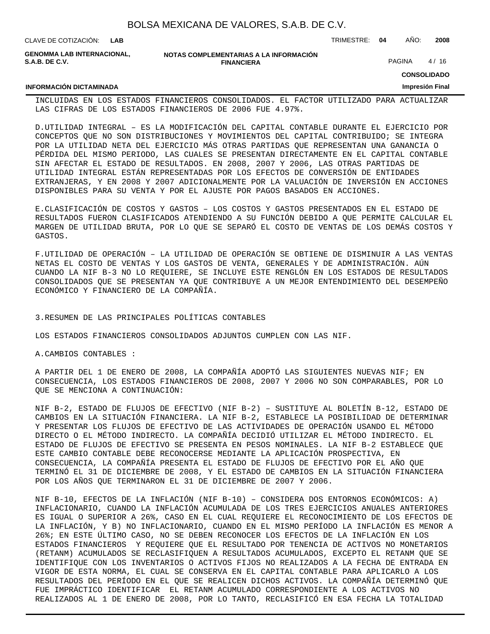| CLAVE DE COTIZACIÓN: LAB                                   |                                                             | TRIMESTRE: 04 | ANO:   | 2008   |
|------------------------------------------------------------|-------------------------------------------------------------|---------------|--------|--------|
| <b>GENOMMA LAB INTERNACIONAL.</b><br><b>S.A.B. DE C.V.</b> | NOTAS COMPLEMENTARIAS A LA INFORMACIÓN<br><b>FINANCIERA</b> |               | PAGINA | 4 / 16 |

#### **INFORMACIÓN DICTAMINADA**

**CONSOLIDADO**

#### **Impresión Final**

INCLUIDAS EN LOS ESTADOS FINANCIEROS CONSOLIDADOS. EL FACTOR UTILIZADO PARA ACTUALIZAR LAS CIFRAS DE LOS ESTADOS FINANCIEROS DE 2006 FUE 4.97%.

D. UTILIDAD INTEGRAL – ES LA MODIFICACIÓN DEL CAPITAL CONTABLE DURANTE EL EJERCICIO POR CONCEPTOS QUE NO SON DISTRIBUCIONES Y MOVIMIENTOS DEL CAPITAL CONTRIBUIDO; SE INTEGRA POR LA UTILIDAD NETA DEL EJERCICIO MÁS OTRAS PARTIDAS QUE REPRESENTAN UNA GANANCIA O PÉRDIDA DEL MISMO PERIODO, LAS CUALES SE PRESENTAN DIRECTAMENTE EN EL CAPITAL CONTABLE SIN AFECTAR EL ESTADO DE RESULTADOS. EN 2008, 2007 Y 2006, LAS OTRAS PARTIDAS DE UTILIDAD INTEGRAL ESTÁN REPRESENTADAS POR LOS EFECTOS DE CONVERSIÓN DE ENTIDADES EXTRANJERAS, Y EN 2008 Y 2007 ADICIONALMENTE POR LA VALUACIÓN DE INVERSIÓN EN ACCIONES DISPONIBLES PARA SU VENTA Y POR EL AJUSTE POR PAGOS BASADOS EN ACCIONES.

E. CLASIFICACIÓN DE COSTOS Y GASTOS – LOS COSTOS Y GASTOS PRESENTADOS EN EL ESTADO DE RESULTADOS FUERON CLASIFICADOS ATENDIENDO A SU FUNCIÓN DEBIDO A QUE PERMITE CALCULAR EL MARGEN DE UTILIDAD BRUTA, POR LO QUE SE SEPARÓ EL COSTO DE VENTAS DE LOS DEMÁS COSTOS Y GASTOS.

F. UTILIDAD DE OPERACIÓN – LA UTILIDAD DE OPERACIÓN SE OBTIENE DE DISMINUIR A LAS VENTAS NETAS EL COSTO DE VENTAS Y LOS GASTOS DE VENTA, GENERALES Y DE ADMINISTRACIÓN. AÚN CUANDO LA NIF B-3 NO LO REQUIERE, SE INCLUYE ESTE RENGLÓN EN LOS ESTADOS DE RESULTADOS CONSOLIDADOS QUE SE PRESENTAN YA QUE CONTRIBUYE A UN MEJOR ENTENDIMIENTO DEL DESEMPEÑO ECONÓMICO Y FINANCIERO DE LA COMPAÑÍA.

### 3. RESUMEN DE LAS PRINCIPALES POLÍTICAS CONTABLES

LOS ESTADOS FINANCIEROS CONSOLIDADOS ADJUNTOS CUMPLEN CON LAS NIF.

A. CAMBIOS CONTABLES :

A PARTIR DEL 1 DE ENERO DE 2008, LA COMPAÑÍA ADOPTÓ LAS SIGUIENTES NUEVAS NIF; EN CONSECUENCIA, LOS ESTADOS FINANCIEROS DE 2008, 2007 Y 2006 NO SON COMPARABLES, POR LO QUE SE MENCIONA A CONTINUACIÓN:

NIF B-2, ESTADO DE FLUJOS DE EFECTIVO (NIF B-2) – SUSTITUYE AL BOLETÍN B-12, ESTADO DE CAMBIOS EN LA SITUACIÓN FINANCIERA. LA NIF B-2, ESTABLECE LA POSIBILIDAD DE DETERMINAR Y PRESENTAR LOS FLUJOS DE EFECTIVO DE LAS ACTIVIDADES DE OPERACIÓN USANDO EL MÉTODO DIRECTO O EL MÉTODO INDIRECTO. LA COMPAÑÍA DECIDIÓ UTILIZAR EL MÉTODO INDIRECTO. EL ESTADO DE FLUJOS DE EFECTIVO SE PRESENTA EN PESOS NOMINALES. LA NIF B-2 ESTABLECE QUE ESTE CAMBIO CONTABLE DEBE RECONOCERSE MEDIANTE LA APLICACIÓN PROSPECTIVA, EN CONSECUENCIA, LA COMPAÑÍA PRESENTA EL ESTADO DE FLUJOS DE EFECTIVO POR EL AÑO QUE TERMINÓ EL 31 DE DICIEMBRE DE 2008, Y EL ESTADO DE CAMBIOS EN LA SITUACIÓN FINANCIERA POR LOS AÑOS QUE TERMINARON EL 31 DE DICIEMBRE DE 2007 Y 2006.

NIF B-10, EFECTOS DE LA INFLACIÓN (NIF B-10) – CONSIDERA DOS ENTORNOS ECONÓMICOS: A) INFLACIONARIO, CUANDO LA INFLACIÓN ACUMULADA DE LOS TRES EJERCICIOS ANUALES ANTERIORES ES IGUAL O SUPERIOR A 26%, CASO EN EL CUAL REQUIERE EL RECONOCIMIENTO DE LOS EFECTOS DE LA INFLACIÓN, Y B) NO INFLACIONARIO, CUANDO EN EL MISMO PERÍODO LA INFLACIÓN ES MENOR A 26%; EN ESTE ÚLTIMO CASO, NO SE DEBEN RECONOCER LOS EFECTOS DE LA INFLACIÓN EN LOS ESTADOS FINANCIEROS Y REQUIERE QUE EL RESULTADO POR TENENCIA DE ACTIVOS NO MONETARIOS (RETANM) ACUMULADOS SE RECLASIFIQUEN A RESULTADOS ACUMULADOS, EXCEPTO EL RETANM QUE SE IDENTIFIQUE CON LOS INVENTARIOS O ACTIVOS FIJOS NO REALIZADOS A LA FECHA DE ENTRADA EN VIGOR DE ESTA NORMA, EL CUAL SE CONSERVA EN EL CAPITAL CONTABLE PARA APLICARLO A LOS RESULTADOS DEL PERÍODO EN EL QUE SE REALICEN DICHOS ACTIVOS. LA COMPAÑÍA DETERMINÓ QUE FUE IMPRÁCTICO IDENTIFICAR EL RETANM ACUMULADO CORRESPONDIENTE A LOS ACTIVOS NO REALIZADOS AL 1 DE ENERO DE 2008, POR LO TANTO, RECLASIFICÓ EN ESA FECHA LA TOTALIDAD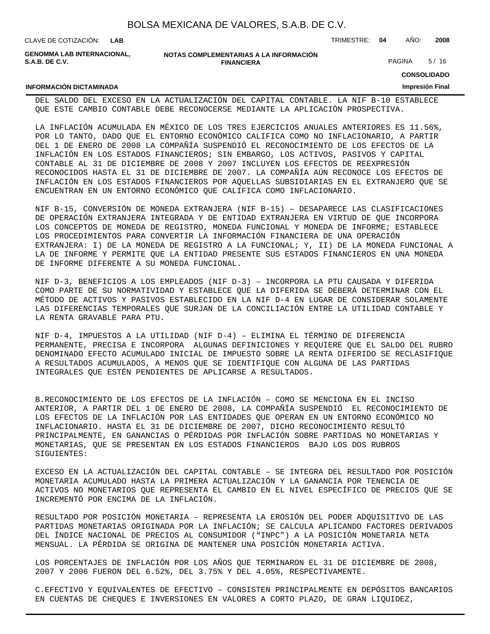| CLAVE DE COTIZACION: | <b>LAB</b> |  |
|----------------------|------------|--|
|----------------------|------------|--|

**GENOMMA LAB INTERNACIONAL, S.A.B. DE C.V.**

**INFORMACIÓN DICTAMINADA**

**NOTAS COMPLEMENTARIAS A LA INFORMACIÓN FINANCIERA**

PAGINA 5/16

CLAVE DE COTIZACIÓN: TRIMESTRE: **04** AÑO: **2008**

**CONSOLIDADO**

#### **Impresión Final**

DEL SALDO DEL EXCESO EN LA ACTUALIZACIÓN DEL CAPITAL CONTABLE. LA NIF B-10 ESTABLECE QUE ESTE CAMBIO CONTABLE DEBE RECONOCERSE MEDIANTE LA APLICACIÓN PROSPECTIVA.

LA INFLACIÓN ACUMULADA EN MÉXICO DE LOS TRES EJERCICIOS ANUALES ANTERIORES ES 11.56%, POR LO TANTO, DADO QUE EL ENTORNO ECONÓMICO CALIFICA COMO NO INFLACIONARIO, A PARTIR DEL 1 DE ENERO DE 2008 LA COMPAÑÍA SUSPENDIÓ EL RECONOCIMIENTO DE LOS EFECTOS DE LA INFLACIÓN EN LOS ESTADOS FINANCIEROS; SIN EMBARGO, LOS ACTIVOS, PASIVOS Y CAPITAL CONTABLE AL 31 DE DICIEMBRE DE 2008 Y 2007 INCLUYEN LOS EFECTOS DE REEXPRESIÓN RECONOCIDOS HASTA EL 31 DE DICIEMBRE DE 2007. LA COMPAÑÍA AÚN RECONOCE LOS EFECTOS DE INFLACIÓN EN LOS ESTADOS FINANCIEROS POR AQUELLAS SUBSIDIARIAS EN EL EXTRANJERO QUE SE ENCUENTRAN EN UN ENTORNO ECONÓMICO QUE CALIFICA COMO INFLACIONARIO.

NIF B-15, CONVERSIÓN DE MONEDA EXTRANJERA (NIF B-15) – DESAPARECE LAS CLASIFICACIONES DE OPERACIÓN EXTRANJERA INTEGRADA Y DE ENTIDAD EXTRANJERA EN VIRTUD DE QUE INCORPORA LOS CONCEPTOS DE MONEDA DE REGISTRO, MONEDA FUNCIONAL Y MONEDA DE INFORME; ESTABLECE LOS PROCEDIMIENTOS PARA CONVERTIR LA INFORMACIÓN FINANCIERA DE UNA OPERACIÓN EXTRANJERA: I) DE LA MONEDA DE REGISTRO A LA FUNCIONAL; Y, II) DE LA MONEDA FUNCIONAL A LA DE INFORME Y PERMITE QUE LA ENTIDAD PRESENTE SUS ESTADOS FINANCIEROS EN UNA MONEDA DE INFORME DIFERENTE A SU MONEDA FUNCIONAL.

NIF D-3, BENEFICIOS A LOS EMPLEADOS (NIF D-3) – INCORPORA LA PTU CAUSADA Y DIFERIDA COMO PARTE DE SU NORMATIVIDAD Y ESTABLECE QUE LA DIFERIDA SE DEBERÁ DETERMINAR CON EL MÉTODO DE ACTIVOS Y PASIVOS ESTABLECIDO EN LA NIF D-4 EN LUGAR DE CONSIDERAR SOLAMENTE LAS DIFERENCIAS TEMPORALES QUE SURJAN DE LA CONCILIACIÓN ENTRE LA UTILIDAD CONTABLE Y LA RENTA GRAVABLE PARA PTU.

NIF D-4, IMPUESTOS A LA UTILIDAD (NIF D-4) – ELIMINA EL TÉRMINO DE DIFERENCIA PERMANENTE, PRECISA E INCORPORA ALGUNAS DEFINICIONES Y REQUIERE QUE EL SALDO DEL RUBRO DENOMINADO EFECTO ACUMULADO INICIAL DE IMPUESTO SOBRE LA RENTA DIFERIDO SE RECLASIFIQUE A RESULTADOS ACUMULADOS, A MENOS QUE SE IDENTIFIQUE CON ALGUNA DE LAS PARTIDAS INTEGRALES QUE ESTÉN PENDIENTES DE APLICARSE A RESULTADOS.

B. RECONOCIMIENTO DE LOS EFECTOS DE LA INFLACIÓN – COMO SE MENCIONA EN EL INCISO ANTERIOR, A PARTIR DEL 1 DE ENERO DE 2008, LA COMPAÑÍA SUSPENDIÓ EL RECONOCIMIENTO DE LOS EFECTOS DE LA INFLACIÓN POR LAS ENTIDADES QUE OPERAN EN UN ENTORNO ECONÓMICO NO INFLACIONARIO. HASTA EL 31 DE DICIEMBRE DE 2007, DICHO RECONOCIMIENTO RESULTÓ PRINCIPALMENTE, EN GANANCIAS O PÉRDIDAS POR INFLACIÓN SOBRE PARTIDAS NO MONETARIAS Y MONETARIAS, QUE SE PRESENTAN EN LOS ESTADOS FINANCIEROS BAJO LOS DOS RUBROS SIGUIENTES:

EXCESO EN LA ACTUALIZACIÓN DEL CAPITAL CONTABLE – SE INTEGRA DEL RESULTADO POR POSICIÓN MONETARIA ACUMULADO HASTA LA PRIMERA ACTUALIZACIÓN Y LA GANANCIA POR TENENCIA DE ACTIVOS NO MONETARIOS QUE REPRESENTA EL CAMBIO EN EL NIVEL ESPECÍFICO DE PRECIOS QUE SE INCREMENTÓ POR ENCIMA DE LA INFLACIÓN.

RESULTADO POR POSICIÓN MONETARIA – REPRESENTA LA EROSIÓN DEL PODER ADQUISITIVO DE LAS PARTIDAS MONETARIAS ORIGINADA POR LA INFLACIÓN; SE CALCULA APLICANDO FACTORES DERIVADOS DEL ÍNDICE NACIONAL DE PRECIOS AL CONSUMIDOR ("INPC") A LA POSICIÓN MONETARIA NETA MENSUAL. LA PÉRDIDA SE ORIGINA DE MANTENER UNA POSICIÓN MONETARIA ACTIVA.

LOS PORCENTAJES DE INFLACIÓN POR LOS AÑOS QUE TERMINARON EL 31 DE DICIEMBRE DE 2008, 2007 Y 2006 FUERON DEL 6.52%, DEL 3.75% Y DEL 4.05%, RESPECTIVAMENTE.

C. EFECTIVO Y EQUIVALENTES DE EFECTIVO – CONSISTEN PRINCIPALMENTE EN DEPÓSITOS BANCARIOS EN CUENTAS DE CHEQUES E INVERSIONES EN VALORES A CORTO PLAZO, DE GRAN LIQUIDEZ,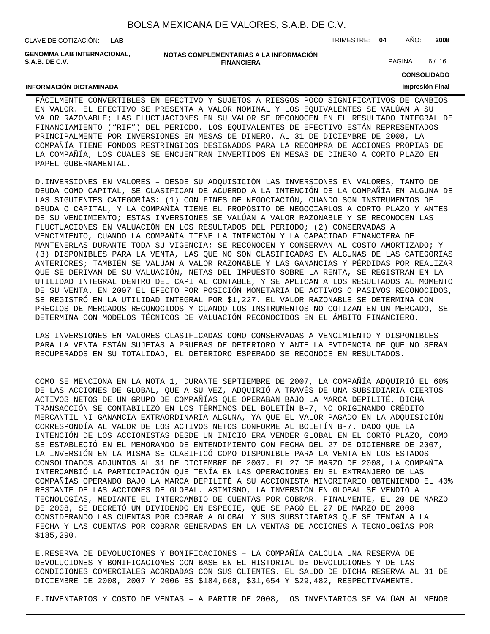CLAVE DE COTIZACIÓN: TRIMESTRE: **04** AÑO: **2008 LAB**

**GENOMMA LAB INTERNACIONAL, S.A.B. DE C.V.**

| NOTAS COMPLEMENTARIAS A LA INFORMACION |
|----------------------------------------|
| <b>FINANCIERA</b>                      |

PAGINA 6/16

**CONSOLIDADO**

#### **INFORMACIÓN DICTAMINADA**

# **Impresión Final**

FÁCILMENTE CONVERTIBLES EN EFECTIVO Y SUJETOS A RIESGOS POCO SIGNIFICATIVOS DE CAMBIOS EN VALOR. EL EFECTIVO SE PRESENTA A VALOR NOMINAL Y LOS EQUIVALENTES SE VALÚAN A SU VALOR RAZONABLE; LAS FLUCTUACIONES EN SU VALOR SE RECONOCEN EN EL RESULTADO INTEGRAL DE FINANCIAMIENTO ("RIF") DEL PERIODO. LOS EQUIVALENTES DE EFECTIVO ESTÁN REPRESENTADOS PRINCIPALMENTE POR INVERSIONES EN MESAS DE DINERO. AL 31 DE DICIEMBRE DE 2008, LA COMPAÑÍA TIENE FONDOS RESTRINGIDOS DESIGNADOS PARA LA RECOMPRA DE ACCIONES PROPIAS DE LA COMPAÑÍA, LOS CUALES SE ENCUENTRAN INVERTIDOS EN MESAS DE DINERO A CORTO PLAZO EN PAPEL GUBERNAMENTAL.

D. INVERSIONES EN VALORES – DESDE SU ADQUISICIÓN LAS INVERSIONES EN VALORES, TANTO DE DEUDA COMO CAPITAL, SE CLASIFICAN DE ACUERDO A LA INTENCIÓN DE LA COMPAÑÍA EN ALGUNA DE LAS SIGUIENTES CATEGORÍAS: (1) CON FINES DE NEGOCIACIÓN, CUANDO SON INSTRUMENTOS DE DEUDA O CAPITAL, Y LA COMPAÑÍA TIENE EL PROPÓSITO DE NEGOCIARLOS A CORTO PLAZO Y ANTES DE SU VENCIMIENTO; ESTAS INVERSIONES SE VALÚAN A VALOR RAZONABLE Y SE RECONOCEN LAS FLUCTUACIONES EN VALUACIÓN EN LOS RESULTADOS DEL PERIODO; (2) CONSERVADAS A VENCIMIENTO, CUANDO LA COMPAÑÍA TIENE LA INTENCIÓN Y LA CAPACIDAD FINANCIERA DE MANTENERLAS DURANTE TODA SU VIGENCIA; SE RECONOCEN Y CONSERVAN AL COSTO AMORTIZADO; Y (3) DISPONIBLES PARA LA VENTA, LAS QUE NO SON CLASIFICADAS EN ALGUNAS DE LAS CATEGORÍAS ANTERIORES; TAMBIÉN SE VALÚAN A VALOR RAZONABLE Y LAS GANANCIAS Y PÉRDIDAS POR REALIZAR QUE SE DERIVAN DE SU VALUACIÓN, NETAS DEL IMPUESTO SOBRE LA RENTA, SE REGISTRAN EN LA UTILIDAD INTEGRAL DENTRO DEL CAPITAL CONTABLE, Y SE APLICAN A LOS RESULTADOS AL MOMENTO DE SU VENTA. EN 2007 EL EFECTO POR POSICIÓN MONETARIA DE ACTIVOS O PASIVOS RECONOCIDOS, SE REGISTRÓ EN LA UTILIDAD INTEGRAL POR \$1,227. EL VALOR RAZONABLE SE DETERMINA CON PRECIOS DE MERCADOS RECONOCIDOS Y CUANDO LOS INSTRUMENTOS NO COTIZAN EN UN MERCADO, SE DETERMINA CON MODELOS TÉCNICOS DE VALUACIÓN RECONOCIDOS EN EL ÁMBITO FINANCIERO.

LAS INVERSIONES EN VALORES CLASIFICADAS COMO CONSERVADAS A VENCIMIENTO Y DISPONIBLES PARA LA VENTA ESTÁN SUJETAS A PRUEBAS DE DETERIORO Y ANTE LA EVIDENCIA DE QUE NO SERÁN RECUPERADOS EN SU TOTALIDAD, EL DETERIORO ESPERADO SE RECONOCE EN RESULTADOS.

COMO SE MENCIONA EN LA NOTA 1, DURANTE SEPTIEMBRE DE 2007, LA COMPAÑÍA ADQUIRIÓ EL 60% DE LAS ACCIONES DE GLOBAL, QUE A SU VEZ, ADQUIRIÓ A TRAVÉS DE UNA SUBSIDIARIA CIERTOS ACTIVOS NETOS DE UN GRUPO DE COMPAÑÍAS QUE OPERABAN BAJO LA MARCA DEPILITÉ. DICHA TRANSACCIÓN SE CONTABILIZÓ EN LOS TÉRMINOS DEL BOLETÍN B-7, NO ORIGINANDO CRÉDITO MERCANTIL NI GANANCIA EXTRAORDINARIA ALGUNA, YA QUE EL VALOR PAGADO EN LA ADQUISICIÓN CORRESPONDÍA AL VALOR DE LOS ACTIVOS NETOS CONFORME AL BOLETÍN B-7. DADO QUE LA INTENCIÓN DE LOS ACCIONISTAS DESDE UN INICIO ERA VENDER GLOBAL EN EL CORTO PLAZO, COMO SE ESTABLECIÓ EN EL MEMORANDO DE ENTENDIMIENTO CON FECHA DEL 27 DE DICIEMBRE DE 2007, LA INVERSIÓN EN LA MISMA SE CLASIFICÓ COMO DISPONIBLE PARA LA VENTA EN LOS ESTADOS CONSOLIDADOS ADJUNTOS AL 31 DE DICIEMBRE DE 2007. EL 27 DE MARZO DE 2008, LA COMPAÑÍA INTERCAMBIÓ LA PARTICIPACIÓN QUE TENÍA EN LAS OPERACIONES EN EL EXTRANJERO DE LAS COMPAÑÍAS OPERANDO BAJO LA MARCA DEPILITÉ A SU ACCIONISTA MINORITARIO OBTENIENDO EL 40% RESTANTE DE LAS ACCIONES DE GLOBAL. ASIMISMO, LA INVERSIÓN EN GLOBAL SE VENDIÓ A TECNOLOGÍAS, MEDIANTE EL INTERCAMBIO DE CUENTAS POR COBRAR. FINALMENTE, EL 20 DE MARZO DE 2008, SE DECRETÓ UN DIVIDENDO EN ESPECIE, QUE SE PAGÓ EL 27 DE MARZO DE 2008 CONSIDERANDO LAS CUENTAS POR COBRAR A GLOBAL Y SUS SUBSIDIARIAS QUE SE TENÍAN A LA FECHA Y LAS CUENTAS POR COBRAR GENERADAS EN LA VENTAS DE ACCIONES A TECNOLOGÍAS POR \$185,290.

E. RESERVA DE DEVOLUCIONES Y BONIFICACIONES – LA COMPAÑÍA CALCULA UNA RESERVA DE DEVOLUCIONES Y BONIFICACIONES CON BASE EN EL HISTORIAL DE DEVOLUCIONES Y DE LAS CONDICIONES COMERCIALES ACORDADAS CON SUS CLIENTES. EL SALDO DE DICHA RESERVA AL 31 DE DICIEMBRE DE 2008, 2007 Y 2006 ES \$184,668, \$31,654 Y \$29,482, RESPECTIVAMENTE.

F. INVENTARIOS Y COSTO DE VENTAS - A PARTIR DE 2008, LOS INVENTARIOS SE VALÚAN AL MENOR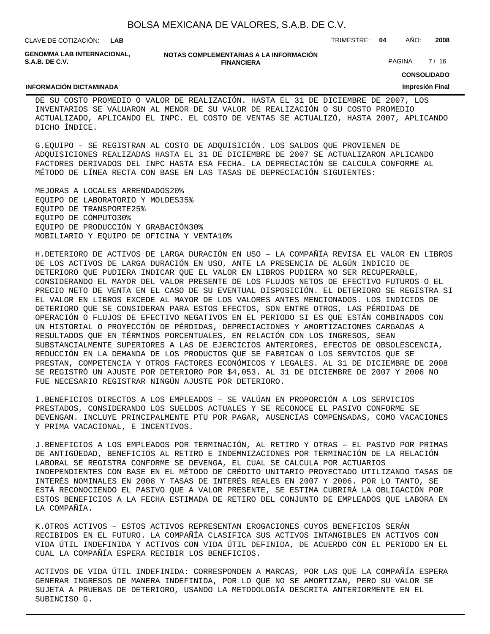| BOLSA MEXICANA DE VALORES, S.A.B. DE C.V. |  |  |  |
|-------------------------------------------|--|--|--|
|-------------------------------------------|--|--|--|

CLAVE DE COTIZACIÓN: TRIMESTRE: **04** AÑO: **2008 LAB**

**GENOMMA LAB INTERNACIONAL, S.A.B. DE C.V.**

**NOTAS COMPLEMENTARIAS A LA INFORMACIÓN FINANCIERA**

PAGINA 7/16

**CONSOLIDADO**

#### **INFORMACIÓN DICTAMINADA**

**Impresión Final**

DE SU COSTO PROMEDIO O VALOR DE REALIZACIÓN. HASTA EL 31 DE DICIEMBRE DE 2007, LOS INVENTARIOS SE VALUARON AL MENOR DE SU VALOR DE REALIZACIÓN O SU COSTO PROMEDIO ACTUALIZADO, APLICANDO EL INPC. EL COSTO DE VENTAS SE ACTUALIZÓ, HASTA 2007, APLICANDO DICHO ÍNDICE.

G. EQUIPO – SE REGISTRAN AL COSTO DE ADQUISICIÓN. LOS SALDOS QUE PROVIENEN DE ADQUISICIONES REALIZADAS HASTA EL 31 DE DICIEMBRE DE 2007 SE ACTUALIZARON APLICANDO FACTORES DERIVADOS DEL INPC HASTA ESA FECHA. LA DEPRECIACIÓN SE CALCULA CONFORME AL MÉTODO DE LÍNEA RECTA CON BASE EN LAS TASAS DE DEPRECIACIÓN SIGUIENTES:

MEJORAS A LOCALES ARRENDADOS 20% EQUIPO DE LABORATORIO Y MOLDES 35% EQUIPO DE TRANSPORTE 25% EQUIPO DE CÓMPUTO 30% EQUIPO DE PRODUCCIÓN Y GRABACIÓN 30% MOBILIARIO Y EQUIPO DE OFICINA Y VENTA 10%

H. DETERIORO DE ACTIVOS DE LARGA DURACIÓN EN USO – LA COMPAÑÍA REVISA EL VALOR EN LIBROS DE LOS ACTIVOS DE LARGA DURACIÓN EN USO, ANTE LA PRESENCIA DE ALGÚN INDICIO DE DETERIORO QUE PUDIERA INDICAR QUE EL VALOR EN LIBROS PUDIERA NO SER RECUPERABLE, CONSIDERANDO EL MAYOR DEL VALOR PRESENTE DE LOS FLUJOS NETOS DE EFECTIVO FUTUROS O EL PRECIO NETO DE VENTA EN EL CASO DE SU EVENTUAL DISPOSICIÓN. EL DETERIORO SE REGISTRA SI EL VALOR EN LIBROS EXCEDE AL MAYOR DE LOS VALORES ANTES MENCIONADOS. LOS INDICIOS DE DETERIORO QUE SE CONSIDERAN PARA ESTOS EFECTOS, SON ENTRE OTROS, LAS PÉRDIDAS DE OPERACIÓN O FLUJOS DE EFECTIVO NEGATIVOS EN EL PERIODO SI ES QUE ESTÁN COMBINADOS CON UN HISTORIAL O PROYECCIÓN DE PÉRDIDAS, DEPRECIACIONES Y AMORTIZACIONES CARGADAS A RESULTADOS QUE EN TÉRMINOS PORCENTUALES, EN RELACIÓN CON LOS INGRESOS, SEAN SUBSTANCIALMENTE SUPERIORES A LAS DE EJERCICIOS ANTERIORES, EFECTOS DE OBSOLESCENCIA, REDUCCIÓN EN LA DEMANDA DE LOS PRODUCTOS QUE SE FABRICAN O LOS SERVICIOS QUE SE PRESTAN, COMPETENCIA Y OTROS FACTORES ECONÓMICOS Y LEGALES. AL 31 DE DICIEMBRE DE 2008 SE REGISTRÓ UN AJUSTE POR DETERIORO POR \$4,053. AL 31 DE DICIEMBRE DE 2007 Y 2006 NO FUE NECESARIO REGISTRAR NINGÚN AJUSTE POR DETERIORO.

I. BENEFICIOS DIRECTOS A LOS EMPLEADOS - SE VALÚAN EN PROPORCIÓN A LOS SERVICIOS PRESTADOS, CONSIDERANDO LOS SUELDOS ACTUALES Y SE RECONOCE EL PASIVO CONFORME SE DEVENGAN. INCLUYE PRINCIPALMENTE PTU POR PAGAR, AUSENCIAS COMPENSADAS, COMO VACACIONES Y PRIMA VACACIONAL, E INCENTIVOS.

J. BENEFICIOS A LOS EMPLEADOS POR TERMINACIÓN, AL RETIRO Y OTRAS – EL PASIVO POR PRIMAS DE ANTIGÜEDAD, BENEFICIOS AL RETIRO E INDEMNIZACIONES POR TERMINACIÓN DE LA RELACIÓN LABORAL SE REGISTRA CONFORME SE DEVENGA, EL CUAL SE CALCULA POR ACTUARIOS INDEPENDIENTES CON BASE EN EL MÉTODO DE CRÉDITO UNITARIO PROYECTADO UTILIZANDO TASAS DE INTERÉS NOMINALES EN 2008 Y TASAS DE INTERÉS REALES EN 2007 Y 2006. POR LO TANTO, SE ESTÁ RECONOCIENDO EL PASIVO QUE A VALOR PRESENTE, SE ESTIMA CUBRIRÁ LA OBLIGACIÓN POR ESTOS BENEFICIOS A LA FECHA ESTIMADA DE RETIRO DEL CONJUNTO DE EMPLEADOS QUE LABORA EN LA COMPAÑÍA.

K. OTROS ACTIVOS – ESTOS ACTIVOS REPRESENTAN EROGACIONES CUYOS BENEFICIOS SERÁN RECIBIDOS EN EL FUTURO. LA COMPAÑÍA CLASIFICA SUS ACTIVOS INTANGIBLES EN ACTIVOS CON VIDA ÚTIL INDEFINIDA Y ACTIVOS CON VIDA ÚTIL DEFINIDA, DE ACUERDO CON EL PERIODO EN EL CUAL LA COMPAÑÍA ESPERA RECIBIR LOS BENEFICIOS.

ACTIVOS DE VIDA ÚTIL INDEFINIDA: CORRESPONDEN A MARCAS, POR LAS QUE LA COMPAÑÍA ESPERA GENERAR INGRESOS DE MANERA INDEFINIDA, POR LO QUE NO SE AMORTIZAN, PERO SU VALOR SE SUJETA A PRUEBAS DE DETERIORO, USANDO LA METODOLOGÍA DESCRITA ANTERIORMENTE EN EL SUBINCISO G.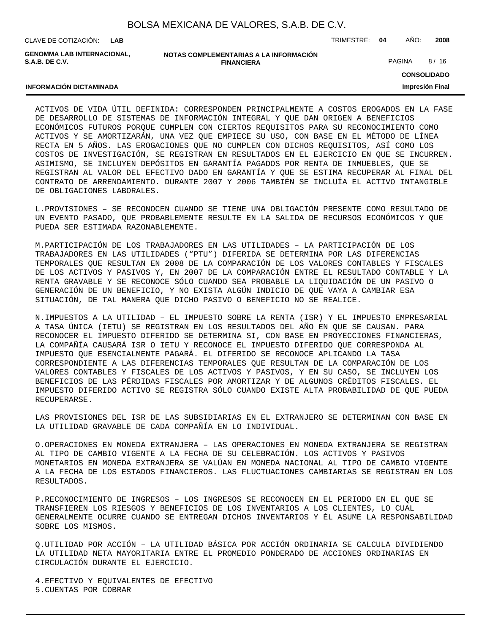**LAB**

CLAVE DE COTIZACIÓN: TRIMESTRE: **04** AÑO: **2008**

**GENOMMA LAB INTERNACIONAL, S.A.B. DE C.V.**

**INFORMACIÓN DICTAMINADA**

**NOTAS COMPLEMENTARIAS A LA INFORMACIÓN FINANCIERA**

PAGINA 8/16

**CONSOLIDADO**

**Impresión Final**

ACTIVOS DE VIDA ÚTIL DEFINIDA: CORRESPONDEN PRINCIPALMENTE A COSTOS EROGADOS EN LA FASE DE DESARROLLO DE SISTEMAS DE INFORMACIÓN INTEGRAL Y QUE DAN ORIGEN A BENEFICIOS ECONÓMICOS FUTUROS PORQUE CUMPLEN CON CIERTOS REQUISITOS PARA SU RECONOCIMIENTO COMO ACTIVOS Y SE AMORTIZARÁN, UNA VEZ QUE EMPIECE SU USO, CON BASE EN EL MÉTODO DE LÍNEA RECTA EN 5 AÑOS. LAS EROGACIONES QUE NO CUMPLEN CON DICHOS REQUISITOS, ASÍ COMO LOS COSTOS DE INVESTIGACIÓN, SE REGISTRAN EN RESULTADOS EN EL EJERCICIO EN QUE SE INCURREN. ASIMISMO, SE INCLUYEN DEPÓSITOS EN GARANTÍA PAGADOS POR RENTA DE INMUEBLES, QUE SE REGISTRAN AL VALOR DEL EFECTIVO DADO EN GARANTÍA Y QUE SE ESTIMA RECUPERAR AL FINAL DEL CONTRATO DE ARRENDAMIENTO. DURANTE 2007 Y 2006 TAMBIÉN SE INCLUÍA EL ACTIVO INTANGIBLE DE OBLIGACIONES LABORALES.

L. PROVISIONES - SE RECONOCEN CUANDO SE TIENE UNA OBLIGACIÓN PRESENTE COMO RESULTADO DE UN EVENTO PASADO, QUE PROBABLEMENTE RESULTE EN LA SALIDA DE RECURSOS ECONÓMICOS Y QUE PUEDA SER ESTIMADA RAZONABLEMENTE.

M. PARTICIPACIÓN DE LOS TRABAJADORES EN LAS UTILIDADES – LA PARTICIPACIÓN DE LOS TRABAJADORES EN LAS UTILIDADES ("PTU") DIFERIDA SE DETERMINA POR LAS DIFERENCIAS TEMPORALES QUE RESULTAN EN 2008 DE LA COMPARACIÓN DE LOS VALORES CONTABLES Y FISCALES DE LOS ACTIVOS Y PASIVOS Y, EN 2007 DE LA COMPARACIÓN ENTRE EL RESULTADO CONTABLE Y LA RENTA GRAVABLE Y SE RECONOCE SÓLO CUANDO SEA PROBABLE LA LIQUIDACIÓN DE UN PASIVO O GENERACIÓN DE UN BENEFICIO, Y NO EXISTA ALGÚN INDICIO DE QUE VAYA A CAMBIAR ESA SITUACIÓN, DE TAL MANERA QUE DICHO PASIVO O BENEFICIO NO SE REALICE.

N. IMPUESTOS A LA UTILIDAD – EL IMPUESTO SOBRE LA RENTA (ISR) Y EL IMPUESTO EMPRESARIAL A TASA ÚNICA (IETU) SE REGISTRAN EN LOS RESULTADOS DEL AÑO EN QUE SE CAUSAN. PARA RECONOCER EL IMPUESTO DIFERIDO SE DETERMINA SI, CON BASE EN PROYECCIONES FINANCIERAS, LA COMPAÑÍA CAUSARÁ ISR O IETU Y RECONOCE EL IMPUESTO DIFERIDO QUE CORRESPONDA AL IMPUESTO QUE ESENCIALMENTE PAGARÁ. EL DIFERIDO SE RECONOCE APLICANDO LA TASA CORRESPONDIENTE A LAS DIFERENCIAS TEMPORALES QUE RESULTAN DE LA COMPARACIÓN DE LOS VALORES CONTABLES Y FISCALES DE LOS ACTIVOS Y PASIVOS, Y EN SU CASO, SE INCLUYEN LOS BENEFICIOS DE LAS PÉRDIDAS FISCALES POR AMORTIZAR Y DE ALGUNOS CRÉDITOS FISCALES. EL IMPUESTO DIFERIDO ACTIVO SE REGISTRA SÓLO CUANDO EXISTE ALTA PROBABILIDAD DE QUE PUEDA RECUPERARSE.

LAS PROVISIONES DEL ISR DE LAS SUBSIDIARIAS EN EL EXTRANJERO SE DETERMINAN CON BASE EN LA UTILIDAD GRAVABLE DE CADA COMPAÑÍA EN LO INDIVIDUAL.

O. OPERACIONES EN MONEDA EXTRANJERA - LAS OPERACIONES EN MONEDA EXTRANJERA SE REGISTRAN AL TIPO DE CAMBIO VIGENTE A LA FECHA DE SU CELEBRACIÓN. LOS ACTIVOS Y PASIVOS MONETARIOS EN MONEDA EXTRANJERA SE VALÚAN EN MONEDA NACIONAL AL TIPO DE CAMBIO VIGENTE A LA FECHA DE LOS ESTADOS FINANCIEROS. LAS FLUCTUACIONES CAMBIARIAS SE REGISTRAN EN LOS RESULTADOS.

P. RECONOCIMIENTO DE INGRESOS - LOS INGRESOS SE RECONOCEN EN EL PERIODO EN EL QUE SE TRANSFIEREN LOS RIESGOS Y BENEFICIOS DE LOS INVENTARIOS A LOS CLIENTES, LO CUAL GENERALMENTE OCURRE CUANDO SE ENTREGAN DICHOS INVENTARIOS Y ÉL ASUME LA RESPONSABILIDAD SOBRE LOS MISMOS.

Q. UTILIDAD POR ACCIÓN – LA UTILIDAD BÁSICA POR ACCIÓN ORDINARIA SE CALCULA DIVIDIENDO LA UTILIDAD NETA MAYORITARIA ENTRE EL PROMEDIO PONDERADO DE ACCIONES ORDINARIAS EN CIRCULACIÓN DURANTE EL EJERCICIO.

4. EFECTIVO Y EQUIVALENTES DE EFECTIVO 5. CUENTAS POR COBRAR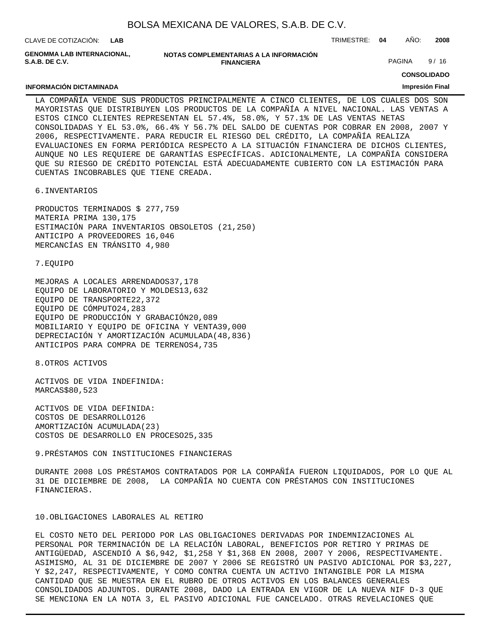CLAVE DE COTIZACIÓN: TRIMESTRE: **04** AÑO: **2008 LAB**

**GENOMMA LAB INTERNACIONAL, S.A.B. DE C.V.**

**INFORMACIÓN DICTAMINADA**

| NOTAS COMPLEMENTARIAS A LA INFORMACION |  |
|----------------------------------------|--|
| <b>FINANCIERA</b>                      |  |

PAGINA 9/16

**CONSOLIDADO**

#### **Impresión Final**

LA COMPAÑÍA VENDE SUS PRODUCTOS PRINCIPALMENTE A CINCO CLIENTES, DE LOS CUALES DOS SON MAYORISTAS QUE DISTRIBUYEN LOS PRODUCTOS DE LA COMPAÑÍA A NIVEL NACIONAL. LAS VENTAS A ESTOS CINCO CLIENTES REPRESENTAN EL 57.4%, 58.0%, Y 57.1% DE LAS VENTAS NETAS CONSOLIDADAS Y EL 53.0%, 66.4% Y 56.7% DEL SALDO DE CUENTAS POR COBRAR EN 2008, 2007 Y 2006, RESPECTIVAMENTE. PARA REDUCIR EL RIESGO DEL CRÉDITO, LA COMPAÑÍA REALIZA EVALUACIONES EN FORMA PERIÓDICA RESPECTO A LA SITUACIÓN FINANCIERA DE DICHOS CLIENTES, AUNQUE NO LES REQUIERE DE GARANTÍAS ESPECÍFICAS. ADICIONALMENTE, LA COMPAÑÍA CONSIDERA QUE SU RIESGO DE CRÉDITO POTENCIAL ESTÁ ADECUADAMENTE CUBIERTO CON LA ESTIMACIÓN PARA CUENTAS INCOBRABLES QUE TIENE CREADA.

6. INVENTARIOS

PRODUCTOS TERMINADOS \$ 277,759 MATERIA PRIMA 130,175 ESTIMACIÓN PARA INVENTARIOS OBSOLETOS (21,250) ANTICIPO A PROVEEDORES 16,046 MERCANCÍAS EN TRÁNSITO 4,980

7. EQUIPO

MEJORAS A LOCALES ARRENDADOS 37,178 EQUIPO DE LABORATORIO Y MOLDES 13,632 EQUIPO DE TRANSPORTE 22,372 EQUIPO DE CÓMPUTO 24,283 EQUIPO DE PRODUCCIÓN Y GRABACIÓN 20,089 MOBILIARIO Y EQUIPO DE OFICINA Y VENTA 39,000 DEPRECIACIÓN Y AMORTIZACIÓN ACUMULADA (48,836) ANTICIPOS PARA COMPRA DE TERRENOS 4,735

8. OTROS ACTIVOS

ACTIVOS DE VIDA INDEFINIDA: MARCAS \$ 80,523

ACTIVOS DE VIDA DEFINIDA: COSTOS DE DESARROLLO 126 AMORTIZACIÓN ACUMULADA (23) COSTOS DE DESARROLLO EN PROCESO 25,335

9. PRÉSTAMOS CON INSTITUCIONES FINANCIERAS

DURANTE 2008 LOS PRÉSTAMOS CONTRATADOS POR LA COMPAÑÍA FUERON LIQUIDADOS, POR LO QUE AL 31 DE DICIEMBRE DE 2008, LA COMPAÑÍA NO CUENTA CON PRÉSTAMOS CON INSTITUCIONES FINANCIERAS.

#### 10. OBLIGACIONES LABORALES AL RETIRO

EL COSTO NETO DEL PERIODO POR LAS OBLIGACIONES DERIVADAS POR INDEMNIZACIONES AL PERSONAL POR TERMINACIÓN DE LA RELACIÓN LABORAL, BENEFICIOS POR RETIRO Y PRIMAS DE ANTIGÜEDAD, ASCENDIÓ A \$6,942, \$1,258 Y \$1,368 EN 2008, 2007 Y 2006, RESPECTIVAMENTE. ASIMISMO, AL 31 DE DICIEMBRE DE 2007 Y 2006 SE REGISTRÓ UN PASIVO ADICIONAL POR \$3,227, Y \$2,247, RESPECTIVAMENTE, Y COMO CONTRA CUENTA UN ACTIVO INTANGIBLE POR LA MISMA CANTIDAD QUE SE MUESTRA EN EL RUBRO DE OTROS ACTIVOS EN LOS BALANCES GENERALES CONSOLIDADOS ADJUNTOS. DURANTE 2008, DADO LA ENTRADA EN VIGOR DE LA NUEVA NIF D-3 QUE SE MENCIONA EN LA NOTA 3, EL PASIVO ADICIONAL FUE CANCELADO. OTRAS REVELACIONES QUE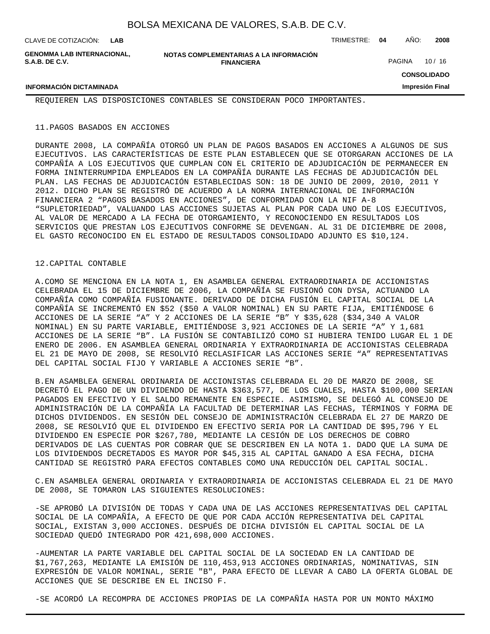| CLAVE DE COTIZACIÓN:                                | I AR                                                        | TRIMESTRE: | 04            | ANO: | 2008    |
|-----------------------------------------------------|-------------------------------------------------------------|------------|---------------|------|---------|
| <b>GENOMMA LAB INTERNACIONAL.</b><br>S.A.B. DE C.V. | NOTAS COMPLEMENTARIAS A LA INFORMACIÓN<br><b>FINANCIERA</b> |            | <b>PAGINA</b> |      | 10 / 16 |

GINA 10 / 16

## **CONSOLIDADO**

**Impresión Final**

REQUIEREN LAS DISPOSICIONES CONTABLES SE CONSIDERAN POCO IMPORTANTES.

#### 11. PAGOS BASADOS EN ACCIONES

**INFORMACIÓN DICTAMINADA**

DURANTE 2008, LA COMPAÑÍA OTORGÓ UN PLAN DE PAGOS BASADOS EN ACCIONES A ALGUNOS DE SUS EJECUTIVOS. LAS CARACTERÍSTICAS DE ESTE PLAN ESTABLECEN QUE SE OTORGARAN ACCIONES DE LA COMPAÑÍA A LOS EJECUTIVOS QUE CUMPLAN CON EL CRITERIO DE ADJUDICACIÓN DE PERMANECER EN FORMA ININTERRUMPIDA EMPLEADOS EN LA COMPAÑÍA DURANTE LAS FECHAS DE ADJUDICACIÓN DEL PLAN. LAS FECHAS DE ADJUDICACIÓN ESTABLECIDAS SON: 18 DE JUNIO DE 2009, 2010, 2011 Y 2012. DICHO PLAN SE REGISTRÓ DE ACUERDO A LA NORMA INTERNACIONAL DE INFORMACIÓN FINANCIERA 2 "PAGOS BASADOS EN ACCIONES", DE CONFORMIDAD CON LA NIF A-8 "SUPLETORIEDAD", VALUANDO LAS ACCIONES SUJETAS AL PLAN POR CADA UNO DE LOS EJECUTIVOS, AL VALOR DE MERCADO A LA FECHA DE OTORGAMIENTO, Y RECONOCIENDO EN RESULTADOS LOS SERVICIOS QUE PRESTAN LOS EJECUTIVOS CONFORME SE DEVENGAN. AL 31 DE DICIEMBRE DE 2008, EL GASTO RECONOCIDO EN EL ESTADO DE RESULTADOS CONSOLIDADO ADJUNTO ES \$10,124.

#### 12. CAPITAL CONTABLE

A. COMO SE MENCIONA EN LA NOTA 1, EN ASAMBLEA GENERAL EXTRAORDINARIA DE ACCIONISTAS CELEBRADA EL 15 DE DICIEMBRE DE 2006, LA COMPAÑÍA SE FUSIONÓ CON DYSA, ACTUANDO LA COMPAÑÍA COMO COMPAÑÍA FUSIONANTE. DERIVADO DE DICHA FUSIÓN EL CAPITAL SOCIAL DE LA COMPAÑÍA SE INCREMENTÓ EN \$52 (\$50 A VALOR NOMINAL) EN SU PARTE FIJA, EMITIÉNDOSE 6 ACCIONES DE LA SERIE "A" Y 2 ACCIONES DE LA SERIE "B" Y \$35,628 (\$34,340 A VALOR NOMINAL) EN SU PARTE VARIABLE, EMITIÉNDOSE 3,921 ACCIONES DE LA SERIE "A" Y 1,681 ACCIONES DE LA SERIE "B". LA FUSIÓN SE CONTABILIZÓ COMO SI HUBIERA TENIDO LUGAR EL 1 DE ENERO DE 2006. EN ASAMBLEA GENERAL ORDINARIA Y EXTRAORDINARIA DE ACCIONISTAS CELEBRADA EL 21 DE MAYO DE 2008, SE RESOLVIÓ RECLASIFICAR LAS ACCIONES SERIE "A" REPRESENTATIVAS DEL CAPITAL SOCIAL FIJO Y VARIABLE A ACCIONES SERIE "B".

B. EN ASAMBLEA GENERAL ORDINARIA DE ACCIONISTAS CELEBRADA EL 20 DE MARZO DE 2008, SE DECRETÓ EL PAGO DE UN DIVIDENDO DE HASTA \$363,577, DE LOS CUALES, HASTA \$100,000 SERIAN PAGADOS EN EFECTIVO Y EL SALDO REMANENTE EN ESPECIE. ASIMISMO, SE DELEGÓ AL CONSEJO DE ADMINISTRACIÓN DE LA COMPAÑÍA LA FACULTAD DE DETERMINAR LAS FECHAS, TÉRMINOS Y FORMA DE DICHOS DIVIDENDOS. EN SESIÓN DEL CONSEJO DE ADMINISTRACIÓN CELEBRADA EL 27 DE MARZO DE 2008, SE RESOLVIÓ QUE EL DIVIDENDO EN EFECTIVO SERIA POR LA CANTIDAD DE \$95,796 Y EL DIVIDENDO EN ESPECIE POR \$267,780, MEDIANTE LA CESIÓN DE LOS DERECHOS DE COBRO DERIVADOS DE LAS CUENTAS POR COBRAR QUE SE DESCRIBEN EN LA NOTA 1. DADO QUE LA SUMA DE LOS DIVIDENDOS DECRETADOS ES MAYOR POR \$45,315 AL CAPITAL GANADO A ESA FECHA, DICHA CANTIDAD SE REGISTRÓ PARA EFECTOS CONTABLES COMO UNA REDUCCIÓN DEL CAPITAL SOCIAL.

C. EN ASAMBLEA GENERAL ORDINARIA Y EXTRAORDINARIA DE ACCIONISTAS CELEBRADA EL 21 DE MAYO DE 2008, SE TOMARON LAS SIGUIENTES RESOLUCIONES:

- SE APROBÓ LA DIVISIÓN DE TODAS Y CADA UNA DE LAS ACCIONES REPRESENTATIVAS DEL CAPITAL SOCIAL DE LA COMPAÑÍA, A EFECTO DE QUE POR CADA ACCIÓN REPRESENTATIVA DEL CAPITAL SOCIAL, EXISTAN 3,000 ACCIONES. DESPUÉS DE DICHA DIVISIÓN EL CAPITAL SOCIAL DE LA SOCIEDAD QUEDÓ INTEGRADO POR 421,698,000 ACCIONES.

- AUMENTAR LA PARTE VARIABLE DEL CAPITAL SOCIAL DE LA SOCIEDAD EN LA CANTIDAD DE \$1,767,263, MEDIANTE LA EMISIÓN DE 110,453,913 ACCIONES ORDINARIAS, NOMINATIVAS, SIN EXPRESIÓN DE VALOR NOMINAL, SERIE "B", PARA EFECTO DE LLEVAR A CABO LA OFERTA GLOBAL DE ACCIONES QUE SE DESCRIBE EN EL INCISO F.

- SE ACORDÓ LA RECOMPRA DE ACCIONES PROPIAS DE LA COMPAÑÍA HASTA POR UN MONTO MÁXIMO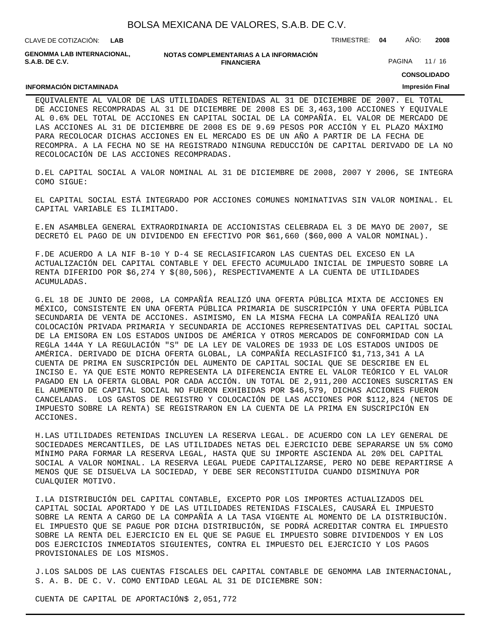| BOLSA MEXICANA DE VALORES, S.A.B. DE C.V. |  |  |
|-------------------------------------------|--|--|
|-------------------------------------------|--|--|

CLAVE DE COTIZACIÓN: TRIMESTRE: **04** AÑO: **2008 LAB GENOMMA LAB INTERNACIONAL,**

**NOTAS COMPLEMENTARIAS A LA INFORMACIÓN FINANCIERA**

PAGINA 11 / 16

**CONSOLIDADO**

#### **INFORMACIÓN DICTAMINADA**

**S.A.B. DE C.V.**

## **Impresión Final**

EQUIVALENTE AL VALOR DE LAS UTILIDADES RETENIDAS AL 31 DE DICIEMBRE DE 2007. EL TOTAL DE ACCIONES RECOMPRADAS AL 31 DE DICIEMBRE DE 2008 ES DE 3,463,100 ACCIONES Y EQUIVALE AL 0.6% DEL TOTAL DE ACCIONES EN CAPITAL SOCIAL DE LA COMPAÑÍA. EL VALOR DE MERCADO DE LAS ACCIONES AL 31 DE DICIEMBRE DE 2008 ES DE 9.69 PESOS POR ACCIÓN Y EL PLAZO MÁXIMO PARA RECOLOCAR DICHAS ACCIONES EN EL MERCADO ES DE UN AÑO A PARTIR DE LA FECHA DE RECOMPRA. A LA FECHA NO SE HA REGISTRADO NINGUNA REDUCCIÓN DE CAPITAL DERIVADO DE LA NO RECOLOCACIÓN DE LAS ACCIONES RECOMPRADAS.

D. EL CAPITAL SOCIAL A VALOR NOMINAL AL 31 DE DICIEMBRE DE 2008, 2007 Y 2006, SE INTEGRA COMO SIGUE:

EL CAPITAL SOCIAL ESTÁ INTEGRADO POR ACCIONES COMUNES NOMINATIVAS SIN VALOR NOMINAL. EL CAPITAL VARIABLE ES ILIMITADO.

E. EN ASAMBLEA GENERAL EXTRAORDINARIA DE ACCIONISTAS CELEBRADA EL 3 DE MAYO DE 2007, SE DECRETÓ EL PAGO DE UN DIVIDENDO EN EFECTIVO POR \$61,660 (\$60,000 A VALOR NOMINAL).

F. DE ACUERDO A LA NIF B-10 Y D-4 SE RECLASIFICARON LAS CUENTAS DEL EXCESO EN LA ACTUALIZACIÓN DEL CAPITAL CONTABLE Y DEL EFECTO ACUMULADO INICIAL DE IMPUESTO SOBRE LA RENTA DIFERIDO POR \$6,274 Y \$(80,506), RESPECTIVAMENTE A LA CUENTA DE UTILIDADES ACUMULADAS.

G. EL 18 DE JUNIO DE 2008, LA COMPAÑÍA REALIZÓ UNA OFERTA PÚBLICA MIXTA DE ACCIONES EN MÉXICO, CONSISTENTE EN UNA OFERTA PÚBLICA PRIMARIA DE SUSCRIPCIÓN Y UNA OFERTA PÚBLICA SECUNDARIA DE VENTA DE ACCIONES. ASIMISMO, EN LA MISMA FECHA LA COMPAÑÍA REALIZÓ UNA COLOCACIÓN PRIVADA PRIMARIA Y SECUNDARIA DE ACCIONES REPRESENTATIVAS DEL CAPITAL SOCIAL DE LA EMISORA EN LOS ESTADOS UNIDOS DE AMÉRICA Y OTROS MERCADOS DE CONFORMIDAD CON LA REGLA 144A Y LA REGULACIÓN "S" DE LA LEY DE VALORES DE 1933 DE LOS ESTADOS UNIDOS DE AMÉRICA. DERIVADO DE DICHA OFERTA GLOBAL, LA COMPAÑÍA RECLASIFICÓ \$1,713,341 A LA CUENTA DE PRIMA EN SUSCRIPCIÓN DEL AUMENTO DE CAPITAL SOCIAL QUE SE DESCRIBE EN EL INCISO E. YA QUE ESTE MONTO REPRESENTA LA DIFERENCIA ENTRE EL VALOR TEÓRICO Y EL VALOR PAGADO EN LA OFERTA GLOBAL POR CADA ACCIÓN. UN TOTAL DE 2,911,200 ACCIONES SUSCRITAS EN EL AUMENTO DE CAPITAL SOCIAL NO FUERON EXHIBIDAS POR \$46,579, DICHAS ACCIONES FUERON CANCELADAS. LOS GASTOS DE REGISTRO Y COLOCACIÓN DE LAS ACCIONES POR \$112,824 (NETOS DE IMPUESTO SOBRE LA RENTA) SE REGISTRARON EN LA CUENTA DE LA PRIMA EN SUSCRIPCIÓN EN ACCIONES.

H. LAS UTILIDADES RETENIDAS INCLUYEN LA RESERVA LEGAL. DE ACUERDO CON LA LEY GENERAL DE SOCIEDADES MERCANTILES, DE LAS UTILIDADES NETAS DEL EJERCICIO DEBE SEPARARSE UN 5% COMO MÍNIMO PARA FORMAR LA RESERVA LEGAL, HASTA QUE SU IMPORTE ASCIENDA AL 20% DEL CAPITAL SOCIAL A VALOR NOMINAL. LA RESERVA LEGAL PUEDE CAPITALIZARSE, PERO NO DEBE REPARTIRSE A MENOS QUE SE DISUELVA LA SOCIEDAD, Y DEBE SER RECONSTITUIDA CUANDO DISMINUYA POR CUALQUIER MOTIVO.

I. LA DISTRIBUCIÓN DEL CAPITAL CONTABLE, EXCEPTO POR LOS IMPORTES ACTUALIZADOS DEL CAPITAL SOCIAL APORTADO Y DE LAS UTILIDADES RETENIDAS FISCALES, CAUSARÁ EL IMPUESTO SOBRE LA RENTA A CARGO DE LA COMPAÑÍA A LA TASA VIGENTE AL MOMENTO DE LA DISTRIBUCIÓN. EL IMPUESTO QUE SE PAGUE POR DICHA DISTRIBUCIÓN, SE PODRÁ ACREDITAR CONTRA EL IMPUESTO SOBRE LA RENTA DEL EJERCICIO EN EL QUE SE PAGUE EL IMPUESTO SOBRE DIVIDENDOS Y EN LOS DOS EJERCICIOS INMEDIATOS SIGUIENTES, CONTRA EL IMPUESTO DEL EJERCICIO Y LOS PAGOS PROVISIONALES DE LOS MISMOS.

J. LOS SALDOS DE LAS CUENTAS FISCALES DEL CAPITAL CONTABLE DE GENOMMA LAB INTERNACIONAL, S. A. B. DE C. V. COMO ENTIDAD LEGAL AL 31 DE DICIEMBRE SON:

CUENTA DE CAPITAL DE APORTACIÓN \$ 2,051,772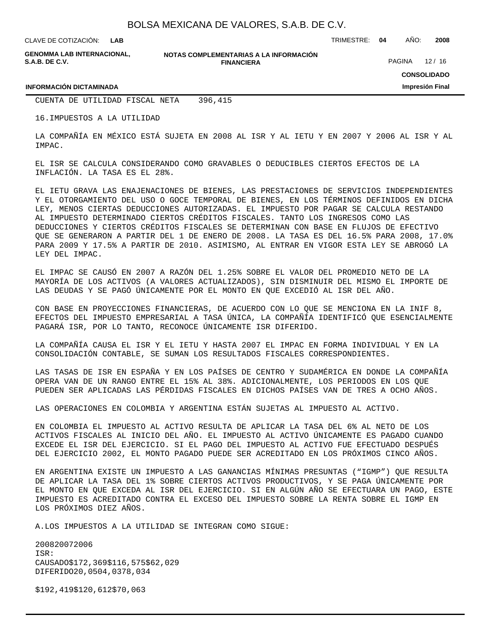**LAB**

CLAVE DE COTIZACIÓN: TRIMESTRE: **04** AÑO: **2008**

**GENOMMA LAB INTERNACIONAL, S.A.B. DE C.V.**

**NOTAS COMPLEMENTARIAS A LA INFORMACIÓN FINANCIERA**

PAGINA 12/16

**CONSOLIDADO**

**Impresión Final**

#### **INFORMACIÓN DICTAMINADA**

CUENTA DE UTILIDAD FISCAL NETA 396,415

16. IMPUESTOS A LA UTILIDAD

LA COMPAÑÍA EN MÉXICO ESTÁ SUJETA EN 2008 AL ISR Y AL IETU Y EN 2007 Y 2006 AL ISR Y AL IMPAC.

EL ISR SE CALCULA CONSIDERANDO COMO GRAVABLES O DEDUCIBLES CIERTOS EFECTOS DE LA INFLACIÓN. LA TASA ES EL 28%.

EL IETU GRAVA LAS ENAJENACIONES DE BIENES, LAS PRESTACIONES DE SERVICIOS INDEPENDIENTES Y EL OTORGAMIENTO DEL USO O GOCE TEMPORAL DE BIENES, EN LOS TÉRMINOS DEFINIDOS EN DICHA LEY, MENOS CIERTAS DEDUCCIONES AUTORIZADAS. EL IMPUESTO POR PAGAR SE CALCULA RESTANDO AL IMPUESTO DETERMINADO CIERTOS CRÉDITOS FISCALES. TANTO LOS INGRESOS COMO LAS DEDUCCIONES Y CIERTOS CRÉDITOS FISCALES SE DETERMINAN CON BASE EN FLUJOS DE EFECTIVO QUE SE GENERARON A PARTIR DEL 1 DE ENERO DE 2008. LA TASA ES DEL 16.5% PARA 2008, 17.0% PARA 2009 Y 17.5% A PARTIR DE 2010. ASIMISMO, AL ENTRAR EN VIGOR ESTA LEY SE ABROGÓ LA LEY DEL IMPAC.

EL IMPAC SE CAUSÓ EN 2007 A RAZÓN DEL 1.25% SOBRE EL VALOR DEL PROMEDIO NETO DE LA MAYORÍA DE LOS ACTIVOS (A VALORES ACTUALIZADOS), SIN DISMINUIR DEL MISMO EL IMPORTE DE LAS DEUDAS Y SE PAGÓ ÚNICAMENTE POR EL MONTO EN QUE EXCEDIÓ AL ISR DEL AÑO.

CON BASE EN PROYECCIONES FINANCIERAS, DE ACUERDO CON LO QUE SE MENCIONA EN LA INIF 8, EFECTOS DEL IMPUESTO EMPRESARIAL A TASA ÚNICA, LA COMPAÑÍA IDENTIFICÓ QUE ESENCIALMENTE PAGARÁ ISR, POR LO TANTO, RECONOCE ÚNICAMENTE ISR DIFERIDO.

LA COMPAÑÍA CAUSA EL ISR Y EL IETU Y HASTA 2007 EL IMPAC EN FORMA INDIVIDUAL Y EN LA CONSOLIDACIÓN CONTABLE, SE SUMAN LOS RESULTADOS FISCALES CORRESPONDIENTES.

LAS TASAS DE ISR EN ESPAÑA Y EN LOS PAÍSES DE CENTRO Y SUDAMÉRICA EN DONDE LA COMPAÑÍA OPERA VAN DE UN RANGO ENTRE EL 15% AL 38%. ADICIONALMENTE, LOS PERIODOS EN LOS QUE PUEDEN SER APLICADAS LAS PÉRDIDAS FISCALES EN DICHOS PAÍSES VAN DE TRES A OCHO AÑOS.

LAS OPERACIONES EN COLOMBIA Y ARGENTINA ESTÁN SUJETAS AL IMPUESTO AL ACTIVO.

EN COLOMBIA EL IMPUESTO AL ACTIVO RESULTA DE APLICAR LA TASA DEL 6% AL NETO DE LOS ACTIVOS FISCALES AL INICIO DEL AÑO. EL IMPUESTO AL ACTIVO ÚNICAMENTE ES PAGADO CUANDO EXCEDE EL ISR DEL EJERCICIO. SI EL PAGO DEL IMPUESTO AL ACTIVO FUE EFECTUADO DESPUÉS DEL EJERCICIO 2002, EL MONTO PAGADO PUEDE SER ACREDITADO EN LOS PRÓXIMOS CINCO AÑOS.

EN ARGENTINA EXISTE UN IMPUESTO A LAS GANANCIAS MÍNIMAS PRESUNTAS ("IGMP") QUE RESULTA DE APLICAR LA TASA DEL 1% SOBRE CIERTOS ACTIVOS PRODUCTIVOS, Y SE PAGA ÚNICAMENTE POR EL MONTO EN QUE EXCEDA AL ISR DEL EJERCICIO. SI EN ALGÚN AÑO SE EFECTUARA UN PAGO, ESTE IMPUESTO ES ACREDITADO CONTRA EL EXCESO DEL IMPUESTO SOBRE LA RENTA SOBRE EL IGMP EN LOS PRÓXIMOS DIEZ AÑOS.

A. LOS IMPUESTOS A LA UTILIDAD SE INTEGRAN COMO SIGUE:

 2008 2007 2006 ISR: CAUSADO \$ 172,369 \$ 116,575 \$ 62,029 DIFERIDO 20,050 4,037 8,034

 $$192,419$   $$120,612$   $$70,063$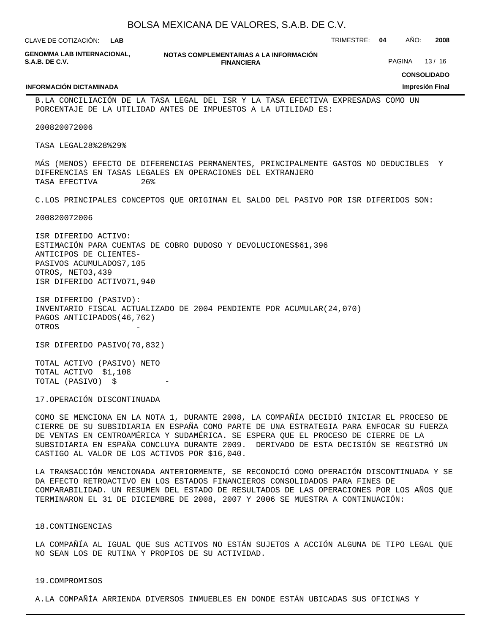| BOLSA MEXICANA DE VALORES, S.A.B. DE C.V. |  |  |  |
|-------------------------------------------|--|--|--|
|-------------------------------------------|--|--|--|

**NOTAS COMPLEMENTARIAS A LA INFORMACIÓN FINANCIERA** CLAVE DE COTIZACIÓN: TRIMESTRE: **04** AÑO: **2008 CONSOLIDADO Impresión Final LAB GENOMMA LAB INTERNACIONAL, S.A.B. DE C.V. INFORMACIÓN DICTAMINADA** PAGINA 13/16 B. LA CONCILIACIÓN DE LA TASA LEGAL DEL ISR Y LA TASA EFECTIVA EXPRESADAS COMO UN PORCENTAJE DE LA UTILIDAD ANTES DE IMPUESTOS A LA UTILIDAD ES: 2008 2007 2006 TASA LEGAL 28% 28% 29% MÁS (MENOS) EFECTO DE DIFERENCIAS PERMANENTES, PRINCIPALMENTE GASTOS NO DEDUCIBLES Y DIFERENCIAS EN TASAS LEGALES EN OPERACIONES DEL EXTRANJERO TASA EFECTIVA 26% C. LOS PRINCIPALES CONCEPTOS QUE ORIGINAN EL SALDO DEL PASIVO POR ISR DIFERIDOS SON: 2008 2007 2006 ISR DIFERIDO ACTIVO: ESTIMACIÓN PARA CUENTAS DE COBRO DUDOSO Y DEVOLUCIONES \$61,396 ANTICIPOS DE CLIENTES -PASIVOS ACUMULADOS 7,105 OTROS, NETO 3,439 ISR DIFERIDO ACTIVO 71,940 ISR DIFERIDO (PASIVO): INVENTARIO FISCAL ACTUALIZADO DE 2004 PENDIENTE POR ACUMULAR (24,070) PAGOS ANTICIPADOS (46,762) **OTROS** ISR DIFERIDO PASIVO (70,832) TOTAL ACTIVO (PASIVO) NETO

TOTAL ACTIVO \$ 1,108 TOTAL (PASIVO) \$

17. OPERACIÓN DISCONTINUADA

COMO SE MENCIONA EN LA NOTA 1, DURANTE 2008, LA COMPAÑÍA DECIDIÓ INICIAR EL PROCESO DE CIERRE DE SU SUBSIDIARIA EN ESPAÑA COMO PARTE DE UNA ESTRATEGIA PARA ENFOCAR SU FUERZA DE VENTAS EN CENTROAMÉRICA Y SUDAMÉRICA. SE ESPERA QUE EL PROCESO DE CIERRE DE LA SUBSIDIARIA EN ESPAÑA CONCLUYA DURANTE 2009. DERIVADO DE ESTA DECISIÓN SE REGISTRÓ UN CASTIGO AL VALOR DE LOS ACTIVOS POR \$16,040.

LA TRANSACCIÓN MENCIONADA ANTERIORMENTE, SE RECONOCIÓ COMO OPERACIÓN DISCONTINUADA Y SE DA EFECTO RETROACTIVO EN LOS ESTADOS FINANCIEROS CONSOLIDADOS PARA FINES DE COMPARABILIDAD. UN RESUMEN DEL ESTADO DE RESULTADOS DE LAS OPERACIONES POR LOS AÑOS QUE TERMINARON EL 31 DE DICIEMBRE DE 2008, 2007 Y 2006 SE MUESTRA A CONTINUACIÓN:

#### 18. CONTINGENCIAS

LA COMPAÑÍA AL IGUAL QUE SUS ACTIVOS NO ESTÁN SUJETOS A ACCIÓN ALGUNA DE TIPO LEGAL QUE NO SEAN LOS DE RUTINA Y PROPIOS DE SU ACTIVIDAD.

#### 19. COMPROMISOS

A. LA COMPAÑÍA ARRIENDA DIVERSOS INMUEBLES EN DONDE ESTÁN UBICADAS SUS OFICINAS Y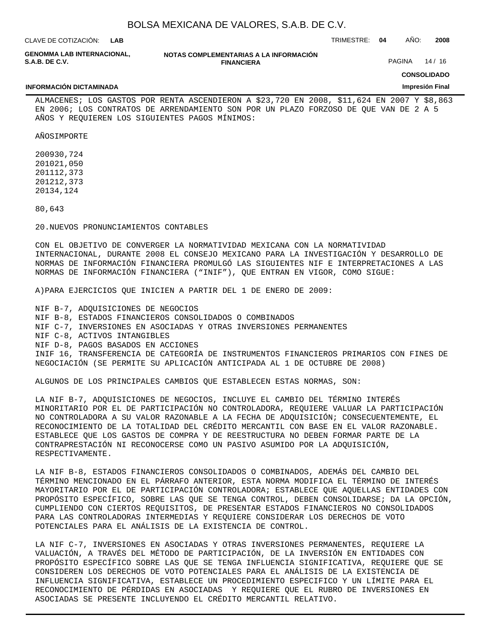| BOLSA MEXICANA DE VALORES, S.A.B. DE C.V. |  |  |  |  |  |
|-------------------------------------------|--|--|--|--|--|
|-------------------------------------------|--|--|--|--|--|

| CLAVE DE COTIZACIÓN.                                       | <b>IAR</b> |                                                             | TRIMESTRE: 04 | AÑO:   | 2008  |
|------------------------------------------------------------|------------|-------------------------------------------------------------|---------------|--------|-------|
| <b>GENOMMA LAB INTERNACIONAL,</b><br><b>S.A.B. DE C.V.</b> |            | NOTAS COMPLEMENTARIAS A LA INFORMACIÓN<br><b>FINANCIERA</b> |               | PAGINA | 14/16 |

# **CONSOLIDADO**

**Impresión Final**

#### **INFORMACIÓN DICTAMINADA**

ALMACENES; LOS GASTOS POR RENTA ASCENDIERON A \$23,720 EN 2008, \$11,624 EN 2007 Y \$8,863 EN 2006; LOS CONTRATOS DE ARRENDAMIENTO SON POR UN PLAZO FORZOSO DE QUE VAN DE 2 A 5

AÑOS IMPORTE

2009 30,724 2010 21,050 2011 12,373 2012 12,373 2013 4,124

 80,643

20. NUEVOS PRONUNCIAMIENTOS CONTABLES

AÑOS Y REQUIEREN LOS SIGUIENTES PAGOS MÍNIMOS:

CON EL OBJETIVO DE CONVERGER LA NORMATIVIDAD MEXICANA CON LA NORMATIVIDAD INTERNACIONAL, DURANTE 2008 EL CONSEJO MEXICANO PARA LA INVESTIGACIÓN Y DESARROLLO DE NORMAS DE INFORMACIÓN FINANCIERA PROMULGÓ LAS SIGUIENTES NIF E INTERPRETACIONES A LAS NORMAS DE INFORMACIÓN FINANCIERA ("INIF"), QUE ENTRAN EN VIGOR, COMO SIGUE:

A) PARA EJERCICIOS QUE INICIEN A PARTIR DEL 1 DE ENERO DE 2009:

NIF B-7, ADQUISICIONES DE NEGOCIOS NIF B-8, ESTADOS FINANCIEROS CONSOLIDADOS O COMBINADOS NIF C-7, INVERSIONES EN ASOCIADAS Y OTRAS INVERSIONES PERMANENTES NIF C-8, ACTIVOS INTANGIBLES NIF D-8, PAGOS BASADOS EN ACCIONES INIF 16, TRANSFERENCIA DE CATEGORÍA DE INSTRUMENTOS FINANCIEROS PRIMARIOS CON FINES DE NEGOCIACIÓN (SE PERMITE SU APLICACIÓN ANTICIPADA AL 1 DE OCTUBRE DE 2008)

ALGUNOS DE LOS PRINCIPALES CAMBIOS QUE ESTABLECEN ESTAS NORMAS, SON:

LA NIF B-7, ADQUISICIONES DE NEGOCIOS, INCLUYE EL CAMBIO DEL TÉRMINO INTERÉS MINORITARIO POR EL DE PARTICIPACIÓN NO CONTROLADORA, REQUIERE VALUAR LA PARTICIPACIÓN NO CONTROLADORA A SU VALOR RAZONABLE A LA FECHA DE ADQUISICIÓN; CONSECUENTEMENTE, EL RECONOCIMIENTO DE LA TOTALIDAD DEL CRÉDITO MERCANTIL CON BASE EN EL VALOR RAZONABLE. ESTABLECE QUE LOS GASTOS DE COMPRA Y DE REESTRUCTURA NO DEBEN FORMAR PARTE DE LA CONTRAPRESTACIÓN NI RECONOCERSE COMO UN PASIVO ASUMIDO POR LA ADQUISICIÓN, RESPECTIVAMENTE.

LA NIF B-8, ESTADOS FINANCIEROS CONSOLIDADOS O COMBINADOS, ADEMÁS DEL CAMBIO DEL TÉRMINO MENCIONADO EN EL PÁRRAFO ANTERIOR, ESTA NORMA MODIFICA EL TÉRMINO DE INTERÉS MAYORITARIO POR EL DE PARTICIPACIÓN CONTROLADORA; ESTABLECE QUE AQUELLAS ENTIDADES CON PROPÓSITO ESPECÍFICO, SOBRE LAS QUE SE TENGA CONTROL, DEBEN CONSOLIDARSE; DA LA OPCIÓN, CUMPLIENDO CON CIERTOS REQUISITOS, DE PRESENTAR ESTADOS FINANCIEROS NO CONSOLIDADOS PARA LAS CONTROLADORAS INTERMEDIAS Y REQUIERE CONSIDERAR LOS DERECHOS DE VOTO POTENCIALES PARA EL ANÁLISIS DE LA EXISTENCIA DE CONTROL.

LA NIF C-7, INVERSIONES EN ASOCIADAS Y OTRAS INVERSIONES PERMANENTES, REQUIERE LA VALUACIÓN, A TRAVÉS DEL MÉTODO DE PARTICIPACIÓN, DE LA INVERSIÓN EN ENTIDADES CON PROPÓSITO ESPECÍFICO SOBRE LAS QUE SE TENGA INFLUENCIA SIGNIFICATIVA, REQUIERE QUE SE CONSIDEREN LOS DERECHOS DE VOTO POTENCIALES PARA EL ANÁLISIS DE LA EXISTENCIA DE INFLUENCIA SIGNIFICATIVA, ESTABLECE UN PROCEDIMIENTO ESPECIFICO Y UN LÍMITE PARA EL RECONOCIMIENTO DE PÉRDIDAS EN ASOCIADAS Y REQUIERE QUE EL RUBRO DE INVERSIONES EN ASOCIADAS SE PRESENTE INCLUYENDO EL CRÉDITO MERCANTIL RELATIVO.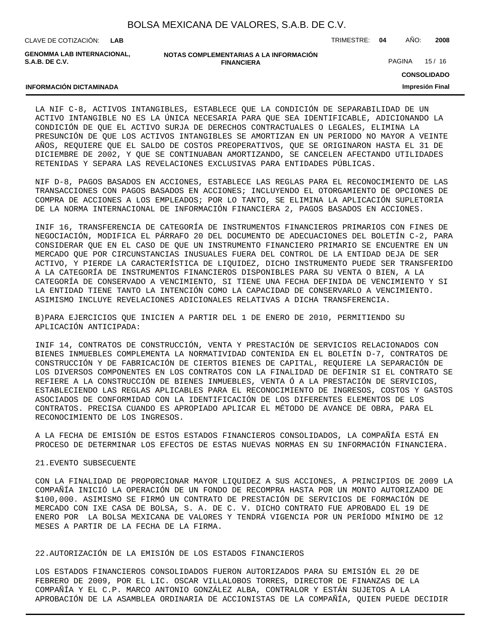**LAB**

CLAVE DE COTIZACIÓN: TRIMESTRE: **04** AÑO: **2008**

**GENOMMA LAB INTERNACIONAL, S.A.B. DE C.V.**

**INFORMACIÓN DICTAMINADA**

**NOTAS COMPLEMENTARIAS A LA INFORMACIÓN FINANCIERA**

PAGINA 15 / 16

**CONSOLIDADO**

**Impresión Final**

LA NIF C-8, ACTIVOS INTANGIBLES, ESTABLECE QUE LA CONDICIÓN DE SEPARABILIDAD DE UN ACTIVO INTANGIBLE NO ES LA ÚNICA NECESARIA PARA QUE SEA IDENTIFICABLE, ADICIONANDO LA CONDICIÓN DE QUE EL ACTIVO SURJA DE DERECHOS CONTRACTUALES O LEGALES, ELIMINA LA PRESUNCIÓN DE QUE LOS ACTIVOS INTANGIBLES SE AMORTIZAN EN UN PERIODO NO MAYOR A VEINTE AÑOS, REQUIERE QUE EL SALDO DE COSTOS PREOPERATIVOS, QUE SE ORIGINARON HASTA EL 31 DE DICIEMBRE DE 2002, Y QUE SE CONTINUABAN AMORTIZANDO, SE CANCELEN AFECTANDO UTILIDADES RETENIDAS Y SEPARA LAS REVELACIONES EXCLUSIVAS PARA ENTIDADES PÚBLICAS.

NIF D-8, PAGOS BASADOS EN ACCIONES, ESTABLECE LAS REGLAS PARA EL RECONOCIMIENTO DE LAS TRANSACCIONES CON PAGOS BASADOS EN ACCIONES; INCLUYENDO EL OTORGAMIENTO DE OPCIONES DE COMPRA DE ACCIONES A LOS EMPLEADOS; POR LO TANTO, SE ELIMINA LA APLICACIÓN SUPLETORIA DE LA NORMA INTERNACIONAL DE INFORMACIÓN FINANCIERA 2, PAGOS BASADOS EN ACCIONES.

INIF 16, TRANSFERENCIA DE CATEGORÍA DE INSTRUMENTOS FINANCIEROS PRIMARIOS CON FINES DE NEGOCIACIÓN, MODIFICA EL PÁRRAFO 20 DEL DOCUMENTO DE ADECUACIONES DEL BOLETÍN C-2, PARA CONSIDERAR QUE EN EL CASO DE QUE UN INSTRUMENTO FINANCIERO PRIMARIO SE ENCUENTRE EN UN MERCADO QUE POR CIRCUNSTANCIAS INUSUALES FUERA DEL CONTROL DE LA ENTIDAD DEJA DE SER ACTIVO, Y PIERDE LA CARACTERÍSTICA DE LIQUIDEZ, DICHO INSTRUMENTO PUEDE SER TRANSFERIDO A LA CATEGORÍA DE INSTRUMENTOS FINANCIEROS DISPONIBLES PARA SU VENTA O BIEN, A LA CATEGORÍA DE CONSERVADO A VENCIMIENTO, SI TIENE UNA FECHA DEFINIDA DE VENCIMIENTO Y SI LA ENTIDAD TIENE TANTO LA INTENCIÓN COMO LA CAPACIDAD DE CONSERVARLO A VENCIMIENTO. ASIMISMO INCLUYE REVELACIONES ADICIONALES RELATIVAS A DICHA TRANSFERENCIA.

B) PARA EJERCICIOS QUE INICIEN A PARTIR DEL 1 DE ENERO DE 2010, PERMITIENDO SU APLICACIÓN ANTICIPADA:

INIF 14, CONTRATOS DE CONSTRUCCIÓN, VENTA Y PRESTACIÓN DE SERVICIOS RELACIONADOS CON BIENES INMUEBLES COMPLEMENTA LA NORMATIVIDAD CONTENIDA EN EL BOLETÍN D-7, CONTRATOS DE CONSTRUCCIÓN Y DE FABRICACIÓN DE CIERTOS BIENES DE CAPITAL, REQUIERE LA SEPARACIÓN DE LOS DIVERSOS COMPONENTES EN LOS CONTRATOS CON LA FINALIDAD DE DEFINIR SI EL CONTRATO SE REFIERE A LA CONSTRUCCIÓN DE BIENES INMUEBLES, VENTA Ó A LA PRESTACIÓN DE SERVICIOS, ESTABLECIENDO LAS REGLAS APLICABLES PARA EL RECONOCIMIENTO DE INGRESOS, COSTOS Y GASTOS ASOCIADOS DE CONFORMIDAD CON LA IDENTIFICACIÓN DE LOS DIFERENTES ELEMENTOS DE LOS CONTRATOS. PRECISA CUANDO ES APROPIADO APLICAR EL MÉTODO DE AVANCE DE OBRA, PARA EL RECONOCIMIENTO DE LOS INGRESOS.

A LA FECHA DE EMISIÓN DE ESTOS ESTADOS FINANCIEROS CONSOLIDADOS, LA COMPAÑÍA ESTÁ EN PROCESO DE DETERMINAR LOS EFECTOS DE ESTAS NUEVAS NORMAS EN SU INFORMACIÓN FINANCIERA.

#### 21. EVENTO SUBSECUENTE

CON LA FINALIDAD DE PROPORCIONAR MAYOR LIQUIDEZ A SUS ACCIONES, A PRINCIPIOS DE 2009 LA COMPAÑÍA INICIÓ LA OPERACIÓN DE UN FONDO DE RECOMPRA HASTA POR UN MONTO AUTORIZADO DE \$100,000. ASIMISMO SE FIRMÓ UN CONTRATO DE PRESTACIÓN DE SERVICIOS DE FORMACIÓN DE MERCADO CON IXE CASA DE BOLSA, S. A. DE C. V. DICHO CONTRATO FUE APROBADO EL 19 DE ENERO POR LA BOLSA MEXICANA DE VALORES Y TENDRÁ VIGENCIA POR UN PERÍODO MÍNIMO DE 12 MESES A PARTIR DE LA FECHA DE LA FIRMA.

#### 22. AUTORIZACIÓN DE LA EMISIÓN DE LOS ESTADOS FINANCIEROS

LOS ESTADOS FINANCIEROS CONSOLIDADOS FUERON AUTORIZADOS PARA SU EMISIÓN EL 20 DE FEBRERO DE 2009, POR EL LIC. OSCAR VILLALOBOS TORRES, DIRECTOR DE FINANZAS DE LA COMPAÑÍA Y EL C.P. MARCO ANTONIO GONZÁLEZ ALBA, CONTRALOR Y ESTÁN SUJETOS A LA APROBACIÓN DE LA ASAMBLEA ORDINARIA DE ACCIONISTAS DE LA COMPAÑÍA, QUIEN PUEDE DECIDIR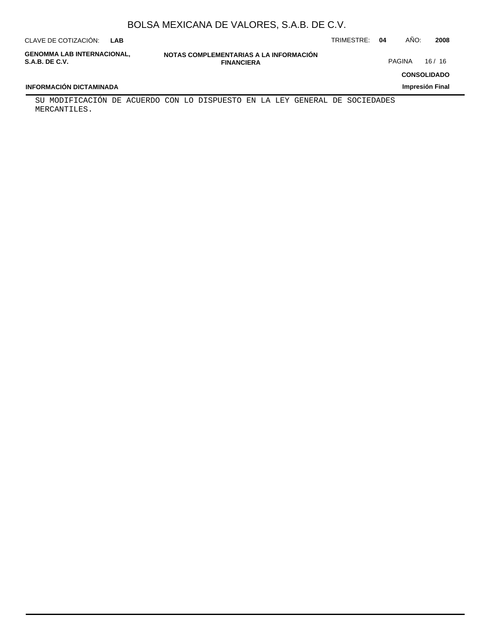| CLAVE DE COTIZACIÓN:                         | LAB |                                                             | TRIMESTRE: 04 | AÑO:   | 2008               |
|----------------------------------------------|-----|-------------------------------------------------------------|---------------|--------|--------------------|
| GENOMMA LAB INTERNACIONAL.<br>S.A.B. DE C.V. |     | NOTAS COMPLEMENTARIAS A LA INFORMACIÓN<br><b>FINANCIERA</b> |               | PAGINA | 16/16              |
|                                              |     |                                                             |               |        | <b>CONSOLIDADO</b> |

**Impresión Final**

### **INFORMACIÓN DICTAMINADA**

SU MODIFICACIÓN DE ACUERDO CON LO DISPUESTO EN LA LEY GENERAL DE SOCIEDADES MERCANTILES.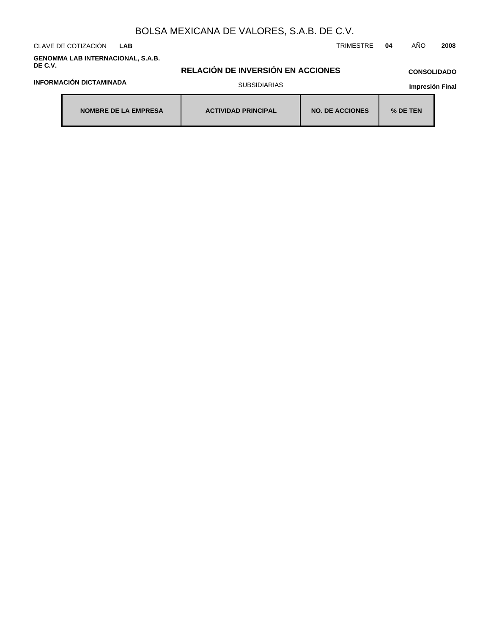CLAVE DE COTIZACIÓN TRIMESTRE **04** AÑO **2008 LAB**

**GENOMMA LAB INTERNACIONAL, S.A.B. DE C.V.**

**RELACIÓN DE INVERSIÓN EN ACCIONES**

### **CONSOLIDADO**

### **INFORMACIÓN DICTAMINADA**

### SUBSIDIARIAS

| NOMBRE DE LA EMPRESA | <b>ACTIVIDAD PRINCIPAL</b> | <b>NO. DE ACCIONES</b> | % DE TEN |
|----------------------|----------------------------|------------------------|----------|
|----------------------|----------------------------|------------------------|----------|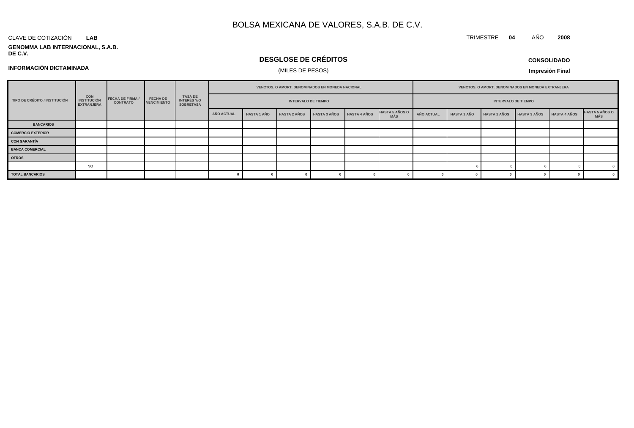#### CLAVE DE COTIZACIÓN **LAB**

**GENOMMA LAB INTERNACIONAL, S.A.B. DE C.V.**

# **DESGLOSE DE CRÉDITOS**

**CONSOLIDADO**

TRIMESTRE **04** AÑO **2008**

### **INFORMACIÓN DICTAMINADA**

### (MILES DE PESOS)

| <b>CON</b><br><b>FECHA DE FIRMA /</b><br>TIPO DE CRÉDITO / INSTITUCIÓN<br><b>INSTITUCIÓN</b><br><b>CONTRATO</b><br><b>EXTRANJERA</b> |                                       |                                            |                            | <b>VENCTOS, O AMORT, DENOMINADOS EN MONEDA NACIONAL</b> |            |                    |                     | <b>VENCTOS, O AMORT, DENOMINADOS EN MONEDA EXTRANJERA</b> |  |                              |            |                    |                     |              |                     |                              |
|--------------------------------------------------------------------------------------------------------------------------------------|---------------------------------------|--------------------------------------------|----------------------------|---------------------------------------------------------|------------|--------------------|---------------------|-----------------------------------------------------------|--|------------------------------|------------|--------------------|---------------------|--------------|---------------------|------------------------------|
|                                                                                                                                      | <b>FECHA DE</b><br><b>VENCIMIENTO</b> | TASA DE<br>INTERÉS Y/O<br><b>SOBRETASA</b> | <b>INTERVALO DE TIEMPO</b> |                                                         |            |                    |                     |                                                           |  | <b>INTERVALO DE TIEMPO</b>   |            |                    |                     |              |                     |                              |
|                                                                                                                                      |                                       |                                            |                            |                                                         | AÑO ACTUAL | <b>HASTA 1 AÑO</b> | <b>HASTA 2 AÑOS</b> | HASTA 3 AÑOS HASTA 4 AÑOS                                 |  | <b>HASTA 5 AÑOS O</b><br>MÁS | AÑO ACTUAL | <b>HASTA 1 AÑO</b> | <b>HASTA 2 AÑOS</b> | HASTA 3 AÑOS | <b>HASTA 4 AÑOS</b> | <b>HASTA 5 AÑOS O</b><br>MÁS |
| <b>BANCARIOS</b>                                                                                                                     |                                       |                                            |                            |                                                         |            |                    |                     |                                                           |  |                              |            |                    |                     |              |                     |                              |
| <b>COMERCIO EXTERIOR</b>                                                                                                             |                                       |                                            |                            |                                                         |            |                    |                     |                                                           |  |                              |            |                    |                     |              |                     |                              |
| <b>CON GARANTÍA</b>                                                                                                                  |                                       |                                            |                            |                                                         |            |                    |                     |                                                           |  |                              |            |                    |                     |              |                     |                              |
| <b>BANCA COMERCIAL</b>                                                                                                               |                                       |                                            |                            |                                                         |            |                    |                     |                                                           |  |                              |            |                    |                     |              |                     |                              |
| <b>OTROS</b>                                                                                                                         |                                       |                                            |                            |                                                         |            |                    |                     |                                                           |  |                              |            |                    |                     |              |                     |                              |
|                                                                                                                                      | <b>NO</b>                             |                                            |                            |                                                         |            |                    |                     |                                                           |  |                              |            |                    |                     |              |                     |                              |
| <b>TOTAL BANCARIOS</b>                                                                                                               |                                       |                                            |                            |                                                         |            |                    |                     |                                                           |  |                              |            |                    |                     |              |                     |                              |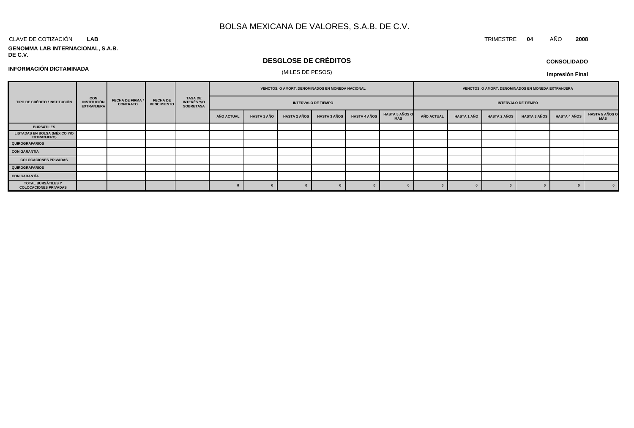#### CLAVE DE COTIZACIÓN TRIMESTRE **04** AÑO **2008 LAB**

# **GENOMMA LAB INTERNACIONAL, S.A.B.**

# **DESGLOSE DE CRÉDITOS**

# (MILES DE PESOS) **INFORMACIÓN DICTAMINADA**

## **CONSOLIDADO**

**Impresión Final**

|                                                     |                                                 |                                            |                                       |                                            | VENCTOS. O AMORT. DENOMINADOS EN MONEDA NACIONAL |                    |                     |                            | VENCTOS. O AMORT. DENOMINADOS EN MONEDA EXTRANJERA |                              |                   |                    |                     |                            |                     |                              |
|-----------------------------------------------------|-------------------------------------------------|--------------------------------------------|---------------------------------------|--------------------------------------------|--------------------------------------------------|--------------------|---------------------|----------------------------|----------------------------------------------------|------------------------------|-------------------|--------------------|---------------------|----------------------------|---------------------|------------------------------|
| TIPO DE CRÉDITO / INSTITUCIÓN                       | <b>CON<br/>INSTITUCIÓN</b><br><b>EXTRANJERA</b> | <b>FECHA DE FIRMA /</b><br><b>CONTRATO</b> | <b>FECHA DE</b><br><b>VENCIMIENTO</b> | TASA DE<br>INTERÉS Y/O<br><b>SOBRETASA</b> |                                                  |                    |                     | <b>INTERVALO DE TIEMPO</b> |                                                    |                              |                   |                    |                     | <b>INTERVALO DE TIEMPO</b> |                     |                              |
|                                                     |                                                 |                                            |                                       |                                            | <b>AÑO ACTUAL</b>                                | <b>HASTA 1 AÑO</b> | <b>HASTA 2 AÑOS</b> | <b>HASTA 3 AÑOS</b>        | <b>HASTA 4 AÑOS</b>                                | <b>HASTA 5 AÑOS O</b><br>MÁS | <b>AÑO ACTUAL</b> | <b>HASTA 1 AÑO</b> | <b>HASTA 2 AÑOS</b> | <b>HASTA 3 AÑOS</b>        | <b>HASTA 4 AÑOS</b> | <b>HASTA 5 AÑOS O</b><br>MÁS |
| <b>BURSÁTILES</b>                                   |                                                 |                                            |                                       |                                            |                                                  |                    |                     |                            |                                                    |                              |                   |                    |                     |                            |                     |                              |
| <b>LISTADAS EN BOLSA (MÉXICO Y/O</b><br>EXTRANJERO) |                                                 |                                            |                                       |                                            |                                                  |                    |                     |                            |                                                    |                              |                   |                    |                     |                            |                     |                              |
| <b>QUIROGRAFARIOS</b>                               |                                                 |                                            |                                       |                                            |                                                  |                    |                     |                            |                                                    |                              |                   |                    |                     |                            |                     |                              |
| CON GARANTÍA                                        |                                                 |                                            |                                       |                                            |                                                  |                    |                     |                            |                                                    |                              |                   |                    |                     |                            |                     |                              |
| <b>COLOCACIONES PRIVADAS</b>                        |                                                 |                                            |                                       |                                            |                                                  |                    |                     |                            |                                                    |                              |                   |                    |                     |                            |                     |                              |
| <b>QUIROGRAFARIOS</b>                               |                                                 |                                            |                                       |                                            |                                                  |                    |                     |                            |                                                    |                              |                   |                    |                     |                            |                     |                              |
| <b>CON GARANTÍA</b>                                 |                                                 |                                            |                                       |                                            |                                                  |                    |                     |                            |                                                    |                              |                   |                    |                     |                            |                     |                              |
| TOTAL BURSÁTILES Y<br><b>COLOCACIONES PRIVADAS</b>  |                                                 |                                            |                                       |                                            |                                                  |                    |                     |                            |                                                    |                              |                   |                    |                     |                            |                     |                              |

# **DE C.V.**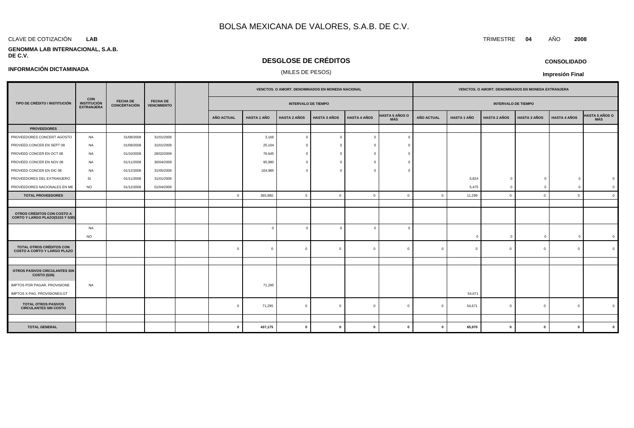#### CLAVE DE COTIZACIÓN TRIMESTRE **04** AÑO **2008 LAB**

**INFORMACIÓN DICTAMINADA**

#### **GENOMMA LAB INTERNACIONAL, S.A.B. DE C.V.**

## **DESGLOSE DE CRÉDITOS**

### (MILES DE PESOS)

**Impresión Final**

|                                                                |                                                       |                                        |                                       |                |                    | VENCTOS. O AMORT. DENOMINADOS EN MONEDA NACIONAL |                     |                     |                              | VENCTOS. O AMORT. DENOMINADOS EN MONEDA EXTRANJERA |                    |                            |                     |                     |                              |
|----------------------------------------------------------------|-------------------------------------------------------|----------------------------------------|---------------------------------------|----------------|--------------------|--------------------------------------------------|---------------------|---------------------|------------------------------|----------------------------------------------------|--------------------|----------------------------|---------------------|---------------------|------------------------------|
| TIPO DE CRÉDITO / INSTITUCIÓN                                  | <b>CON</b><br><b>INSTITUCIÓN</b><br><b>EXTRANJERA</b> | <b>FECHA DE</b><br><b>CONCERTACIÓN</b> | <b>FECHA DE</b><br><b>VENCIMIENTO</b> |                |                    | <b>INTERVALO DE TIEMPO</b>                       |                     |                     |                              |                                                    |                    | <b>INTERVALO DE TIEMPO</b> |                     |                     |                              |
|                                                                |                                                       |                                        |                                       | AÑO ACTUAL     | <b>HASTA 1 AÑO</b> | <b>HASTA 2 AÑOS</b>                              | <b>HASTA 3 AÑOS</b> | <b>HASTA 4 AÑOS</b> | <b>HASTA 5 AÑOS O</b><br>MÁS | <b>AÑO ACTUAL</b>                                  | <b>HASTA 1 AÑO</b> | <b>HASTA 2 AÑOS</b>        | <b>HASTA 3 AÑOS</b> | <b>HASTA 4 AÑOS</b> | <b>HASTA 5 AÑOS O</b><br>MÁS |
| <b>PROVEEDORES</b>                                             |                                                       |                                        |                                       |                |                    |                                                  |                     |                     |                              |                                                    |                    |                            |                     |                     |                              |
| PROVEEDORES CONCERT AGOSTO                                     | NA                                                    | 31/08/2008                             | 31/01/2009                            |                | 3,166              | $\overline{0}$                                   | $\Omega$            |                     |                              |                                                    |                    |                            |                     |                     |                              |
| PROVEED.CONCER EN SEPT 08                                      | <b>NA</b>                                             | 01/09/2008                             | 31/01/2009                            |                | 25,104             |                                                  |                     |                     |                              |                                                    |                    |                            |                     |                     |                              |
| PROVEED CONCER EN OCT 08                                       | <b>NA</b>                                             | 01/10/2008                             | 28/02/2009                            |                | 76,645             | $\Omega$                                         | - 0                 |                     |                              |                                                    |                    |                            |                     |                     |                              |
| PROVEED CONCER EN NOV 08                                       | <b>NA</b>                                             | 01/11/2008                             | 30/04/2009                            |                | 95,980             |                                                  |                     |                     |                              |                                                    |                    |                            |                     |                     |                              |
| PROVEED CONCER EN DIC 08                                       | <b>NA</b>                                             | 01/12/2008                             | 31/05/2009                            |                | 164,985            | $\Omega$                                         |                     |                     |                              |                                                    |                    |                            |                     |                     |                              |
| PROVEEDORES DEL EXTRANJERO                                     | SI                                                    | 01/11/2008                             | 31/01/2009                            |                |                    |                                                  |                     |                     |                              |                                                    | 5,824              | $\Omega$                   | $\Omega$            | $\Omega$            |                              |
| PROVEEDORES NACIONALES EN ME                                   | <b>NO</b>                                             | 01/12/2008                             | 01/04/2009                            |                |                    |                                                  |                     |                     |                              |                                                    | 5,475              | $\Omega$                   | $\Omega$            | $\Omega$            | $\Omega$                     |
| <b>TOTAL PROVEEDORES</b>                                       |                                                       |                                        |                                       | $\overline{0}$ | 365,880            | $\mathbf 0$                                      | $\Omega$            | $\Omega$            | $\overline{0}$               | $\Omega$                                           | 11,299             | $\Omega$                   | $\Omega$            | $\overline{0}$      | $\overline{0}$               |
|                                                                |                                                       |                                        |                                       |                |                    |                                                  |                     |                     |                              |                                                    |                    |                            |                     |                     |                              |
| OTROS CRÉDITOS CON COSTO A<br>CORTO Y LARGO PLAZO(S103 Y S30)  |                                                       |                                        |                                       |                |                    |                                                  |                     |                     |                              |                                                    |                    |                            |                     |                     |                              |
|                                                                | <b>NA</b>                                             |                                        |                                       |                | $\mathbf{0}$       | $\overline{0}$                                   | $\Omega$            |                     | $\Omega$                     |                                                    |                    |                            |                     |                     |                              |
|                                                                | <b>NO</b>                                             |                                        |                                       |                |                    |                                                  |                     |                     |                              |                                                    | $\Omega$           | $\Omega$                   | $\overline{0}$      | $\Omega$            | $\Omega$                     |
| TOTAL OTROS CRÉDITOS CON<br><b>COSTO A CORTO Y LARGO PLAZO</b> |                                                       |                                        |                                       | $\Omega$       | $\Omega$           | $\overline{0}$                                   | $\mathbf{0}$        | $\Omega$            | $\overline{0}$               | $\Omega$                                           | $\mathbf{0}$       | $\Omega$                   | $\mathbf 0$         | $\overline{0}$      | $\Omega$                     |
|                                                                |                                                       |                                        |                                       |                |                    |                                                  |                     |                     |                              |                                                    |                    |                            |                     |                     |                              |
| OTROS PASIVOS CIRCULANTES SIN<br>COSTO (S26)                   |                                                       |                                        |                                       |                |                    |                                                  |                     |                     |                              |                                                    |                    |                            |                     |                     |                              |
| IMPTOS POR PAGAR, PROVISIONE                                   | <b>NA</b>                                             |                                        |                                       |                | 71,295             |                                                  |                     |                     |                              |                                                    |                    |                            |                     |                     |                              |
| IMPTOS X PAG, PROVISIONES, GT                                  |                                                       |                                        |                                       |                |                    |                                                  |                     |                     |                              |                                                    | 54,671             |                            |                     |                     |                              |
| <b>TOTAL OTROS PASIVOS</b><br><b>CIRCULANTES SIN COSTO</b>     |                                                       |                                        |                                       | $\Omega$       | 71,295             | $\mathbf 0$                                      | $\Omega$            | $\Omega$            | $\Omega$                     | $\Omega$                                           | 54,671             | $\Omega$                   | $\mathbf 0$         | $\overline{0}$      | $\Omega$                     |
|                                                                |                                                       |                                        |                                       |                |                    |                                                  |                     |                     |                              |                                                    |                    |                            |                     |                     |                              |
| <b>TOTAL GENERAL</b>                                           |                                                       |                                        |                                       | $\mathbf{0}$   | 437,175            | $\mathbf 0$                                      | $\mathbf{0}$        | $\mathbf{0}$        | $\Omega$                     | $\mathbf{a}$                                       | 65,970             | $\mathbf 0$                | $\mathbf{0}$        | $\mathbf{0}$        | $\mathbf{0}$                 |

### **CONSOLIDADO**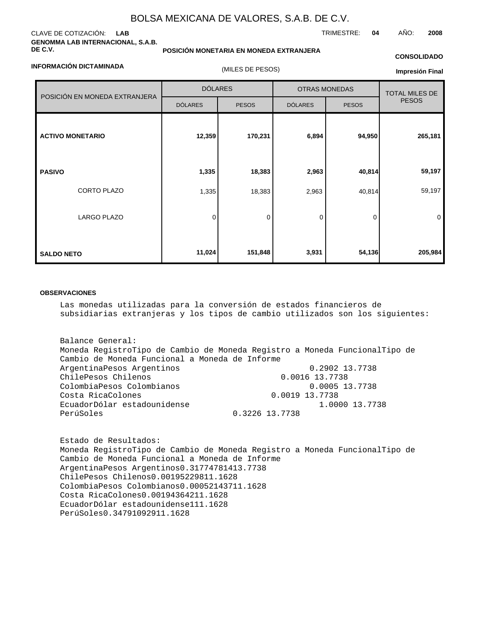### CLAVE DE COTIZACIÓN: **LAB GENOMMA LAB INTERNACIONAL, S.A.B. DE C.V.**

#### **POSICIÓN MONETARIA EN MONEDA EXTRANJERA**

## TRIMESTRE: **04** AÑO: **2008**

### **INFORMACIÓN DICTAMINADA**

(MILES DE PESOS)

### **CONSOLIDADO**

**Impresión Final**

|                               | <b>DÓLARES</b> |              | <b>OTRAS MONEDAS</b> | <b>TOTAL MILES DE</b> |              |
|-------------------------------|----------------|--------------|----------------------|-----------------------|--------------|
| POSICIÓN EN MONEDA EXTRANJERA | <b>DÓLARES</b> | <b>PESOS</b> | <b>DÓLARES</b>       | <b>PESOS</b>          | <b>PESOS</b> |
| <b>ACTIVO MONETARIO</b>       | 12,359         | 170,231      | 6,894                | 94,950                | 265,181      |
| <b>PASIVO</b>                 | 1,335          | 18,383       | 2,963                | 40,814                | 59,197       |
| <b>CORTO PLAZO</b>            | 1,335          | 18,383       | 2,963                | 40,814                | 59,197       |
| LARGO PLAZO                   | $\Omega$       | 0            | 0                    | 0                     | $\mathbf 0$  |
| <b>SALDO NETO</b>             | 11,024         | 151,848      | 3,931                | 54,136                | 205,984      |

### **OBSERVACIONES**

Las monedas utilizadas para la conversión de estados financieros de subsidiarias extranjeras y los tipos de cambio utilizados son los siguientes:

Balance General: Moneda Registro Tipo de Cambio de Moneda Registro a Moneda Funcional Tipo de Cambio de Moneda Funcional a Moneda de Informe Argentina Pesos Argentinos **1.2902 1.2902 1.2902 1.2902** 1.3 Chile Pesos Chilenos **12.8 and 13.7738** 0.0016 **13.7738** Colombia Pesos Colombianos 0.0005 13.7738 Costa Rica Colones 0.0019 13.7738 Ecuador Dólar estadounidense 1.0000 13.7738 Perú Soles **0.3226** 13.7738

Estado de Resultados: Moneda Registro Tipo de Cambio de Moneda Registro a Moneda Funcional Tipo de Cambio de Moneda Funcional a Moneda de Informe Argentina Pesos Argentinos 0.317747814 13.7738 Chile Pesos Chilenos 0.001952298 11.1628 Colombia Pesos Colombianos 0.000521437 11.1628 Costa Rica Colones 0.001943642 11.1628 Ecuador Dólar estadounidense 1 11.1628 Perú Soles 0.347910929 11.1628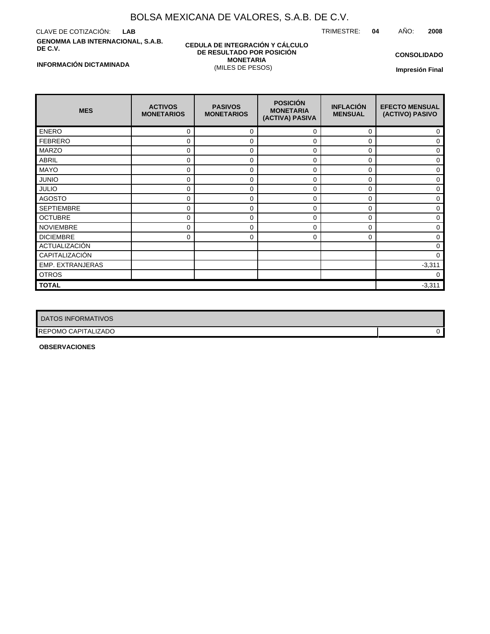CLAVE DE COTIZACIÓN: **LAB GENOMMA LAB INTERNACIONAL, S.A.B. DE C.V.**

#### **CEDULA DE INTEGRACIÓN Y CÁLCULO DE RESULTADO POR POSICIÓN MONETARIA** (MILES DE PESOS)

TRIMESTRE: **04** AÑO: **2008**

**CONSOLIDADO**

**Impresión Final**

| <b>MES</b>            | <b>ACTIVOS</b><br><b>MONETARIOS</b> | <b>PASIVOS</b><br><b>MONETARIOS</b> | <b>POSICIÓN</b><br><b>MONETARIA</b><br>(ACTIVA) PASIVA | <b>INFLACIÓN</b><br><b>MENSUAL</b> | <b>EFECTO MENSUAL</b><br>(ACTIVO) PASIVO |
|-----------------------|-------------------------------------|-------------------------------------|--------------------------------------------------------|------------------------------------|------------------------------------------|
| <b>ENERO</b>          | 0                                   | 0                                   | 0                                                      | 0                                  | 0                                        |
| <b>FEBRERO</b>        | 0                                   | $\mathbf 0$                         | 0                                                      | 0                                  | 0                                        |
| <b>MARZO</b>          | 0                                   | $\mathbf 0$                         | 0                                                      | 0                                  | 0                                        |
| <b>ABRIL</b>          | 0                                   | $\Omega$                            | 0                                                      | 0                                  | 0                                        |
| <b>MAYO</b>           | 0                                   | $\mathbf 0$                         | 0                                                      | 0                                  | 0                                        |
| <b>JUNIO</b>          | 0                                   | $\mathbf 0$                         | 0                                                      | 0                                  | 0                                        |
| <b>JULIO</b>          | 0                                   | $\mathbf 0$                         | 0                                                      | 0                                  | 0                                        |
| <b>AGOSTO</b>         | 0                                   | $\Omega$                            | $\Omega$                                               | $\Omega$                           | 0                                        |
| <b>SEPTIEMBRE</b>     | 0                                   | $\Omega$                            | 0                                                      | 0                                  | 0                                        |
| <b>OCTUBRE</b>        | 0                                   | $\Omega$                            | 0                                                      | 0                                  | 0                                        |
| <b>NOVIEMBRE</b>      | 0                                   | 0                                   | 0                                                      | 0                                  | 0                                        |
| <b>DICIEMBRE</b>      | 0                                   | 0                                   | 0                                                      | 0                                  | 0                                        |
| ACTUALIZACIÓN         |                                     |                                     |                                                        |                                    | 0                                        |
| <b>CAPITALIZACIÓN</b> |                                     |                                     |                                                        |                                    | $\Omega$                                 |
| EMP. EXTRANJERAS      |                                     |                                     |                                                        |                                    | $-3,311$                                 |
| <b>OTROS</b>          |                                     |                                     |                                                        |                                    | 0                                        |
| <b>TOTAL</b>          |                                     |                                     |                                                        |                                    | $-3,311$                                 |

| <b>DATOS INFORMATIVOS</b>  |  |
|----------------------------|--|
| <b>REPOMO CAPITALIZADO</b> |  |

**OBSERVACIONES**

### **INFORMACIÓN DICTAMINADA**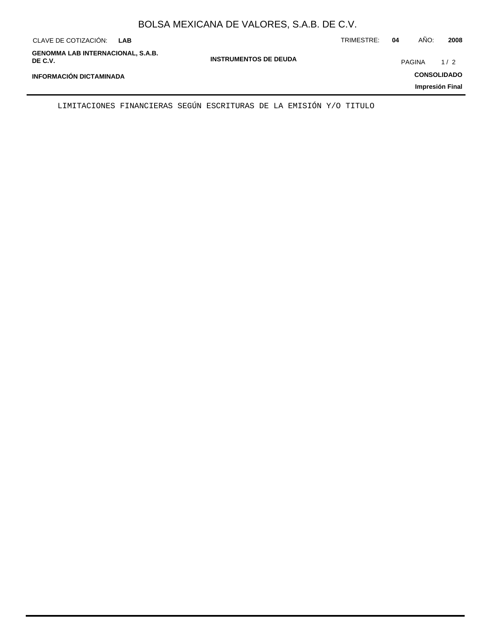| CLAVE DE COTIZACIÓN:<br>LAB                         |                              | TRIMESTRE: | 04     | AÑO: | 2008               |
|-----------------------------------------------------|------------------------------|------------|--------|------|--------------------|
| <b>GENOMMA LAB INTERNACIONAL, S.A.B.</b><br>DE C.V. | <b>INSTRUMENTOS DE DEUDA</b> |            | PAGINA |      | 1/2                |
| <b>INFORMACIÓN DICTAMINADA</b>                      |                              |            |        |      | <b>CONSOLIDADO</b> |
|                                                     |                              |            |        |      | Impresión Final    |

LIMITACIONES FINANCIERAS SEGÚN ESCRITURAS DE LA EMISIÓN Y/O TITULO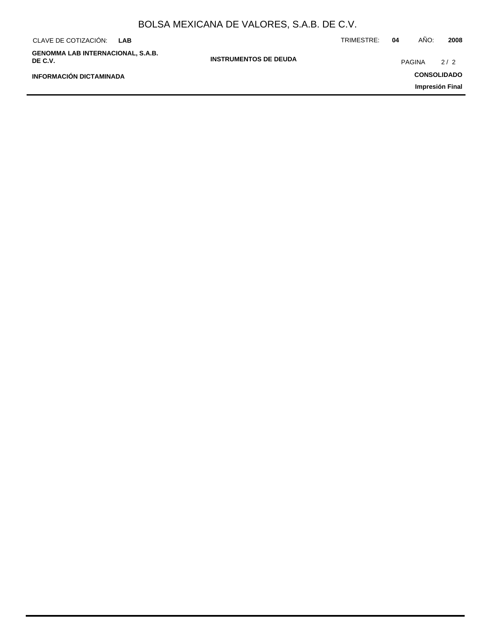| CLAVE DE COTIZACIÓN:<br><b>LAB</b>                  |                              | TRIMESTRE: | 04     | AÑO:<br>2008       |
|-----------------------------------------------------|------------------------------|------------|--------|--------------------|
| <b>GENOMMA LAB INTERNACIONAL, S.A.B.</b><br>DE C.V. | <b>INSTRUMENTOS DE DEUDA</b> |            | PAGINA | 2/2                |
| <b>INFORMACIÓN DICTAMINADA</b>                      |                              |            |        | <b>CONSOLIDADO</b> |
|                                                     |                              |            |        | Impresión Final    |
|                                                     |                              |            |        |                    |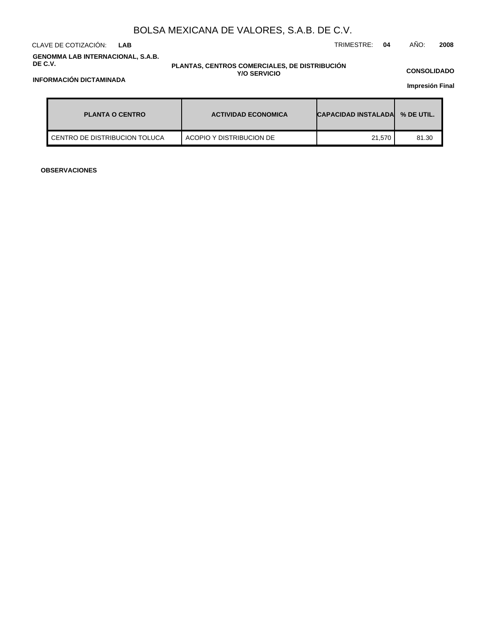CLAVE DE COTIZACIÓN: TRIMESTRE: **04** AÑO: **2008 LAB**

#### **GENOMMA LAB INTERNACIONAL, S.A.B. DE C.V.**

#### **PLANTAS, CENTROS COMERCIALES, DE DISTRIBUCIÓN Y/O SERVICIO**

**CONSOLIDADO**

**Impresión Final**

| <b>PLANTA O CENTRO</b>        | <b>ACTIVIDAD ECONOMICA</b> | <b>CAPACIDAD INSTALADAL</b> | % DE UTIL. |
|-------------------------------|----------------------------|-----------------------------|------------|
| CENTRO DE DISTRIBUCION TOLUCA | ACOPIO Y DISTRIBUCION DE   | 21,570                      | 81.30      |

**OBSERVACIONES**

### **INFORMACIÓN DICTAMINADA**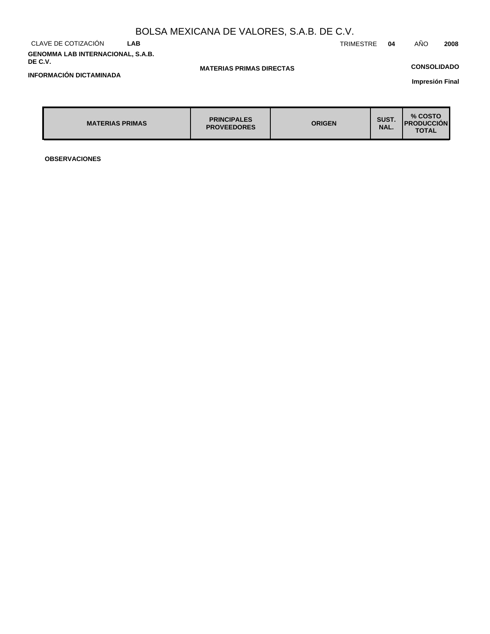#### CLAVE DE COTIZACIÓN **LAB GENOMMA LAB INTERNACIONAL, S.A.B. DE C.V.**

### **MATERIAS PRIMAS DIRECTAS**

## **CONSOLIDADO**

**Impresión Final**

| <b>MATERIAS PRIMAS</b> | <b>PRINCIPALES</b><br><b>PROVEEDORES</b> | <b>ORIGEN</b> | SUST.<br>NAL. | % COSTO<br><b>PRODUCCION</b><br><b>TOTAL</b> |
|------------------------|------------------------------------------|---------------|---------------|----------------------------------------------|

**OBSERVACIONES**

**INFORMACIÓN DICTAMINADA**

TRIMESTRE **04** AÑO **2008**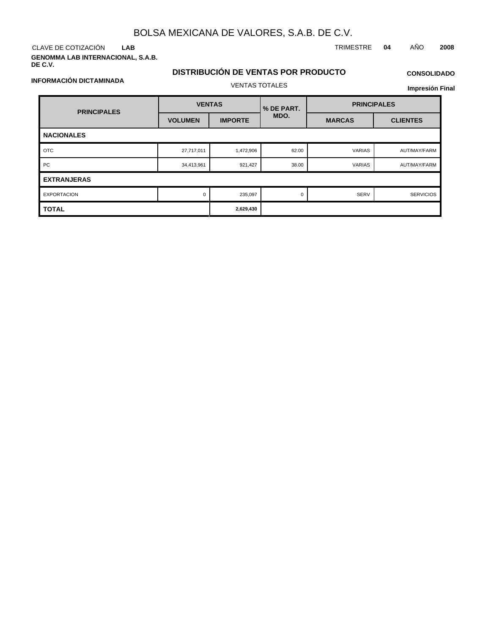CLAVE DE COTIZACIÓN TRIMESTRE **04** AÑO **2008 LAB**

**GENOMMA LAB INTERNACIONAL, S.A.B. DE C.V.**

## **DISTRIBUCIÓN DE VENTAS POR PRODUCTO** VENTAS TOTALES

# **CONSOLIDADO**

**Impresión Final**

| <b>PRINCIPALES</b> | <b>VENTAS</b>  |                | % DE PART. | <b>PRINCIPALES</b> |                  |  |  |  |
|--------------------|----------------|----------------|------------|--------------------|------------------|--|--|--|
|                    | <b>VOLUMEN</b> | <b>IMPORTE</b> | MDO.       | <b>MARCAS</b>      | <b>CLIENTES</b>  |  |  |  |
| <b>NACIONALES</b>  |                |                |            |                    |                  |  |  |  |
| <b>OTC</b>         | 27,717,011     | 1,472,906      | 62.00      | <b>VARIAS</b>      | AUT/MAY/FARM     |  |  |  |
| PC                 | 34,413,961     | 921,427        | 38.00      | <b>VARIAS</b>      | AUT/MAY/FARM     |  |  |  |
| <b>EXTRANJERAS</b> |                |                |            |                    |                  |  |  |  |
| <b>EXPORTACION</b> | $\Omega$       | 235,097        | $\Omega$   | <b>SERV</b>        | <b>SERVICIOS</b> |  |  |  |
| <b>TOTAL</b>       |                | 2,629,430      |            |                    |                  |  |  |  |

**INFORMACIÓN DICTAMINADA**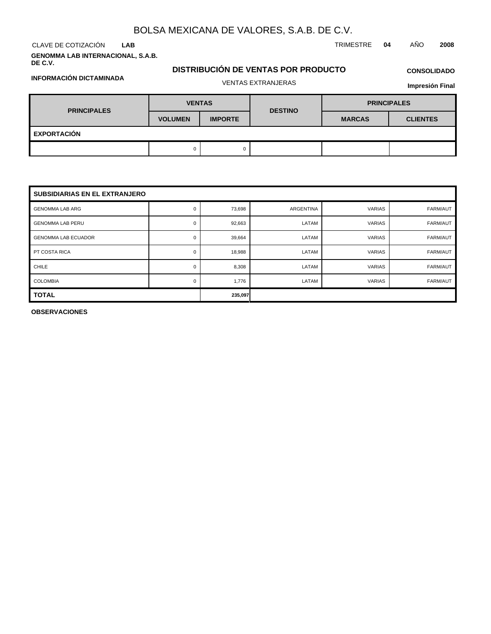**LAB**

**GENOMMA LAB INTERNACIONAL, S.A.B. DE C.V.**

# **DISTRIBUCIÓN DE VENTAS POR PRODUCTO**

**CONSOLIDADO**

| INFORMACION DICTAMINADA |  |
|-------------------------|--|
|-------------------------|--|

# VENTAS EXTRANJERAS

### **Impresión Final**

| <b>PRINCIPALES</b> | <b>VENTAS</b>  |                | <b>DESTINO</b> | <b>PRINCIPALES</b> |                 |  |  |  |
|--------------------|----------------|----------------|----------------|--------------------|-----------------|--|--|--|
|                    | <b>VOLUMEN</b> | <b>IMPORTE</b> |                | <b>MARCAS</b>      | <b>CLIENTES</b> |  |  |  |
| <b>EXPORTACIÓN</b> |                |                |                |                    |                 |  |  |  |
|                    |                | 0              |                |                    |                 |  |  |  |

| <b>SUBSIDIARIAS EN EL EXTRANJERO</b> |   |         |           |               |          |  |  |  |  |
|--------------------------------------|---|---------|-----------|---------------|----------|--|--|--|--|
| <b>GENOMMA LAB ARG</b>               | 0 | 73,698  | ARGENTINA | <b>VARIAS</b> | FARM/AUT |  |  |  |  |
| <b>GENOMMA LAB PERU</b>              | 0 | 92,663  | LATAM     | <b>VARIAS</b> | FARM/AUT |  |  |  |  |
| <b>GENOMMA LAB ECUADOR</b>           | 0 | 39,664  | LATAM     | <b>VARIAS</b> | FARM/AUT |  |  |  |  |
| PT COSTA RICA                        | 0 | 18,988  | LATAM     | <b>VARIAS</b> | FARM/AUT |  |  |  |  |
| <b>CHILE</b>                         | 0 | 8,308   | LATAM     | <b>VARIAS</b> | FARM/AUT |  |  |  |  |
| <b>COLOMBIA</b>                      | 0 | 1,776   | LATAM     | <b>VARIAS</b> | FARM/AUT |  |  |  |  |
| <b>TOTAL</b>                         |   | 235,097 |           |               |          |  |  |  |  |

**OBSERVACIONES**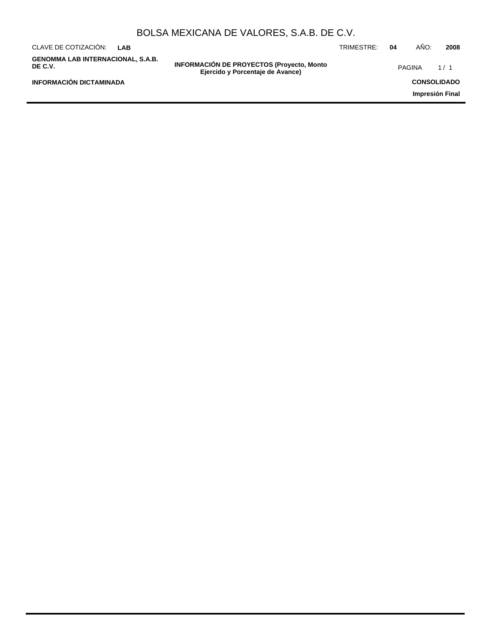|                                                     |            | BOLSA MEXICANA DE VALORES, S.A.B. DE C.V.                                            |            |    |               |                    |
|-----------------------------------------------------|------------|--------------------------------------------------------------------------------------|------------|----|---------------|--------------------|
| CLAVE DE COTIZACIÓN:                                | <b>LAB</b> |                                                                                      | TRIMESTRE: | 04 | AÑO:          | 2008               |
| <b>GENOMMA LAB INTERNACIONAL, S.A.B.</b><br>DE C.V. |            | <b>INFORMACIÓN DE PROYECTOS (Proyecto, Monto</b><br>Ejercido y Porcentaje de Avance) |            |    | <b>PAGINA</b> | 1/1                |
| <b>INFORMACIÓN DICTAMINADA</b>                      |            |                                                                                      |            |    |               | <b>CONSOLIDADO</b> |
|                                                     |            |                                                                                      |            |    |               | Impresión Final    |
|                                                     |            |                                                                                      |            |    |               |                    |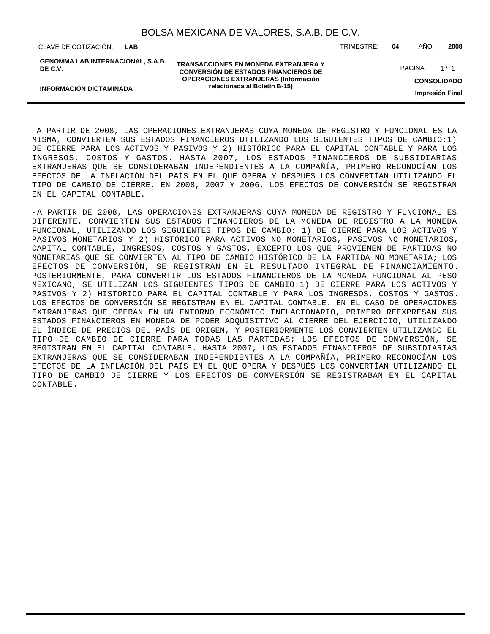CLAVE DE COTIZACIÓN: TRIMESTRE: **04** AÑO: **2008 LAB**

**INFORMACIÓN DICTAMINADA**

**GENOMMA LAB INTERNACIONAL, S.A.B. DE C.V.**

**TRANSACCIONES EN MONEDA EXTRANJERA Y CONVERSIÓN DE ESTADOS FINANCIEROS DE OPERACIONES EXTRANJERAS (Información relacionada al Boletín B-15)**

PAGINA 1/1

**CONSOLIDADO**

**Impresión Final**

- A PARTIR DE 2008, LAS OPERACIONES EXTRANJERAS CUYA MONEDA DE REGISTRO Y FUNCIONAL ES LA MISMA, CONVIERTEN SUS ESTADOS FINANCIEROS UTILIZANDO LOS SIGUIENTES TIPOS DE CAMBIO:1) DE CIERRE PARA LOS ACTIVOS Y PASIVOS Y 2) HISTÓRICO PARA EL CAPITAL CONTABLE Y PARA LOS INGRESOS, COSTOS Y GASTOS. HASTA 2007, LOS ESTADOS FINANCIEROS DE SUBSIDIARIAS EXTRANJERAS QUE SE CONSIDERABAN INDEPENDIENTES A LA COMPAÑÍA, PRIMERO RECONOCÍAN LOS EFECTOS DE LA INFLACIÓN DEL PAÍS EN EL QUE OPERA Y DESPUÉS LOS CONVERTÍAN UTILIZANDO EL TIPO DE CAMBIO DE CIERRE. EN 2008, 2007 Y 2006, LOS EFECTOS DE CONVERSIÓN SE REGISTRAN EN EL CAPITAL CONTABLE.

- A PARTIR DE 2008, LAS OPERACIONES EXTRANJERAS CUYA MONEDA DE REGISTRO Y FUNCIONAL ES DIFERENTE, CONVIERTEN SUS ESTADOS FINANCIEROS DE LA MONEDA DE REGISTRO A LA MONEDA FUNCIONAL, UTILIZANDO LOS SIGUIENTES TIPOS DE CAMBIO: 1) DE CIERRE PARA LOS ACTIVOS Y PASIVOS MONETARIOS Y 2) HISTÓRICO PARA ACTIVOS NO MONETARIOS, PASIVOS NO MONETARIOS, CAPITAL CONTABLE, INGRESOS, COSTOS Y GASTOS, EXCEPTO LOS QUE PROVIENEN DE PARTIDAS NO MONETARIAS QUE SE CONVIERTEN AL TIPO DE CAMBIO HISTÓRICO DE LA PARTIDA NO MONETARIA; LOS EFECTOS DE CONVERSIÓN, SE REGISTRAN EN EL RESULTADO INTEGRAL DE FINANCIAMIENTO. POSTERIORMENTE, PARA CONVERTIR LOS ESTADOS FINANCIEROS DE LA MONEDA FUNCIONAL AL PESO MEXICANO, SE UTILIZAN LOS SIGUIENTES TIPOS DE CAMBIO:1) DE CIERRE PARA LOS ACTIVOS Y PASIVOS Y 2) HISTÓRICO PARA EL CAPITAL CONTABLE Y PARA LOS INGRESOS, COSTOS Y GASTOS. LOS EFECTOS DE CONVERSIÓN SE REGISTRAN EN EL CAPITAL CONTABLE. EN EL CASO DE OPERACIONES EXTRANJERAS QUE OPERAN EN UN ENTORNO ECONÓMICO INFLACIONARIO, PRIMERO REEXPRESAN SUS ESTADOS FINANCIEROS EN MONEDA DE PODER ADQUISITIVO AL CIERRE DEL EJERCICIO, UTILIZANDO EL ÍNDICE DE PRECIOS DEL PAÍS DE ORIGEN, Y POSTERIORMENTE LOS CONVIERTEN UTILIZANDO EL TIPO DE CAMBIO DE CIERRE PARA TODAS LAS PARTIDAS; LOS EFECTOS DE CONVERSIÓN, SE REGISTRAN EN EL CAPITAL CONTABLE. HASTA 2007, LOS ESTADOS FINANCIEROS DE SUBSIDIARIAS EXTRANJERAS QUE SE CONSIDERABAN INDEPENDIENTES A LA COMPAÑÍA, PRIMERO RECONOCÍAN LOS EFECTOS DE LA INFLACIÓN DEL PAÍS EN EL QUE OPERA Y DESPUÉS LOS CONVERTÍAN UTILIZANDO EL TIPO DE CAMBIO DE CIERRE Y LOS EFECTOS DE CONVERSIÓN SE REGISTRABAN EN EL CAPITAL CONTABLE.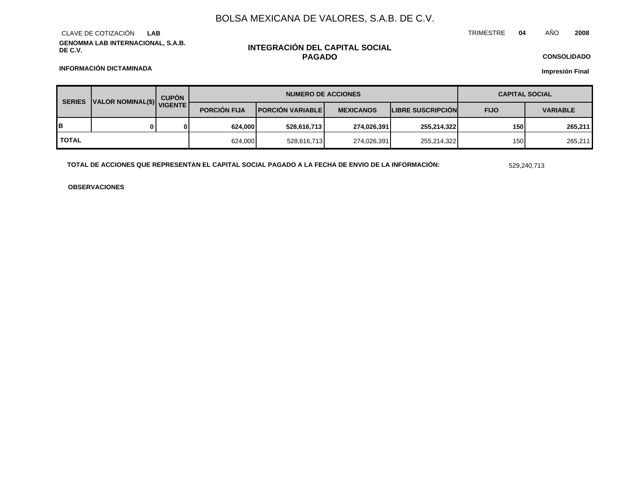**GENOMMA LAB INTERNACIONAL, S.A.B. DE C.V.** CLAVE DE COTIZACIÓN **LAB**

### **INTEGRACIÓN DEL CAPITAL SOCIAL PAGADO**

TRIMESTRE **04** AÑO **2008**

**CONSOLIDADO**

**Impresión Final**

**INFORMACIÓN DICTAMINADA**

| JUALOR NOMINAL(\$) VIGENTE<br><b>SERIES</b> |  | <b>CUPÓN</b>        |                           | <b>NUMERO DE ACCIONES</b> |                          |             | <b>CAPITAL SOCIAL</b> |         |
|---------------------------------------------|--|---------------------|---------------------------|---------------------------|--------------------------|-------------|-----------------------|---------|
|                                             |  | <b>PORCION FIJA</b> | <b>IPORCIÓN VARIABLEI</b> | <b>MEXICANOS</b>          | <b>LIBRE SUSCRIPCION</b> | <b>FIJO</b> | <b>VARIABLE</b>       |         |
| IΒ                                          |  | 0                   | 624.000                   | 528,616,713               | 274,026,391              | 255,214,322 | 150                   | 265.211 |
| <b>TOTAL</b>                                |  |                     | 624,000                   | 528,616,713               | 274,026,391              | 255,214,322 | 150                   | 265,211 |

**TOTAL DE ACCIONES QUE REPRESENTAN EL CAPITAL SOCIAL PAGADO A LA FECHA DE ENVIO DE LA INFORMACIÓN:** 529,240,713

**OBSERVACIONES**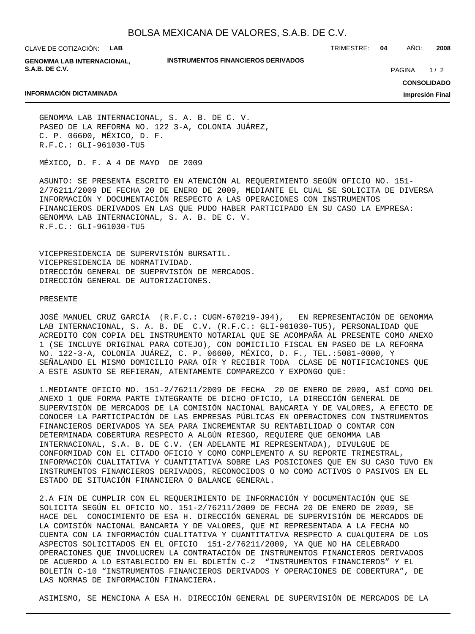CLAVE DE COTIZACIÓN: **LAB**

**GENOMMA LAB INTERNACIONAL, S.A.B. DE C.V.**

**INSTRUMENTOS FINANCIEROS DERIVADOS**

TRIMESTRE: **04** AÑO: **2008**

 $1/2$ PAGINA

#### **INFORMACIÓN DICTAMINADA**

**CONSOLIDADO**

**Impresión Final**

GENOMMA LAB INTERNACIONAL, S. A. B. DE C. V. PASEO DE LA REFORMA NO. 122 3-A, COLONIA JUÁREZ, C. P. 06600, MÉXICO, D. F. R.F.C.: GLI-961030-TU5

MÉXICO, D. F. A 4 DE MAYO DE 2009

ASUNTO: SE PRESENTA ESCRITO EN ATENCIÓN AL REQUERIMIENTO SEGÚN OFICIO NO. 151- 2/76211/2009 DE FECHA 20 DE ENERO DE 2009, MEDIANTE EL CUAL SE SOLICITA DE DIVERSA INFORMACIÓN Y DOCUMENTACIÓN RESPECTO A LAS OPERACIONES CON INSTRUMENTOS FINANCIEROS DERIVADOS EN LAS QUE PUDO HABER PARTICIPADO EN SU CASO LA EMPRESA: GENOMMA LAB INTERNACIONAL, S. A. B. DE C. V. R.F.C.: GLI-961030-TU5

VICEPRESIDENCIA DE SUPERVISIÓN BURSATIL. VICEPRESIDENCIA DE NORMATIVIDAD. DIRECCIÓN GENERAL DE SUEPRVISIÓN DE MERCADOS. DIRECCIÓN GENERAL DE AUTORIZACIONES.

#### PRESENTE

JOSÉ MANUEL CRUZ GARCÍA (R.F.C.: CUGM-670219-J94), EN REPRESENTACIÓN DE GENOMMA LAB INTERNACIONAL, S. A. B. DE C.V. (R.F.C.: GLI-961030-TU5), PERSONALIDAD QUE ACREDITO CON COPIA DEL INSTRUMENTO NOTARIAL QUE SE ACOMPAÑA AL PRESENTE COMO ANEXO 1 (SE INCLUYE ORIGINAL PARA COTEJO), CON DOMICILIO FISCAL EN PASEO DE LA REFORMA NO. 122-3-A, COLONIA JUÁREZ, C. P. 06600, MÉXICO, D. F., TEL.:5081-0000, Y SEÑALANDO EL MISMO DOMICILIO PARA OÍR Y RECIBIR TODA CLASE DE NOTIFICACIONES QUE A ESTE ASUNTO SE REFIERAN, ATENTAMENTE COMPAREZCO Y EXPONGO QUE:

1. MEDIANTE OFICIO NO. 151-2/76211/2009 DE FECHA 20 DE ENERO DE 2009, ASÍ COMO DEL ANEXO 1 QUE FORMA PARTE INTEGRANTE DE DICHO OFICIO, LA DIRECCIÓN GENERAL DE SUPERVISIÓN DE MERCADOS DE LA COMISIÓN NACIONAL BANCARIA Y DE VALORES, A EFECTO DE CONOCER LA PARTICIPACIÓN DE LAS EMPRESAS PÚBLICAS EN OPERACIONES CON INSTRUMENTOS FINANCIEROS DERIVADOS YA SEA PARA INCREMENTAR SU RENTABILIDAD O CONTAR CON DETERMINADA COBERTURA RESPECTO A ALGÚN RIESGO, REQUIERE QUE GENOMMA LAB INTERNACIONAL, S.A. B. DE C.V. (EN ADELANTE MI REPRESENTADA), DIVULGUE DE CONFORMIDAD CON EL CITADO OFICIO Y COMO COMPLEMENTO A SU REPORTE TRIMESTRAL, INFORMACIÓN CUALITATIVA Y CUANTITATIVA SOBRE LAS POSICIONES QUE EN SU CASO TUVO EN INSTRUMENTOS FINANCIEROS DERIVADOS, RECONOCIDOS O NO COMO ACTIVOS O PASIVOS EN EL ESTADO DE SITUACIÓN FINANCIERA O BALANCE GENERAL.

2. A FIN DE CUMPLIR CON EL REQUERIMIENTO DE INFORMACIÓN Y DOCUMENTACIÓN QUE SE SOLICITA SEGÚN EL OFICIO NO. 151-2/76211/2009 DE FECHA 20 DE ENERO DE 2009, SE HACE DEL CONOCIMIENTO DE ESA H. DIRECCIÓN GENERAL DE SUPERVISIÓN DE MERCADOS DE LA COMISIÓN NACIONAL BANCARIA Y DE VALORES, QUE MI REPRESENTADA A LA FECHA NO CUENTA CON LA INFORMACIÓN CUALITATIVA Y CUANTITATIVA RESPECTO A CUALQUIERA DE LOS ASPECTOS SOLICITADOS EN EL OFICIO 151-2/76211/2009, YA QUE NO HA CELEBRADO OPERACIONES QUE INVOLUCREN LA CONTRATACIÓN DE INSTRUMENTOS FINANCIEROS DERIVADOS DE ACUERDO A LO ESTABLECIDO EN EL BOLETÍN C-2 "INSTRUMENTOS FINANCIEROS" Y EL BOLETÍN C-10 "INSTRUMENTOS FINANCIEROS DERIVADOS Y OPERACIONES DE COBERTURA", DE LAS NORMAS DE INFORMACIÓN FINANCIERA.

ASIMISMO, SE MENCIONA A ESA H. DIRECCIÓN GENERAL DE SUPERVISIÓN DE MERCADOS DE LA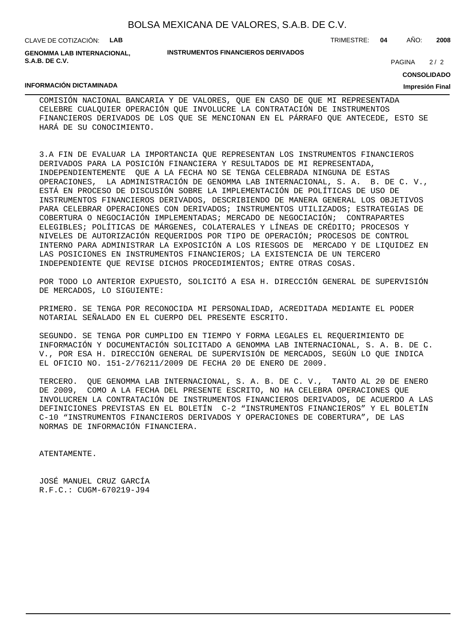| BOLSA MEXICANA DE VALORES, S.A.B. DE C.V. |  |  |  |  |  |
|-------------------------------------------|--|--|--|--|--|
|-------------------------------------------|--|--|--|--|--|

CLAVE DE COTIZACIÓN: **LAB**

**GENOMMA LAB INTERNACIONAL, S.A.B. DE C.V.**

#### **INSTRUMENTOS FINANCIEROS DERIVADOS**

TRIMESTRE: **04** AÑO: **2008**

 $2/2$ **PAGINA** 

#### **CONSOLIDADO**

#### **Impresión Final**

#### **INFORMACIÓN DICTAMINADA**

COMISIÓN NACIONAL BANCARIA Y DE VALORES, QUE EN CASO DE QUE MI REPRESENTADA CELEBRE CUALQUIER OPERACIÓN QUE INVOLUCRE LA CONTRATACIÓN DE INSTRUMENTOS FINANCIEROS DERIVADOS DE LOS QUE SE MENCIONAN EN EL PÁRRAFO QUE ANTECEDE, ESTO SE HARÁ DE SU CONOCIMIENTO.

3. A FIN DE EVALUAR LA IMPORTANCIA QUE REPRESENTAN LOS INSTRUMENTOS FINANCIEROS DERIVADOS PARA LA POSICIÓN FINANCIERA Y RESULTADOS DE MI REPRESENTADA, INDEPENDIENTEMENTE QUE A LA FECHA NO SE TENGA CELEBRADA NINGUNA DE ESTAS OPERACIONES, LA ADMINISTRACIÓN DE GENOMMA LAB INTERNACIONAL, S. A. B. DE C. V., ESTÁ EN PROCESO DE DISCUSIÓN SOBRE LA IMPLEMENTACIÓN DE POLÍTICAS DE USO DE INSTRUMENTOS FINANCIEROS DERIVADOS, DESCRIBIENDO DE MANERA GENERAL LOS OBJETIVOS PARA CELEBRAR OPERACIONES CON DERIVADOS; INSTRUMENTOS UTILIZADOS; ESTRATEGIAS DE COBERTURA O NEGOCIACIÓN IMPLEMENTADAS; MERCADO DE NEGOCIACIÓN; CONTRAPARTES ELEGIBLES; POLÍTICAS DE MÁRGENES, COLATERALES Y LÍNEAS DE CRÉDITO; PROCESOS Y NIVELES DE AUTORIZACIÓN REQUERIDOS POR TIPO DE OPERACIÓN; PROCESOS DE CONTROL INTERNO PARA ADMINISTRAR LA EXPOSICIÓN A LOS RIESGOS DE MERCADO Y DE LIQUIDEZ EN LAS POSICIONES EN INSTRUMENTOS FINANCIEROS; LA EXISTENCIA DE UN TERCERO INDEPENDIENTE QUE REVISE DICHOS PROCEDIMIENTOS; ENTRE OTRAS COSAS.

POR TODO LO ANTERIOR EXPUESTO, SOLICITÓ A ESA H. DIRECCIÓN GENERAL DE SUPERVISIÓN DE MERCADOS, LO SIGUIENTE:

PRIMERO. SE TENGA POR RECONOCIDA MI PERSONALIDAD, ACREDITADA MEDIANTE EL PODER NOTARIAL SEÑALADO EN EL CUERPO DEL PRESENTE ESCRITO.

SEGUNDO. SE TENGA POR CUMPLIDO EN TIEMPO Y FORMA LEGALES EL REQUERIMIENTO DE INFORMACIÓN Y DOCUMENTACIÓN SOLICITADO A GENOMMA LAB INTERNACIONAL, S. A. B. DE C. V., POR ESA H. DIRECCIÓN GENERAL DE SUPERVISIÓN DE MERCADOS, SEGÚN LO QUE INDICA EL OFICIO NO. 151-2/76211/2009 DE FECHA 20 DE ENERO DE 2009.

TERCERO. QUE GENOMMA LAB INTERNACIONAL, S. A. B. DE C. V., TANTO AL 20 DE ENERO DE 2009, COMO A LA FECHA DEL PRESENTE ESCRITO, NO HA CELEBRA OPERACIONES QUE INVOLUCREN LA CONTRATACIÓN DE INSTRUMENTOS FINANCIEROS DERIVADOS, DE ACUERDO A LAS DEFINICIONES PREVISTAS EN EL BOLETÍN C-2 "INSTRUMENTOS FINANCIEROS" Y EL BOLETÍN C-10 "INSTRUMENTOS FINANCIEROS DERIVADOS Y OPERACIONES DE COBERTURA", DE LAS NORMAS DE INFORMACIÓN FINANCIERA.

ATENTAMENTE.

JOSÉ MANUEL CRUZ GARCÍA R.F.C.: CUGM-670219-J94